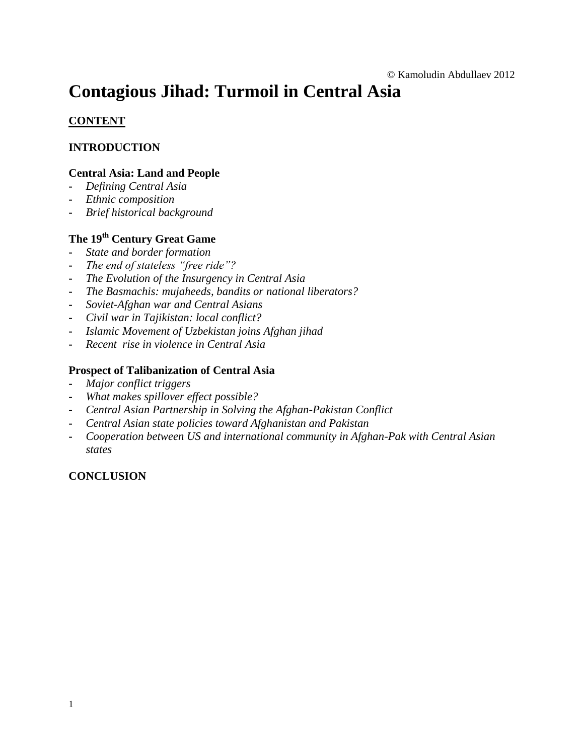# **Contagious Jihad: Turmoil in Central Asia**

#### **CONTENT**

#### **INTRODUCTION**

#### **Central Asia: Land and People**

- **-** *Defining Central Asia*
- **-** *Ethnic composition*
- **-** *Brief historical background*

### **The 19th Century Great Game**

- **-** *State and border formation*
- **-** *The end of stateless "free ride"?*
- **-** *The Evolution of the Insurgency in Central Asia*
- **-** *The Basmachis: mujaheeds, bandits or national liberators?*
- **-** *Soviet-Afghan war and Central Asians*
- **-** *Civil war in Tajikistan: local conflict?*
- **-** *Islamic Movement of Uzbekistan joins Afghan jihad*
- **-** *Recent rise in violence in Central Asia*

#### **Prospect of Talibanization of Central Asia**

- **-** *Major conflict triggers*
- **-** *What makes spillover effect possible?*
- **-** *Central Asian Partnership in Solving the Afghan-Pakistan Conflict*
- **-** *Central Asian state policies toward Afghanistan and Pakistan*
- **-** *Cooperation between US and international community in Afghan-Pak with Central Asian states*

#### **CONCLUSION**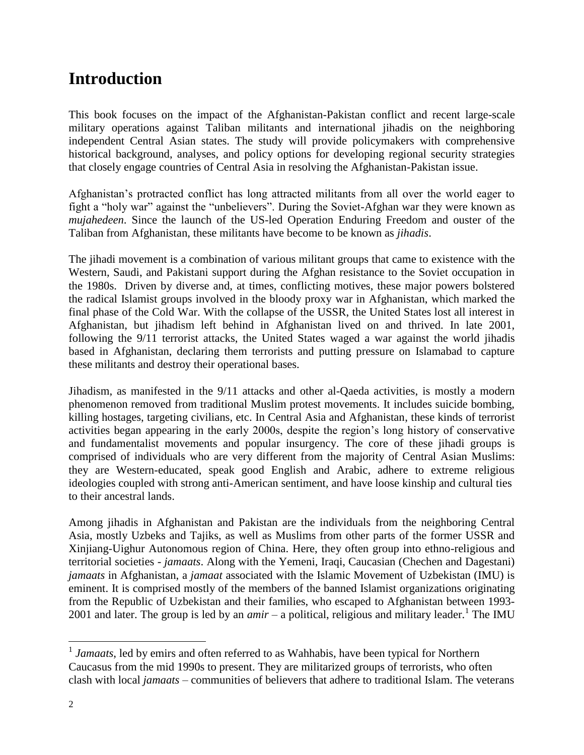## **Introduction**

This book focuses on the impact of the Afghanistan-Pakistan conflict and recent large-scale military operations against Taliban militants and international jihadis on the neighboring independent Central Asian states. The study will provide policymakers with comprehensive historical background, analyses, and policy options for developing regional security strategies that closely engage countries of Central Asia in resolving the Afghanistan-Pakistan issue.

Afghanistan's protracted conflict has long attracted militants from all over the world eager to fight a "holy war" against the "unbelievers". During the Soviet-Afghan war they were known as *mujahedeen*. Since the launch of the US-led Operation Enduring Freedom and ouster of the Taliban from Afghanistan, these militants have become to be known as *jihadis*.

The jihadi movement is a combination of various militant groups that came to existence with the Western, Saudi, and Pakistani support during the Afghan resistance to the Soviet occupation in the 1980s. Driven by diverse and, at times, conflicting motives, these major powers bolstered the radical Islamist groups involved in the bloody proxy war in Afghanistan, which marked the final phase of the Cold War. With the collapse of the USSR, the United States lost all interest in Afghanistan, but jihadism left behind in Afghanistan lived on and thrived. In late 2001, following the 9/11 terrorist attacks, the United States waged a war against the world jihadis based in Afghanistan, declaring them terrorists and putting pressure on Islamabad to capture these militants and destroy their operational bases.

Jihadism, as manifested in the 9/11 attacks and other al-Qaeda activities, is mostly a modern phenomenon removed from traditional Muslim protest movements. It includes suicide bombing, killing hostages, targeting civilians, etc. In Central Asia and Afghanistan, these kinds of terrorist activities began appearing in the early 2000s, despite the region's long history of conservative and fundamentalist movements and popular insurgency. The core of these jihadi groups is comprised of individuals who are very different from the majority of Central Asian Muslims: they are Western-educated, speak good English and Arabic, adhere to extreme religious ideologies coupled with strong anti-American sentiment, and have loose kinship and cultural ties to their ancestral lands.

Among jihadis in Afghanistan and Pakistan are the individuals from the neighboring Central Asia, mostly Uzbeks and Tajiks, as well as Muslims from other parts of the former USSR and Xinjiang-Uighur Autonomous region of China. Here, they often group into ethno-religious and territorial societies *- jamaats*. Along with the Yemeni, Iraqi, Caucasian (Chechen and Dagestani) *jamaats* in Afghanistan, a *jamaat* associated with the Islamic Movement of Uzbekistan (IMU) is eminent. It is comprised mostly of the members of the banned Islamist organizations originating from the Republic of Uzbekistan and their families, who escaped to Afghanistan between 1993- 2001 and later. The group is led by an  $amir - a$  political, religious and military leader.<sup>1</sup> The IMU

<sup>&</sup>lt;sup>1</sup> Jamaats, led by emirs and often referred to as Wahhabis, have been typical for Northern Caucasus from the mid 1990s to present. They are militarized groups of terrorists, who often clash with local *jamaats* – communities of believers that adhere to traditional Islam. The veterans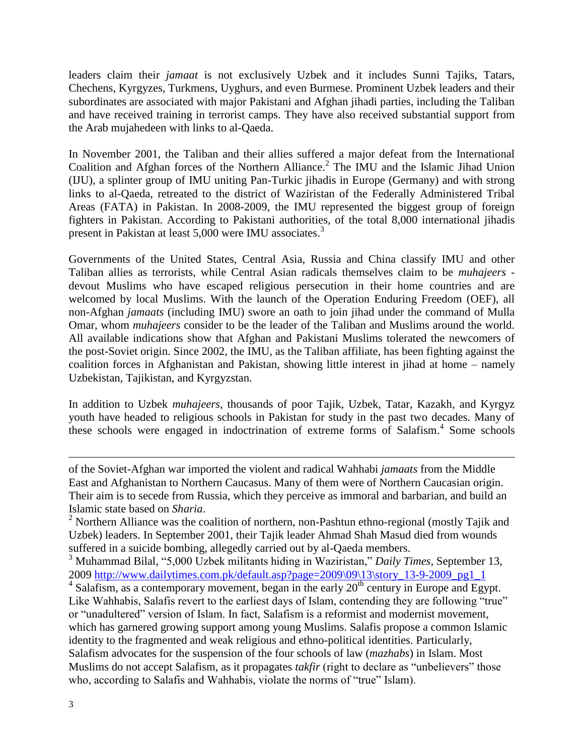leaders claim their *jamaat* is not exclusively Uzbek and it includes Sunni Tajiks, Tatars, Chechens, Kyrgyzes, Turkmens, Uyghurs, and even Burmese. Prominent Uzbek leaders and their subordinates are associated with major Pakistani and Afghan jihadi parties, including the Taliban and have received training in terrorist camps. They have also received substantial support from the Arab mujahedeen with links to al-Qaeda.

In November 2001, the Taliban and their allies suffered a major defeat from the International Coalition and Afghan forces of the Northern Alliance.<sup>2</sup> The IMU and the Islamic Jihad Union (IJU), a splinter group of IMU uniting Pan-Turkic jihadis in Europe (Germany) and with strong links to al-Qaeda, retreated to the district of Waziristan of the Federally Administered Tribal Areas (FATA) in Pakistan. In 2008-2009, the IMU represented the biggest group of foreign fighters in Pakistan. According to Pakistani authorities, of the total 8,000 international jihadis present in Pakistan at least 5,000 were IMU associates.<sup>3</sup>

Governments of the United States, Central Asia, Russia and China classify IMU and other Taliban allies as terrorists, while Central Asian radicals themselves claim to be *muhajeers* devout Muslims who have escaped religious persecution in their home countries and are welcomed by local Muslims. With the launch of the Operation Enduring Freedom (OEF), all non-Afghan *jamaats* (including IMU) swore an oath to join jihad under the command of Mulla Omar, whom *muhajeers* consider to be the leader of the Taliban and Muslims around the world. All available indications show that Afghan and Pakistani Muslims tolerated the newcomers of the post-Soviet origin. Since 2002, the IMU, as the Taliban affiliate, has been fighting against the coalition forces in Afghanistan and Pakistan, showing little interest in jihad at home – namely Uzbekistan, Tajikistan, and Kyrgyzstan.

In addition to Uzbek *muhajeers*, thousands of poor Tajik, Uzbek, Tatar, Kazakh, and Kyrgyz youth have headed to religious schools in Pakistan for study in the past two decades. Many of these schools were engaged in indoctrination of extreme forms of Salafism. 4 Some schools

of the Soviet-Afghan war imported the violent and radical Wahhabi *jamaats* from the Middle East and Afghanistan to Northern Caucasus. Many of them were of Northern Caucasian origin. Their aim is to secede from Russia, which they perceive as immoral and barbarian, and build an Islamic state based on *Sharia*.

 $2$  Northern Alliance was the coalition of northern, non-Pashtun ethno-regional (mostly Tajik and Uzbek) leaders. In September 2001, their Tajik leader Ahmad Shah Masud died from wounds suffered in a suicide bombing, allegedly carried out by al-Qaeda members.

<sup>3</sup> Muhammad Bilal, "5,000 Uzbek militants hiding in Waziristan," *Daily Times*, September 13, 2009 [http://www.dailytimes.com.pk/default.asp?page=2009\09\13\story\\_13-9-2009\\_pg1\\_1](http://www.dailytimes.com.pk/default.asp?page=2009/09/13/story_13-9-2009_pg1_1)

 $4$  Salafism, as a contemporary movement, began in the early  $20<sup>th</sup>$  century in Europe and Egypt. Like Wahhabis, Salafis revert to the earliest days of Islam, contending they are following "true" or "unadultered" version of Islam. In fact, Salafism is a reformist and modernist movement, which has garnered growing support among young Muslims. Salafis propose a common Islamic identity to the fragmented and weak religious and ethno-political identities. Particularly, Salafism advocates for the suspension of the four schools of law (*mazhabs*) in Islam. Most Muslims do not accept Salafism, as it propagates *takfir* (right to declare as "unbelievers" those who, according to Salafis and Wahhabis, violate the norms of "true" Islam).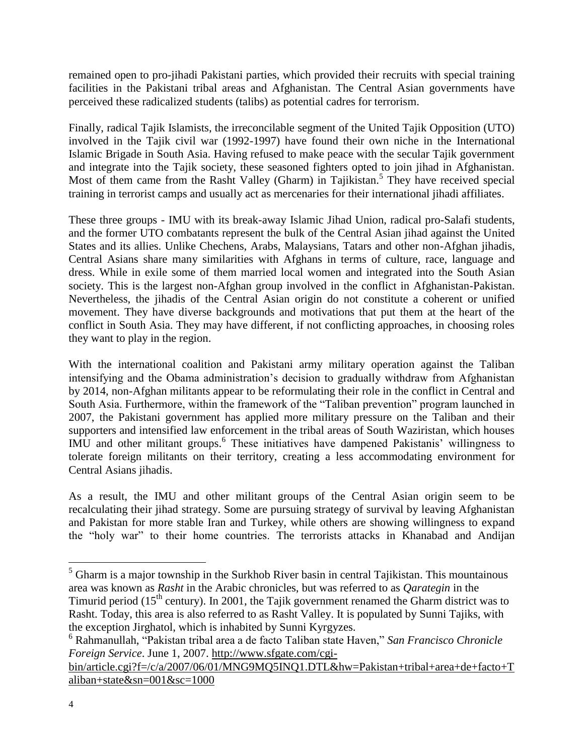remained open to pro-jihadi Pakistani parties, which provided their recruits with special training facilities in the Pakistani tribal areas and Afghanistan. The Central Asian governments have perceived these radicalized students (talibs) as potential cadres for terrorism.

Finally, radical Tajik Islamists, the irreconcilable segment of the United Tajik Opposition (UTO) involved in the Tajik civil war (1992-1997) have found their own niche in the International Islamic Brigade in South Asia. Having refused to make peace with the secular Tajik government and integrate into the Tajik society, these seasoned fighters opted to join jihad in Afghanistan. Most of them came from the Rasht Valley (Gharm) in Tajikistan.<sup>5</sup> They have received special training in terrorist camps and usually act as mercenaries for their international jihadi affiliates.

These three groups - IMU with its break-away Islamic Jihad Union, radical pro-Salafi students, and the former UTO combatants represent the bulk of the Central Asian jihad against the United States and its allies. Unlike Chechens, Arabs, Malaysians, Tatars and other non-Afghan jihadis, Central Asians share many similarities with Afghans in terms of culture, race, language and dress. While in exile some of them married local women and integrated into the South Asian society. This is the largest non-Afghan group involved in the conflict in Afghanistan-Pakistan. Nevertheless, the jihadis of the Central Asian origin do not constitute a coherent or unified movement. They have diverse backgrounds and motivations that put them at the heart of the conflict in South Asia. They may have different, if not conflicting approaches, in choosing roles they want to play in the region.

With the international coalition and Pakistani army military operation against the Taliban intensifying and the Obama administration's decision to gradually withdraw from Afghanistan by 2014, non-Afghan militants appear to be reformulating their role in the conflict in Central and South Asia. Furthermore, within the framework of the "Taliban prevention" program launched in 2007, the Pakistani government has applied more military pressure on the Taliban and their supporters and intensified law enforcement in the tribal areas of South Waziristan, which houses IMU and other militant groups. 6 These initiatives have dampened Pakistanis' willingness to tolerate foreign militants on their territory, creating a less accommodating environment for Central Asians jihadis.

As a result, the IMU and other militant groups of the Central Asian origin seem to be recalculating their jihad strategy. Some are pursuing strategy of survival by leaving Afghanistan and Pakistan for more stable Iran and Turkey, while others are showing willingness to expand the "holy war" to their home countries. The terrorists attacks in Khanabad and Andijan

 $<sup>5</sup>$  Gharm is a major township in the Surkhob River basin in central Tajikistan. This mountainous</sup> area was known as *Rasht* in the Arabic chronicles, but was referred to as *Qarategin* in the Timurid period (15<sup>th</sup> century). In 2001, the Tajik government renamed the Gharm district was to Rasht. Today, this area is also referred to as Rasht Valley. It is populated by Sunni Tajiks, with the exception Jirghatol, which is inhabited by Sunni Kyrgyzes.

<sup>6</sup> Rahmanullah, "Pakistan tribal area a de facto Taliban state Haven," *San Francisco Chronicle Foreign Service*. June 1, 2007. [http://www.sfgate.com/cgi-](http://www.sfgate.com/cgi-bin/article.cgi?f=/c/a/2007/06/01/MNG9MQ5INQ1.DTL&hw=Pakistan+tribal+area+de+facto+Taliban+state&sn=001&sc=1000)

[bin/article.cgi?f=/c/a/2007/06/01/MNG9MQ5INQ1.DTL&hw=Pakistan+tribal+area+de+facto+T](http://www.sfgate.com/cgi-bin/article.cgi?f=/c/a/2007/06/01/MNG9MQ5INQ1.DTL&hw=Pakistan+tribal+area+de+facto+Taliban+state&sn=001&sc=1000) [aliban+state&sn=001&sc=1000](http://www.sfgate.com/cgi-bin/article.cgi?f=/c/a/2007/06/01/MNG9MQ5INQ1.DTL&hw=Pakistan+tribal+area+de+facto+Taliban+state&sn=001&sc=1000)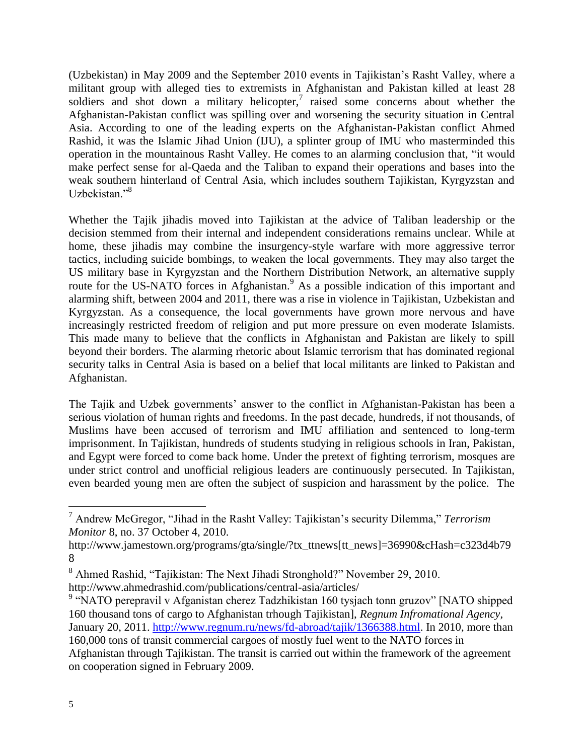(Uzbekistan) in May 2009 and the September 2010 events in Tajikistan's Rasht Valley, where a militant group with alleged ties to extremists in Afghanistan and Pakistan killed at least 28 soldiers and shot down a military helicopter, $7$  raised some concerns about whether the Afghanistan-Pakistan conflict was spilling over and worsening the security situation in Central Asia. According to one of the leading experts on the Afghanistan-Pakistan conflict Ahmed Rashid, it was the Islamic Jihad Union (IJU), a splinter group of IMU who masterminded this operation in the mountainous Rasht Valley. He comes to an alarming conclusion that, "it would make perfect sense for al-Qaeda and the Taliban to expand their operations and bases into the weak southern hinterland of Central Asia, which includes southern Tajikistan, Kyrgyzstan and Uzbekistan."<sup>8</sup>

Whether the Tajik jihadis moved into Tajikistan at the advice of Taliban leadership or the decision stemmed from their internal and independent considerations remains unclear. While at home, these jihadis may combine the insurgency-style warfare with more aggressive terror tactics, including suicide bombings, to weaken the local governments. They may also target the US military base in Kyrgyzstan and the Northern Distribution Network, an alternative supply route for the US-NATO forces in Afghanistan.<sup>9</sup> As a possible indication of this important and alarming shift, between 2004 and 2011, there was a rise in violence in Tajikistan, Uzbekistan and Kyrgyzstan. As a consequence, the local governments have grown more nervous and have increasingly restricted freedom of religion and put more pressure on even moderate Islamists. This made many to believe that the conflicts in Afghanistan and Pakistan are likely to spill beyond their borders. The alarming rhetoric about Islamic terrorism that has dominated regional security talks in Central Asia is based on a belief that local militants are linked to Pakistan and Afghanistan.

The Tajik and Uzbek governments' answer to the conflict in Afghanistan-Pakistan has been a serious violation of human rights and freedoms. In the past decade, hundreds, if not thousands, of Muslims have been accused of terrorism and IMU affiliation and sentenced to long-term imprisonment. In Tajikistan, hundreds of students studying in religious schools in Iran, Pakistan, and Egypt were forced to come back home. Under the pretext of fighting terrorism, mosques are under strict control and unofficial religious leaders are continuously persecuted. In Tajikistan, even bearded young men are often the subject of suspicion and harassment by the police. The

<sup>7</sup> Andrew McGregor, "Jihad in the Rasht Valley: Tajikistan's security Dilemma," *Terrorism Monitor* 8, no. 37 October 4, 2010.

http://www.jamestown.org/programs/gta/single/?tx\_ttnews[tt\_news]=36990&cHash=c323d4b79 8

<sup>8</sup> Ahmed Rashid, "Tajikistan: The Next Jihadi Stronghold?" November 29, 2010. http://www.ahmedrashid.com/publications/central-asia/articles/

<sup>&</sup>lt;sup>9</sup> "NATO perepravil v Afganistan cherez Tadzhikistan 160 tysjach tonn gruzov" [NATO shipped 160 thousand tons of cargo to Afghanistan trhough Tajikistan], *Regnum Infromational Agency*, January 20, 2011. [http://www.regnum.ru/news/fd-abroad/tajik/1366388.html.](http://www.regnum.ru/news/fd-abroad/tajik/1366388.html) In 2010, more than 160,000 tons of transit commercial cargoes of mostly fuel went to the NATO forces in Afghanistan through Tajikistan. The transit is carried out within the framework of the agreement on cooperation signed in February 2009.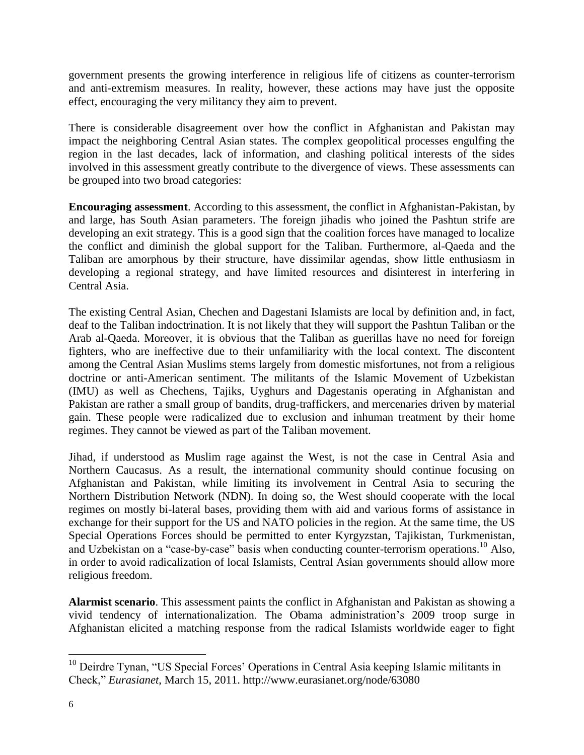government presents the growing interference in religious life of citizens as counter-terrorism and anti-extremism measures. In reality, however, these actions may have just the opposite effect, encouraging the very militancy they aim to prevent.

There is considerable disagreement over how the conflict in Afghanistan and Pakistan may impact the neighboring Central Asian states. The complex geopolitical processes engulfing the region in the last decades, lack of information, and clashing political interests of the sides involved in this assessment greatly contribute to the divergence of views. These assessments can be grouped into two broad categories:

**Encouraging assessment**. According to this assessment, the conflict in Afghanistan-Pakistan, by and large, has South Asian parameters. The foreign jihadis who joined the Pashtun strife are developing an exit strategy. This is a good sign that the coalition forces have managed to localize the conflict and diminish the global support for the Taliban. Furthermore, al-Qaeda and the Taliban are amorphous by their structure, have dissimilar agendas, show little enthusiasm in developing a regional strategy, and have limited resources and disinterest in interfering in Central Asia.

The existing Central Asian, Chechen and Dagestani Islamists are local by definition and, in fact, deaf to the Taliban indoctrination. It is not likely that they will support the Pashtun Taliban or the Arab al-Qaeda. Moreover, it is obvious that the Taliban as guerillas have no need for foreign fighters, who are ineffective due to their unfamiliarity with the local context. The discontent among the Central Asian Muslims stems largely from domestic misfortunes, not from a religious doctrine or anti-American sentiment. The militants of the Islamic Movement of Uzbekistan (IMU) as well as Chechens, Tajiks, Uyghurs and Dagestanis operating in Afghanistan and Pakistan are rather a small group of bandits, drug-traffickers, and mercenaries driven by material gain. These people were radicalized due to exclusion and inhuman treatment by their home regimes. They cannot be viewed as part of the Taliban movement.

Jihad, if understood as Muslim rage against the West, is not the case in Central Asia and Northern Caucasus. As a result, the international community should continue focusing on Afghanistan and Pakistan, while limiting its involvement in Central Asia to securing the Northern Distribution Network (NDN). In doing so, the West should cooperate with the local regimes on mostly bi-lateral bases, providing them with aid and various forms of assistance in exchange for their support for the US and NATO policies in the region. At the same time, the US Special Operations Forces should be permitted to enter Kyrgyzstan, Tajikistan, Turkmenistan, and Uzbekistan on a "case-by-case" basis when conducting counter-terrorism operations.<sup>10</sup> Also, in order to avoid radicalization of local Islamists, Central Asian governments should allow more religious freedom.

**Alarmist scenario**. This assessment paints the conflict in Afghanistan and Pakistan as showing a vivid tendency of internationalization. The Obama administration's 2009 troop surge in Afghanistan elicited a matching response from the radical Islamists worldwide eager to fight

<sup>&</sup>lt;sup>10</sup> Deirdre Tynan, "US Special Forces' Operations in Central Asia keeping Islamic militants in Check," *Eurasianet*, March 15, 2011. http://www.eurasianet.org/node/63080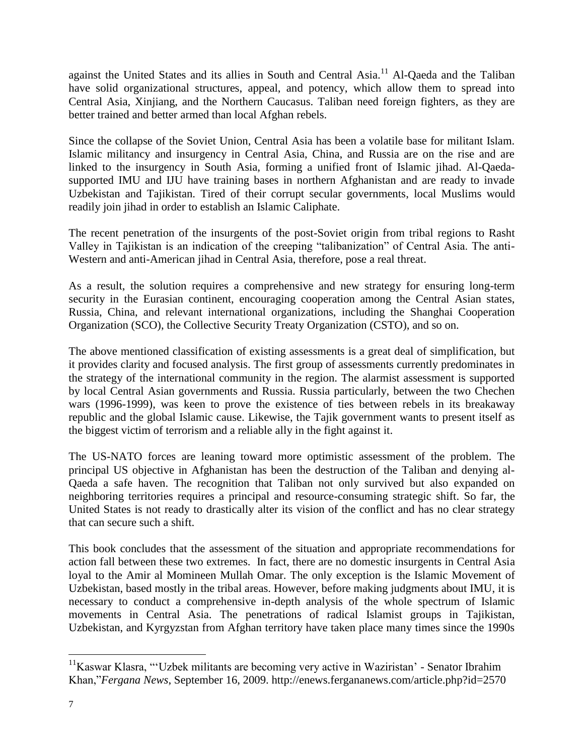against the United States and its allies in South and Central Asia.<sup>11</sup> Al-Qaeda and the Taliban have solid organizational structures, appeal, and potency, which allow them to spread into Central Asia, Xinjiang, and the Northern Caucasus. Taliban need foreign fighters, as they are better trained and better armed than local Afghan rebels.

Since the collapse of the Soviet Union, Central Asia has been a volatile base for militant Islam. Islamic militancy and insurgency in Central Asia, China, and Russia are on the rise and are linked to the insurgency in South Asia, forming a unified front of Islamic jihad. Al-Qaedasupported IMU and IJU have training bases in northern Afghanistan and are ready to invade Uzbekistan and Tajikistan. Tired of their corrupt secular governments, local Muslims would readily join jihad in order to establish an Islamic Caliphate.

The recent penetration of the insurgents of the post-Soviet origin from tribal regions to Rasht Valley in Tajikistan is an indication of the creeping "talibanization" of Central Asia. The anti-Western and anti-American jihad in Central Asia, therefore, pose a real threat.

As a result, the solution requires a comprehensive and new strategy for ensuring long-term security in the Eurasian continent, encouraging cooperation among the Central Asian states, Russia, China, and relevant international organizations, including the Shanghai Cooperation Organization (SCO), the Collective Security Treaty Organization (CSTO), and so on.

The above mentioned classification of existing assessments is a great deal of simplification, but it provides clarity and focused analysis. The first group of assessments currently predominates in the strategy of the international community in the region. The alarmist assessment is supported by local Central Asian governments and Russia. Russia particularly, between the two Chechen wars (1996-1999), was keen to prove the existence of ties between rebels in its breakaway republic and the global Islamic cause. Likewise, the Tajik government wants to present itself as the biggest victim of terrorism and a reliable ally in the fight against it.

The US-NATO forces are leaning toward more optimistic assessment of the problem. The principal US objective in Afghanistan has been the destruction of the Taliban and denying al-Qaeda a safe haven. The recognition that Taliban not only survived but also expanded on neighboring territories requires a principal and resource-consuming strategic shift. So far, the United States is not ready to drastically alter its vision of the conflict and has no clear strategy that can secure such a shift.

This book concludes that the assessment of the situation and appropriate recommendations for action fall between these two extremes. In fact, there are no domestic insurgents in Central Asia loyal to the Amir al Momineen Mullah Omar. The only exception is the Islamic Movement of Uzbekistan, based mostly in the tribal areas. However, before making judgments about IMU, it is necessary to conduct a comprehensive in-depth analysis of the whole spectrum of Islamic movements in Central Asia. The penetrations of radical Islamist groups in Tajikistan, Uzbekistan, and Kyrgyzstan from Afghan territory have taken place many times since the 1990s

<sup>&</sup>lt;sup>11</sup>Kaswar Klasra, "'Uzbek militants are becoming very active in Waziristan' - Senator Ibrahim Khan,"*Fergana News*, September 16, 2009. http://enews.fergananews.com/article.php?id=2570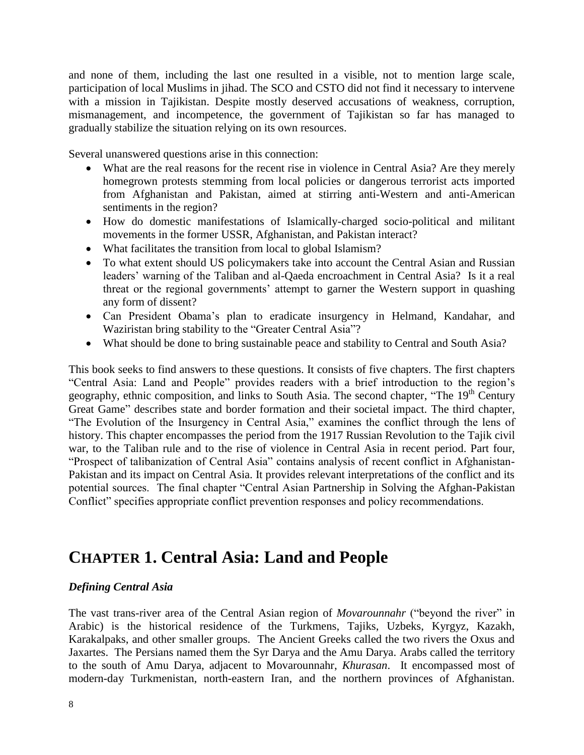and none of them, including the last one resulted in a visible, not to mention large scale, participation of local Muslims in jihad. The SCO and CSTO did not find it necessary to intervene with a mission in Tajikistan. Despite mostly deserved accusations of weakness, corruption, mismanagement, and incompetence, the government of Tajikistan so far has managed to gradually stabilize the situation relying on its own resources.

Several unanswered questions arise in this connection:

- What are the real reasons for the recent rise in violence in Central Asia? Are they merely homegrown protests stemming from local policies or dangerous terrorist acts imported from Afghanistan and Pakistan, aimed at stirring anti-Western and anti-American sentiments in the region?
- How do domestic manifestations of Islamically-charged socio-political and militant movements in the former USSR, Afghanistan, and Pakistan interact?
- What facilitates the transition from local to global Islamism?
- To what extent should US policymakers take into account the Central Asian and Russian leaders' warning of the Taliban and al-Qaeda encroachment in Central Asia? Is it a real threat or the regional governments' attempt to garner the Western support in quashing any form of dissent?
- Can President Obama's plan to eradicate insurgency in Helmand, Kandahar, and Waziristan bring stability to the "Greater Central Asia"?
- What should be done to bring sustainable peace and stability to Central and South Asia?

This book seeks to find answers to these questions. It consists of five chapters. The first chapters "Central Asia: Land and People" provides readers with a brief introduction to the region's geography, ethnic composition, and links to South Asia. The second chapter, "The 19<sup>th</sup> Century Great Game" describes state and border formation and their societal impact. The third chapter, "The Evolution of the Insurgency in Central Asia," examines the conflict through the lens of history. This chapter encompasses the period from the 1917 Russian Revolution to the Tajik civil war, to the Taliban rule and to the rise of violence in Central Asia in recent period. Part four, "Prospect of talibanization of Central Asia" contains analysis of recent conflict in Afghanistan-Pakistan and its impact on Central Asia. It provides relevant interpretations of the conflict and its potential sources. The final chapter "Central Asian Partnership in Solving the Afghan-Pakistan Conflict" specifies appropriate conflict prevention responses and policy recommendations.

### **CHAPTER 1. Central Asia: Land and People**

#### *Defining Central Asia*

The vast trans-river area of the Central Asian region of *Movarounnahr* ("beyond the river" in Arabic) is the historical residence of the Turkmens, Tajiks, Uzbeks, Kyrgyz, Kazakh, Karakalpaks, and other smaller groups. The Ancient Greeks called the two rivers the Oxus and Jaxartes. The Persians named them the Syr Darya and the Amu Darya. Arabs called the territory to the south of Amu Darya, adjacent to Movarounnahr, *Khurasan*. It encompassed most of modern-day Turkmenistan, north-eastern Iran, and the northern provinces of Afghanistan.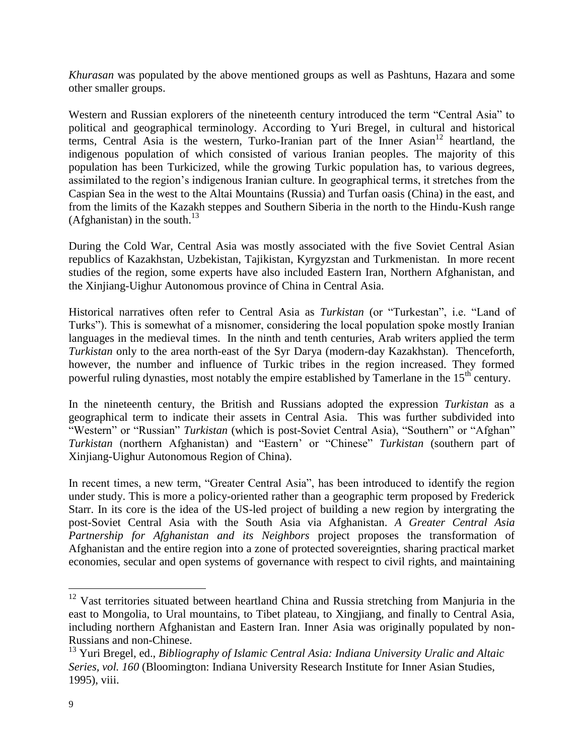*Khurasan* was populated by the above mentioned groups as well as Pashtuns, Hazara and some other smaller groups.

Western and Russian explorers of the nineteenth century introduced the term "Central Asia" to political and geographical terminology. According to Yuri Bregel, in cultural and historical terms, Central Asia is the western, Turko-Iranian part of the Inner Asian<sup>12</sup> heartland, the indigenous population of which consisted of various Iranian peoples. The majority of this population has been Turkicized, while the growing Turkic population has, to various degrees, assimilated to the region's indigenous Iranian culture. In geographical terms, it stretches from the Caspian Sea in the west to the Altai Mountains (Russia) and Turfan oasis (China) in the east, and from the limits of the Kazakh steppes and Southern Siberia in the north to the Hindu-Kush range (Afghanistan) in the south. $13$ 

During the Cold War, Central Asia was mostly associated with the five Soviet Central Asian republics of Kazakhstan, Uzbekistan, Tajikistan, Kyrgyzstan and Turkmenistan. In more recent studies of the region, some experts have also included Eastern Iran, Northern Afghanistan, and the Xinjiang-Uighur Autonomous province of China in Central Asia.

Historical narratives often refer to Central Asia as *Turkistan* (or "Turkestan", i.e. "Land of Turks"). This is somewhat of a misnomer, considering the local population spoke mostly Iranian languages in the medieval times. In the ninth and tenth centuries, Arab writers applied the term *Turkistan* only to the area north-east of the Syr Darya (modern-day Kazakhstan). Thenceforth, however, the number and influence of Turkic tribes in the region increased. They formed powerful ruling dynasties, most notably the empire established by Tamerlane in the 15<sup>th</sup> century.

In the nineteenth century, the British and Russians adopted the expression *Turkistan* as a geographical term to indicate their assets in Central Asia. This was further subdivided into "Western" or "Russian" *Turkistan* (which is post-Soviet Central Asia), "Southern" or "Afghan" *Turkistan* (northern Afghanistan) and "Eastern' or "Chinese" *Turkistan* (southern part of Xinjiang-Uighur Autonomous Region of China).

In recent times, a new term, "Greater Central Asia", has been introduced to identify the region under study. This is more a policy-oriented rather than a geographic term proposed by Frederick Starr. In its core is the idea of the US-led project of building a new region by intergrating the post-Soviet Central Asia with the South Asia via Afghanistan. *A Greater Central Asia Partnership for Afghanistan and its Neighbors* project proposes the transformation of Afghanistan and the entire region into a zone of protected sovereignties, sharing practical market economies, secular and open systems of governance with respect to civil rights, and maintaining

 $12$  Vast territories situated between heartland China and Russia stretching from Manjuria in the east to Mongolia, to Ural mountains, to Tibet plateau, to Xingjiang, and finally to Central Asia, including northern Afghanistan and Eastern Iran. Inner Asia was originally populated by non-Russians and non-Chinese.

<sup>13</sup> Yuri Bregel, ed., *Bibliography of Islamic Central Asia: Indiana University Uralic and Altaic Series, vol. 160* (Bloomington: Indiana University Research Institute for Inner Asian Studies, 1995), viii.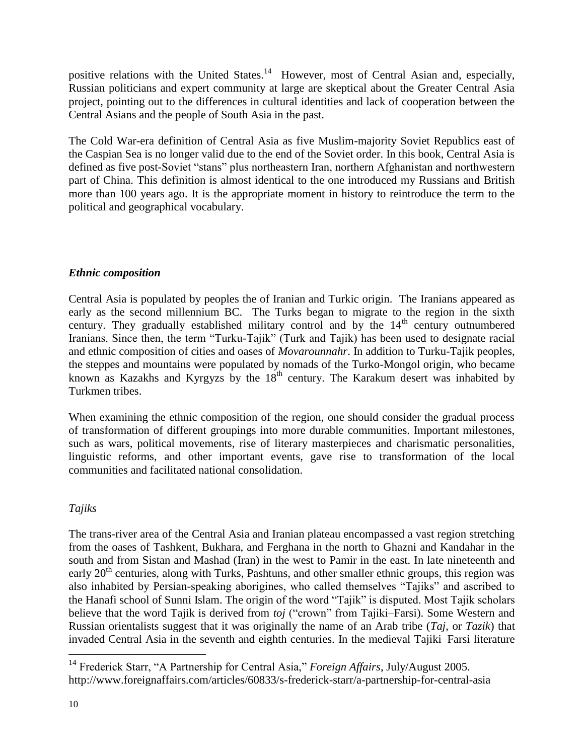positive relations with the United States.<sup>14</sup> However, most of Central Asian and, especially, Russian politicians and expert community at large are skeptical about the Greater Central Asia project, pointing out to the differences in cultural identities and lack of cooperation between the Central Asians and the people of South Asia in the past.

The Cold War-era definition of Central Asia as five Muslim-majority Soviet Republics east of the Caspian Sea is no longer valid due to the end of the Soviet order. In this book, Central Asia is defined as five post-Soviet "stans" plus northeastern Iran, northern Afghanistan and northwestern part of China. This definition is almost identical to the one introduced my Russians and British more than 100 years ago. It is the appropriate moment in history to reintroduce the term to the political and geographical vocabulary.

#### *Ethnic composition*

Central Asia is populated by peoples the of Iranian and Turkic origin. The Iranians appeared as early as the second millennium BC. The Turks began to migrate to the region in the sixth century. They gradually established military control and by the  $14<sup>th</sup>$  century outnumbered Iranians. Since then, the term "Turku-Tajik" (Turk and Tajik) has been used to designate racial and ethnic composition of cities and oases of *Movarounnahr*. In addition to Turku-Tajik peoples, the steppes and mountains were populated by nomads of the Turko-Mongol origin, who became known as Kazakhs and Kyrgyzs by the  $18<sup>th</sup>$  century. The Karakum desert was inhabited by Turkmen tribes.

When examining the ethnic composition of the region, one should consider the gradual process of transformation of different groupings into more durable communities. Important milestones, such as wars, political movements, rise of literary masterpieces and charismatic personalities, linguistic reforms, and other important events, gave rise to transformation of the local communities and facilitated national consolidation.

#### *Tajiks*

The trans-river area of the Central Asia and Iranian plateau encompassed a vast region stretching from the oases of Tashkent, Bukhara, and Ferghana in the north to Ghazni and Kandahar in the south and from Sistan and Mashad (Iran) in the west to Pamir in the east. In late nineteenth and early  $20<sup>th</sup>$  centuries, along with Turks, Pashtuns, and other smaller ethnic groups, this region was also inhabited by Persian-speaking aborigines, who called themselves "Tajiks" and ascribed to the Hanafi school of Sunni Islam. The origin of the word "Tajik" is disputed. Most Tajik scholars believe that the word Tajik is derived from *toj* ("crown" from Tajiki–Farsi). Some Western and Russian orientalists suggest that it was originally the name of an Arab tribe (*Taj*, or *Tazik*) that invaded Central Asia in the seventh and eighth centuries. In the medieval Tajiki–Farsi literature

<sup>14</sup> Frederick Starr, "A Partnership for Central Asia," *Foreign Affairs*, July/August 2005. http://www.foreignaffairs.com/articles/60833/s-frederick-starr/a-partnership-for-central-asia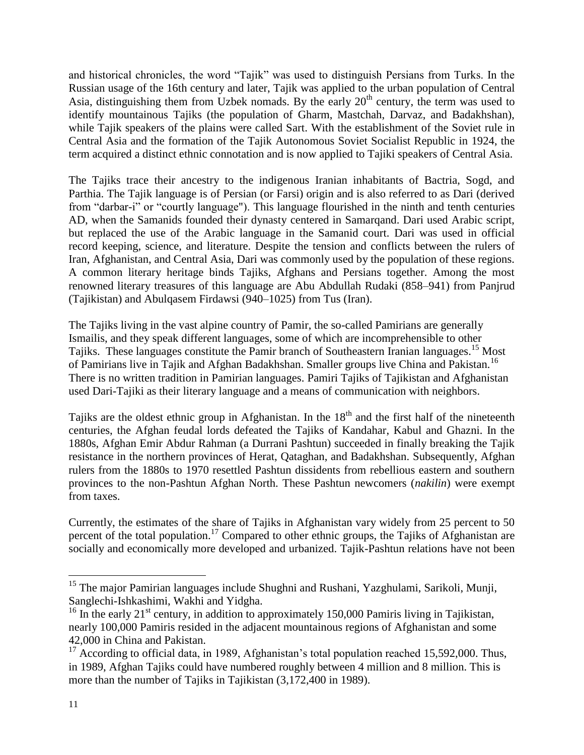and historical chronicles, the word "Tajik" was used to distinguish Persians from Turks. In the Russian usage of the 16th century and later, Tajik was applied to the urban population of Central Asia, distinguishing them from Uzbek nomads. By the early  $20<sup>th</sup>$  century, the term was used to identify mountainous Tajiks (the population of Gharm, Mastchah, Darvaz, and Badakhshan), while Tajik speakers of the plains were called Sart. With the establishment of the Soviet rule in Central Asia and the formation of the Tajik Autonomous Soviet Socialist Republic in 1924, the term acquired a distinct ethnic connotation and is now applied to Tajiki speakers of Central Asia.

The Tajiks trace their ancestry to the indigenous Iranian inhabitants of Bactria, Sogd, and Parthia. The Tajik language is of Persian (or Farsi) origin and is also referred to as Dari (derived from "darbar-i" or "courtly language"). This language flourished in the ninth and tenth centuries AD, when the Samanids founded their dynasty centered in Samarqand. Dari used Arabic script, but replaced the use of the Arabic language in the Samanid court. Dari was used in official record keeping, science, and literature. Despite the tension and conflicts between the rulers of Iran, Afghanistan, and Central Asia, Dari was commonly used by the population of these regions. A common literary heritage binds Tajiks, Afghans and Persians together. Among the most renowned literary treasures of this language are Abu Abdullah Rudaki (858–941) from Panjrud (Tajikistan) and Abulqasem Firdawsi (940–1025) from Tus (Iran).

The Tajiks living in the vast alpine country of Pamir, the so-called Pamirians are generally Ismailis, and they speak different languages, some of which are incomprehensible to other Tajiks. These languages constitute the Pamir branch of Southeastern Iranian languages. <sup>15</sup> Most of Pamirians live in Tajik and Afghan Badakhshan. Smaller groups live China and Pakistan.<sup>16</sup> There is no written tradition in Pamirian languages. Pamiri Tajiks of Tajikistan and Afghanistan used Dari-Tajiki as their literary language and a means of communication with neighbors.

Tajiks are the oldest ethnic group in Afghanistan. In the  $18<sup>th</sup>$  and the first half of the nineteenth centuries, the Afghan feudal lords defeated the Tajiks of Kandahar, Kabul and Ghazni. In the 1880s, Afghan Emir Abdur Rahman (a Durrani Pashtun) succeeded in finally breaking the Tajik resistance in the northern provinces of Herat, Qataghan, and Badakhshan. Subsequently, Afghan rulers from the 1880s to 1970 resettled Pashtun dissidents from rebellious eastern and southern provinces to the non-Pashtun Afghan North. These Pashtun newcomers (*nakilin*) were exempt from taxes.

Currently, the estimates of the share of Tajiks in Afghanistan vary widely from 25 percent to 50 percent of the total population.<sup>17</sup> Compared to other ethnic groups, the Tajiks of Afghanistan are socially and economically more developed and urbanized. Tajik-Pashtun relations have not been

<sup>&</sup>lt;sup>15</sup> The major Pamirian languages include Shughni and Rushani, Yazghulami, Sarikoli, Munji, Sanglechi-Ishkashimi, Wakhi and Yidgha.

<sup>&</sup>lt;sup>16</sup> In the early 21<sup>st</sup> century, in addition to approximately 150,000 Pamiris living in Tajikistan, nearly 100,000 Pamiris resided in the adjacent mountainous regions of Afghanistan and some 42,000 in China and Pakistan.

 $17$  According to official data, in 1989, Afghanistan's total population reached 15,592,000. Thus, in 1989, Afghan Tajiks could have numbered roughly between 4 million and 8 million. This is more than the number of Tajiks in Tajikistan (3,172,400 in 1989).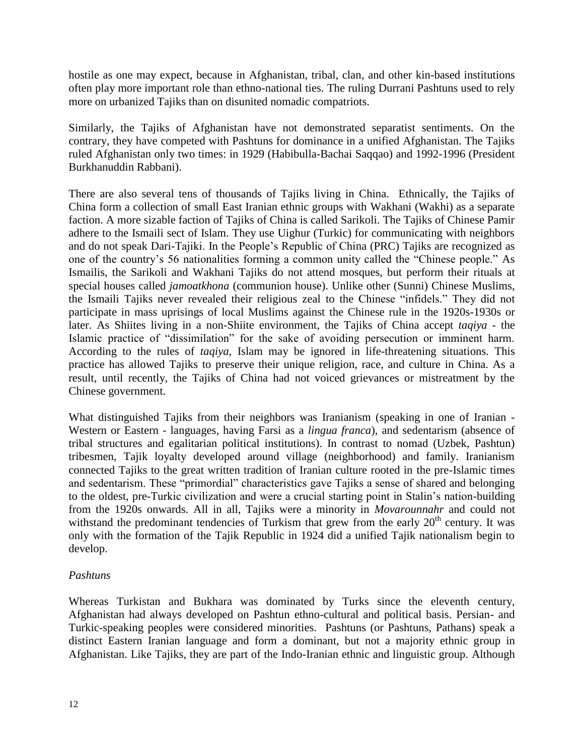hostile as one may expect, because in Afghanistan, tribal, clan, and other kin-based institutions often play more important role than ethno-national ties. The ruling Durrani Pashtuns used to rely more on urbanized Tajiks than on disunited nomadic compatriots.

Similarly, the Tajiks of Afghanistan have not demonstrated separatist sentiments. On the contrary, they have competed with Pashtuns for dominance in a unified Afghanistan. The Tajiks ruled Afghanistan only two times: in 1929 (Habibulla-Bachai Saqqao) and 1992-1996 (President Burkhanuddin Rabbani).

There are also several tens of thousands of Tajiks living in China. Ethnically, the Tajiks of China form a collection of small East Iranian ethnic groups with Wakhani (Wakhi) as a separate faction. A more sizable faction of Tajiks of China is called Sarikoli. The Tajiks of Chinese Pamir adhere to the Ismaili sect of Islam. They use Uighur (Turkic) for communicating with neighbors and do not speak Dari-Tajiki. In the People's Republic of China (PRC) Tajiks are recognized as one of the country's 56 nationalities forming a common unity called the "Chinese people." As Ismailis, the Sarikoli and Wakhani Tajiks do not attend mosques, but perform their rituals at special houses called *jamoatkhona* (communion house). Unlike other (Sunni) Chinese Muslims, the Ismaili Tajiks never revealed their religious zeal to the Chinese "infidels." They did not participate in mass uprisings of local Muslims against the Chinese rule in the 1920s-1930s or later. As Shiites living in a non-Shiite environment, the Tajiks of China accept *taqiya* - the Islamic practice of "dissimilation" for the sake of avoiding persecution or imminent harm. According to the rules of *taqiya*, Islam may be ignored in life-threatening situations. This practice has allowed Tajiks to preserve their unique religion, race, and culture in China. As a result, until recently, the Tajiks of China had not voiced grievances or mistreatment by the Chinese government.

What distinguished Tajiks from their neighbors was Iranianism (speaking in one of Iranian - Western or Eastern - languages, having Farsi as a *lingua franca*), and sedentarism (absence of tribal structures and egalitarian political institutions). In contrast to nomad (Uzbek, Pashtun) tribesmen, Tajik loyalty developed around village (neighborhood) and family. Iranianism connected Tajiks to the great written tradition of Iranian culture rooted in the pre-Islamic times and sedentarism. These "primordial" characteristics gave Tajiks a sense of shared and belonging to the oldest, pre-Turkic civilization and were a crucial starting point in Stalin's nation-building from the 1920s onwards. All in all, Tajiks were a minority in *Movarounnahr* and could not withstand the predominant tendencies of Turkism that grew from the early  $20<sup>th</sup>$  century. It was only with the formation of the Tajik Republic in 1924 did a unified Tajik nationalism begin to develop.

#### *Pashtuns*

Whereas Turkistan and Bukhara was dominated by Turks since the eleventh century, Afghanistan had always developed on Pashtun ethno-cultural and political basis. Persian- and Turkic-speaking peoples were considered minorities. Pashtuns (or Pashtuns, Pathans) speak a distinct Eastern Iranian language and form a dominant, but not a majority ethnic group in Afghanistan. Like Tajiks, they are part of the Indo-Iranian ethnic and linguistic group. Although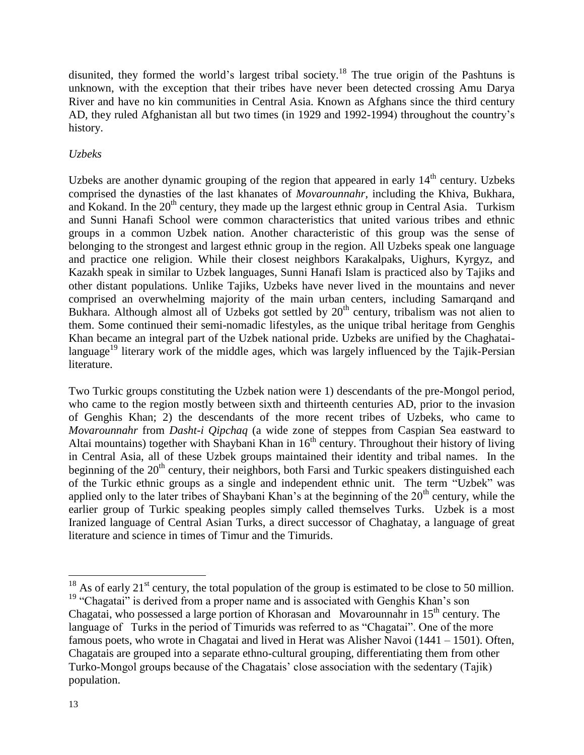disunited, they formed the world's largest tribal society.<sup>18</sup> The true origin of the Pashtuns is unknown, with the exception that their tribes have never been detected crossing Amu Darya River and have no kin communities in Central Asia. Known as Afghans since the third century AD, they ruled Afghanistan all but two times (in 1929 and 1992-1994) throughout the country's history.

#### *Uzbeks*

Uzbeks are another dynamic grouping of the region that appeared in early  $14<sup>th</sup>$  century. Uzbeks comprised the dynasties of the last khanates of *Movarounnahr,* including the Khiva, Bukhara, and Kokand. In the  $20<sup>th</sup>$  century, they made up the largest ethnic group in Central Asia. Turkism and Sunni Hanafi School were common characteristics that united various tribes and ethnic groups in a common Uzbek nation. Another characteristic of this group was the sense of belonging to the strongest and largest ethnic group in the region. All Uzbeks speak one language and practice one religion. While their closest neighbors Karakalpaks, Uighurs, Kyrgyz, and Kazakh speak in similar to Uzbek languages, Sunni Hanafi Islam is practiced also by Tajiks and other distant populations. Unlike Tajiks, Uzbeks have never lived in the mountains and never comprised an overwhelming majority of the main urban centers, including Samarqand and Bukhara. Although almost all of Uzbeks got settled by 20<sup>th</sup> century, tribalism was not alien to them. Some continued their semi-nomadic lifestyles, as the unique tribal heritage from Genghis Khan became an integral part of the Uzbek national pride. Uzbeks are unified by the Chaghatailanguage<sup>19</sup> literary work of the middle ages, which was largely influenced by the Tajik-Persian literature.

Two Turkic groups constituting the Uzbek nation were 1) descendants of the pre-Mongol period, who came to the region mostly between sixth and thirteenth centuries AD, prior to the invasion of Genghis Khan; 2) the descendants of the more recent tribes of Uzbeks, who came to *Movarounnahr* from *Dasht-i Qipchaq* (a wide zone of steppes from Caspian Sea eastward to Altai mountains) together with Shaybani Khan in  $16<sup>th</sup>$  century. Throughout their history of living in Central Asia, all of these Uzbek groups maintained their identity and tribal names. In the beginning of the  $20<sup>th</sup>$  century, their neighbors, both Farsi and Turkic speakers distinguished each of the Turkic ethnic groups as a single and independent ethnic unit. The term "Uzbek" was applied only to the later tribes of Shaybani Khan's at the beginning of the  $20<sup>th</sup>$  century, while the earlier group of Turkic speaking peoples simply called themselves Turks. Uzbek is a most Iranized language of Central Asian Turks, a direct successor of Chaghatay, a language of great literature and science in times of Timur and the Timurids.

<sup>&</sup>lt;sup>18</sup> As of early 21<sup>st</sup> century, the total population of the group is estimated to be close to 50 million. <sup>19</sup> "Chagatai" is derived from a proper name and is associated with Genghis Khan's son Chagatai, who possessed a large portion of Khorasan and Movarounnahr in  $15<sup>th</sup>$  century. The language of Turks in the period of Timurids was referred to as "Chagatai". One of the more famous poets, who wrote in Chagatai and lived in Herat was Alisher Navoi (1441 – 1501). Often, Chagatais are grouped into a separate ethno-cultural grouping, differentiating them from other Turko-Mongol groups because of the Chagatais' close association with the sedentary (Tajik) population.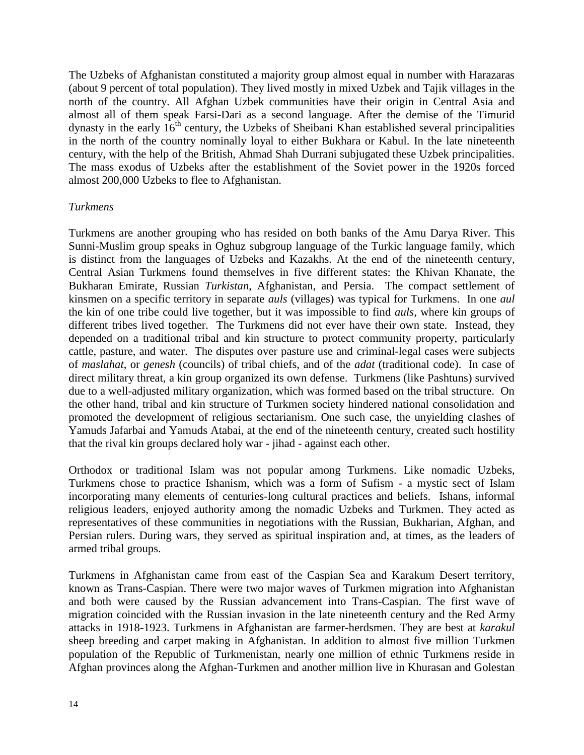The Uzbeks of Afghanistan constituted a majority group almost equal in number with Harazaras (about 9 percent of total population). They lived mostly in mixed Uzbek and Tajik villages in the north of the country. All Afghan Uzbek communities have their origin in Central Asia and almost all of them speak Farsi-Dari as a second language. After the demise of the Timurid dynasty in the early  $16<sup>th</sup>$  century, the Uzbeks of Sheibani Khan established several principalities in the north of the country nominally loyal to either Bukhara or Kabul. In the late nineteenth century, with the help of the British, Ahmad Shah Durrani subjugated these Uzbek principalities. The mass exodus of Uzbeks after the establishment of the Soviet power in the 1920s forced almost 200,000 Uzbeks to flee to Afghanistan.

#### *Turkmens*

Turkmens are another grouping who has resided on both banks of the Amu Darya River. This Sunni-Muslim group speaks in Oghuz subgroup language of the Turkic language family, which is distinct from the languages of Uzbeks and Kazakhs. At the end of the nineteenth century, Central Asian Turkmens found themselves in five different states: the Khivan Khanate, the Bukharan Emirate, Russian *Turkistan*, Afghanistan, and Persia. The compact settlement of kinsmen on a specific territory in separate *auls* (villages) was typical for Turkmens. In one *aul* the kin of one tribe could live together, but it was impossible to find *auls*, where kin groups of different tribes lived together. The Turkmens did not ever have their own state. Instead, they depended on a traditional tribal and kin structure to protect community property, particularly cattle, pasture, and water. The disputes over pasture use and criminal-legal cases were subjects of *maslahat*, or *genesh* (councils) of tribal chiefs, and of the *adat* (traditional code). In case of direct military threat, a kin group organized its own defense. Turkmens (like Pashtuns) survived due to a well-adjusted military organization, which was formed based on the tribal structure. On the other hand, tribal and kin structure of Turkmen society hindered national consolidation and promoted the development of religious sectarianism. One such case, the unyielding clashes of Yamuds Jafarbai and Yamuds Atabai, at the end of the nineteenth century, created such hostility that the rival kin groups declared holy war - jihad - against each other.

Orthodox or traditional Islam was not popular among Turkmens. Like nomadic Uzbeks, Turkmens chose to practice Ishanism, which was a form of Sufism - a mystic sect of Islam incorporating many elements of centuries-long cultural practices and beliefs. Ishans, informal religious leaders, enjoyed authority among the nomadic Uzbeks and Turkmen. They acted as representatives of these communities in negotiations with the Russian, Bukharian, Afghan, and Persian rulers. During wars, they served as spiritual inspiration and, at times, as the leaders of armed tribal groups.

Turkmens in Afghanistan came from east of the Caspian Sea and Karakum Desert territory, known as Trans-Caspian. There were two major waves of Turkmen migration into Afghanistan and both were caused by the Russian advancement into Trans-Caspian. The first wave of migration coincided with the Russian invasion in the late nineteenth century and the Red Army attacks in 1918-1923. Turkmens in Afghanistan are farmer-herdsmen. They are best at *karakul* sheep breeding and carpet making in Afghanistan. In addition to almost five million Turkmen population of the Republic of Turkmenistan, nearly one million of ethnic Turkmens reside in Afghan provinces along the Afghan-Turkmen and another million live in Khurasan and Golestan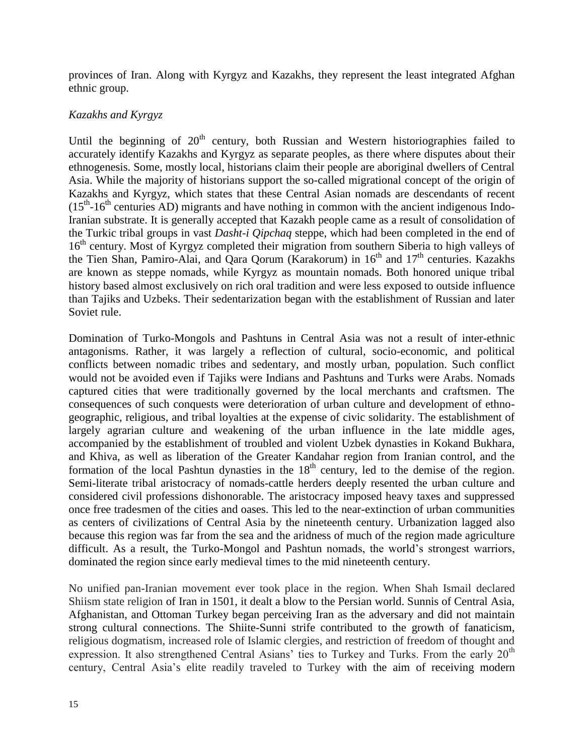provinces of Iran. Along with Kyrgyz and Kazakhs, they represent the least integrated Afghan ethnic group.

#### *Kazakhs and Kyrgyz*

Until the beginning of  $20<sup>th</sup>$  century, both Russian and Western historiographies failed to accurately identify Kazakhs and Kyrgyz as separate peoples, as there where disputes about their ethnogenesis. Some, mostly local, historians claim their people are aboriginal dwellers of Central Asia. While the majority of historians support the so-called migrational concept of the origin of Kazakhs and Kyrgyz, which states that these Central Asian nomads are descendants of recent  $(15<sup>th</sup> - 16<sup>th</sup>$  centuries AD) migrants and have nothing in common with the ancient indigenous Indo-Iranian substrate. It is generally accepted that Kazakh people came as a result of consolidation of the Turkic tribal groups in vast *Dasht-i Qipchaq* steppe, which had been completed in the end of 16<sup>th</sup> century. Most of Kyrgyz completed their migration from southern Siberia to high valleys of the Tien Shan, Pamiro-Alai, and Qara Qorum (Karakorum) in  $16<sup>th</sup>$  and  $17<sup>th</sup>$  centuries. Kazakhs are known as steppe nomads, while Kyrgyz as mountain nomads. Both honored unique tribal history based almost exclusively on rich oral tradition and were less exposed to outside influence than Tajiks and Uzbeks. Their sedentarization began with the establishment of Russian and later Soviet rule.

Domination of Turko-Mongols and Pashtuns in Central Asia was not a result of inter-ethnic antagonisms. Rather, it was largely a reflection of cultural, socio-economic, and political conflicts between nomadic tribes and sedentary, and mostly urban, population. Such conflict would not be avoided even if Tajiks were Indians and Pashtuns and Turks were Arabs. Nomads captured cities that were traditionally governed by the local merchants and craftsmen. The consequences of such conquests were deterioration of urban culture and development of ethnogeographic, religious, and tribal loyalties at the expense of civic solidarity. The establishment of largely agrarian culture and weakening of the urban influence in the late middle ages, accompanied by the establishment of troubled and violent Uzbek dynasties in Kokand Bukhara, and Khiva, as well as liberation of the Greater Kandahar region from Iranian control, and the formation of the local Pashtun dynasties in the  $18<sup>th</sup>$  century, led to the demise of the region. Semi-literate tribal aristocracy of nomads-cattle herders deeply resented the urban culture and considered civil professions dishonorable. The aristocracy imposed heavy taxes and suppressed once free tradesmen of the cities and oases. This led to the near-extinction of urban communities as centers of civilizations of Central Asia by the nineteenth century. Urbanization lagged also because this region was far from the sea and the aridness of much of the region made agriculture difficult. As a result, the Turko-Mongol and Pashtun nomads, the world's strongest warriors, dominated the region since early medieval times to the mid nineteenth century.

No unified pan-Iranian movement ever took place in the region. When Shah Ismail declared Shiism state religion of Iran in 1501, it dealt a blow to the Persian world. Sunnis of Central Asia, Afghanistan, and Ottoman Turkey began perceiving Iran as the adversary and did not maintain strong cultural connections. The Shiite-Sunni strife contributed to the growth of fanaticism, religious dogmatism, increased role of Islamic clergies, and restriction of freedom of thought and expression. It also strengthened Central Asians' ties to Turkey and Turks. From the early  $20<sup>th</sup>$ century, Central Asia's elite readily traveled to Turkey with the aim of receiving modern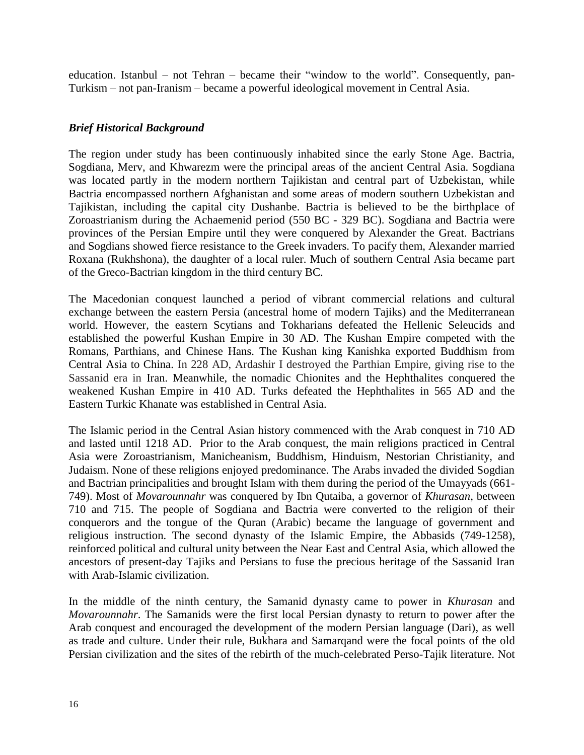education. Istanbul – not Tehran – became their "window to the world". Consequently, pan-Turkism – not pan-Iranism – became a powerful ideological movement in Central Asia.

#### *Brief Historical Background*

The region under study has been continuously inhabited since the early Stone Age. Bactria, Sogdiana, Merv, and Khwarezm were the principal areas of the ancient Central Asia. Sogdiana was located partly in the modern northern Tajikistan and central part of Uzbekistan, while Bactria encompassed northern Afghanistan and some areas of modern southern Uzbekistan and Tajikistan, including the capital city Dushanbe. Bactria is believed to be the birthplace of Zoroastrianism during the Achaemenid period (550 BC - 329 BC). Sogdiana and Bactria were provinces of the Persian Empire until they were conquered by Alexander the Great. Bactrians and Sogdians showed fierce resistance to the Greek invaders. To pacify them, Alexander married Roxana (Rukhshona), the daughter of a local ruler. Much of southern Central Asia became part of the Greco-Bactrian kingdom in the third century BC.

The Macedonian conquest launched a period of vibrant commercial relations and cultural exchange between the eastern Persia (ancestral home of modern Tajiks) and the Mediterranean world. However, the eastern Scytians and Tokharians defeated the Hellenic Seleucids and established the powerful Kushan Empire in 30 AD. The Kushan Empire competed with the Romans, Parthians, and Chinese Hans. The Kushan king Kanishka exported Buddhism from Central Asia to China. In 228 AD, Ardashir I destroyed the Parthian Empire, giving rise to the Sassanid era in Iran. Meanwhile, the nomadic Chionites and the Hephthalites conquered the weakened Kushan Empire in 410 AD. Turks defeated the Hephthalites in 565 AD and the Eastern Turkic Khanate was established in Central Asia.

The Islamic period in the Central Asian history commenced with the Arab conquest in 710 AD and lasted until 1218 AD. Prior to the Arab conquest, the main religions practiced in Central Asia were Zoroastrianism, Manicheanism, Buddhism, Hinduism, Nestorian Christianity, and Judaism. None of these religions enjoyed predominance. The Arabs invaded the divided Sogdian and Bactrian principalities and brought Islam with them during the period of the Umayyads (661- 749). Most of *Movarounnahr* was conquered by Ibn Qutaiba, a governor of *Khurasan*, between 710 and 715. The people of Sogdiana and Bactria were converted to the religion of their conquerors and the tongue of the Quran (Arabic) became the language of government and religious instruction. The second dynasty of the Islamic Empire, the Abbasids (749-1258), reinforced political and cultural unity between the Near East and Central Asia, which allowed the ancestors of present-day Tajiks and Persians to fuse the precious heritage of the Sassanid Iran with Arab-Islamic civilization.

In the middle of the ninth century, the Samanid dynasty came to power in *Khurasan* and *Movarounnahr*. The Samanids were the first local Persian dynasty to return to power after the Arab conquest and encouraged the development of the modern Persian language (Dari), as well as trade and culture. Under their rule, Bukhara and Samarqand were the focal points of the old Persian civilization and the sites of the rebirth of the much-celebrated Perso-Tajik literature. Not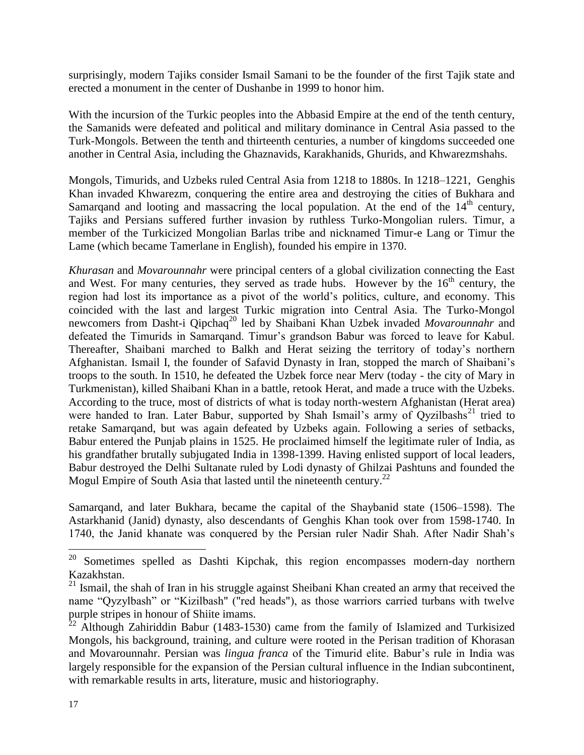surprisingly, modern Tajiks consider Ismail Samani to be the founder of the first Tajik state and erected a monument in the center of Dushanbe in 1999 to honor him.

With the incursion of the Turkic peoples into the Abbasid Empire at the end of the tenth century, the Samanids were defeated and political and military dominance in Central Asia passed to the Turk-Mongols. Between the tenth and thirteenth centuries, a number of kingdoms succeeded one another in Central Asia, including the Ghaznavids, Karakhanids, Ghurids, and Khwarezmshahs.

Mongols, Timurids, and Uzbeks ruled Central Asia from 1218 to 1880s. In 1218–1221, Genghis Khan invaded Khwarezm, conquering the entire area and destroying the cities of Bukhara and Samarqand and looting and massacring the local population. At the end of the  $14<sup>th</sup>$  century, Tajiks and Persians suffered further invasion by ruthless Turko-Mongolian rulers. Timur, a member of the Turkicized Mongolian Barlas tribe and nicknamed Timur-e Lang or Timur the Lame (which became Tamerlane in English), founded his empire in 1370.

*Khurasan* and *Movarounnahr* were principal centers of a global civilization connecting the East and West. For many centuries, they served as trade hubs. However by the  $16<sup>th</sup>$  century, the region had lost its importance as a pivot of the world's politics, culture, and economy. This coincided with the last and largest Turkic migration into Central Asia. The Turko-Mongol newcomers from Dasht-i Qipchaq<sup>20</sup> led by Shaibani Khan Uzbek invaded *Movarounnahr* and defeated the Timurids in Samarqand. Timur's grandson Babur was forced to leave for Kabul. Thereafter, Shaibani marched to Balkh and Herat seizing the territory of today's northern Afghanistan. Ismail I, the founder of Safavid Dynasty in Iran, stopped the march of Shaibani's troops to the south. In 1510, he defeated the Uzbek force near Merv (today - the city of Mary in Turkmenistan), killed Shaibani Khan in a battle, retook Herat, and made a truce with the Uzbeks. According to the truce, most of districts of what is today north-western Afghanistan (Herat area) were handed to Iran. Later Babur, supported by Shah Ismail's army of Ovzilbashs<sup>21</sup> tried to retake Samarqand, but was again defeated by Uzbeks again. Following a series of setbacks, Babur entered the Punjab plains in 1525. He proclaimed himself the legitimate ruler of India, as his grandfather brutally subjugated India in 1398-1399. Having enlisted support of local leaders, Babur destroyed the Delhi Sultanate ruled by Lodi dynasty of Ghilzai Pashtuns and founded the Mogul Empire of South Asia that lasted until the nineteenth century.<sup>22</sup>

Samarqand, and later Bukhara, became the capital of the Shaybanid state (1506–1598). The Astarkhanid (Janid) dynasty, also descendants of Genghis Khan took over from 1598-1740. In 1740, the Janid khanate was conquered by the Persian ruler Nadir Shah. After Nadir Shah's

 $20$  Sometimes spelled as Dashti Kipchak, this region encompasses modern-day northern Kazakhstan.

<sup>&</sup>lt;sup>21</sup> Ismail, the shah of Iran in his struggle against Sheibani Khan created an army that received the name "Qyzylbash" or "Kizilbash" ("red heads"), as those warriors carried turbans with twelve purple stripes in honour of Shiite imams.

 $^{22}$  Although Zahiriddin Babur (1483-1530) came from the family of Islamized and Turkisized Mongols, his background, training, and culture were rooted in the Perisan tradition of Khorasan and Movarounnahr. Persian was *lingua franca* of the Timurid elite. Babur's rule in India was largely responsible for the expansion of the Persian cultural influence in the Indian subcontinent, with remarkable results in arts, literature, music and historiography.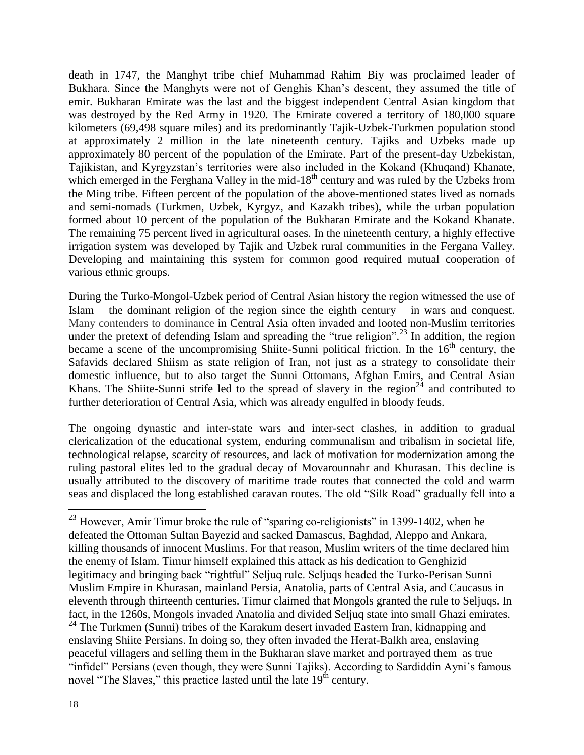death in 1747, the Manghyt tribe chief Muhammad Rahim Biy was proclaimed leader of Bukhara. Since the Manghyts were not of Genghis Khan's descent, they assumed the title of emir. Bukharan Emirate was the last and the biggest independent Central Asian kingdom that was destroyed by the Red Army in 1920. The Emirate covered a territory of 180,000 square kilometers (69,498 square miles) and its predominantly Tajik-Uzbek-Turkmen population stood at approximately 2 million in the late nineteenth century. Tajiks and Uzbeks made up approximately 80 percent of the population of the Emirate. Part of the present-day Uzbekistan, Tajikistan, and Kyrgyzstan's territories were also included in the Kokand (Khuqand) Khanate, which emerged in the Ferghana Valley in the mid-18<sup>th</sup> century and was ruled by the Uzbeks from the Ming tribe. Fifteen percent of the population of the above-mentioned states lived as nomads and semi-nomads (Turkmen, Uzbek, Kyrgyz, and Kazakh tribes), while the urban population formed about 10 percent of the population of the Bukharan Emirate and the Kokand Khanate. The remaining 75 percent lived in agricultural oases. In the nineteenth century, a highly effective irrigation system was developed by Tajik and Uzbek rural communities in the Fergana Valley. Developing and maintaining this system for common good required mutual cooperation of various ethnic groups.

During the Turko-Mongol-Uzbek period of Central Asian history the region witnessed the use of Islam – the dominant religion of the region since the eighth century – in wars and conquest. Many contenders to dominance in Central Asia often invaded and looted non-Muslim territories under the pretext of defending Islam and spreading the "true religion".<sup>23</sup> In addition, the region became a scene of the uncompromising Shiite-Sunni political friction. In the  $16<sup>th</sup>$  century, the Safavids declared Shiism as state religion of Iran, not just as a strategy to consolidate their domestic influence, but to also target the Sunni Ottomans, Afghan Emirs, and Central Asian Khans. The Shiite-Sunni strife led to the spread of slavery in the region<sup>24</sup> and contributed to further deterioration of Central Asia, which was already engulfed in bloody feuds.

The ongoing dynastic and inter-state wars and inter-sect clashes, in addition to gradual clericalization of the educational system, enduring communalism and tribalism in societal life, technological relapse, scarcity of resources, and lack of motivation for modernization among the ruling pastoral elites led to the gradual decay of Movarounnahr and Khurasan. This decline is usually attributed to the discovery of maritime trade routes that connected the cold and warm seas and displaced the long established caravan routes. The old "Silk Road" gradually fell into a

 $^{23}$  However, Amir Timur broke the rule of "sparing co-religionists" in 1399-1402, when he defeated the Ottoman Sultan Bayezid and sacked Damascus, Baghdad, Aleppo and Ankara, killing thousands of innocent Muslims. For that reason, Muslim writers of the time declared him the enemy of Islam. Timur himself explained this attack as his dedication to Genghizid legitimacy and bringing back "rightful" Seljuq rule. Seljuqs headed the Turko-Perisan Sunni Muslim Empire in Khurasan, mainland Persia, Anatolia, parts of Central Asia, and Caucasus in eleventh through thirteenth centuries. Timur claimed that Mongols granted the rule to Seljuqs. In fact, in the 1260s, Mongols invaded Anatolia and divided Seljuq state into small Ghazi emirates.  $24$  The Turkmen (Sunni) tribes of the Karakum desert invaded Eastern Iran, kidnapping and enslaving Shiite Persians. In doing so, they often invaded the Herat-Balkh area, enslaving peaceful villagers and selling them in the Bukharan slave market and portrayed them as true "infidel" Persians (even though, they were Sunni Tajiks). According to Sardiddin Ayni's famous novel "The Slaves," this practice lasted until the late 19<sup>th</sup> century.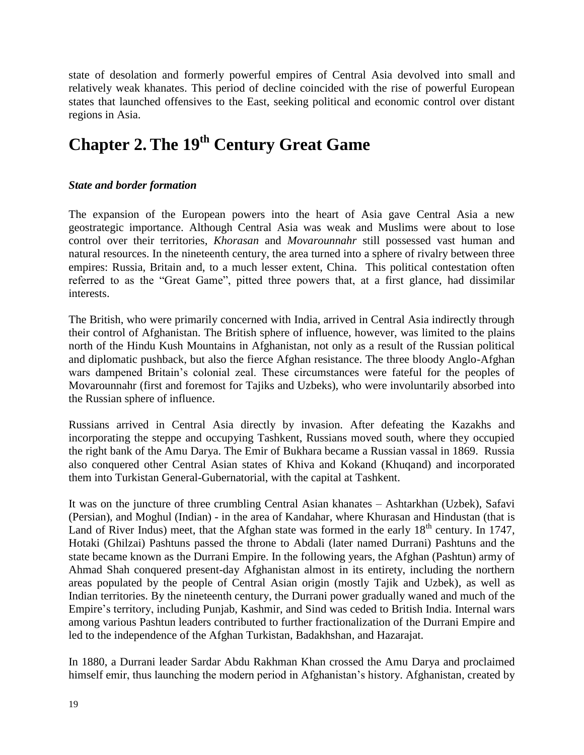state of desolation and formerly powerful empires of Central Asia devolved into small and relatively weak khanates. This period of decline coincided with the rise of powerful European states that launched offensives to the East, seeking political and economic control over distant regions in Asia.

## **Chapter 2. The 19th Century Great Game**

#### *State and border formation*

The expansion of the European powers into the heart of Asia gave Central Asia a new geostrategic importance. Although Central Asia was weak and Muslims were about to lose control over their territories, *Khorasan* and *Movarounnahr* still possessed vast human and natural resources. In the nineteenth century, the area turned into a sphere of rivalry between three empires: Russia, Britain and, to a much lesser extent, China. This political contestation often referred to as the "Great Game", pitted three powers that, at a first glance, had dissimilar interests.

The British, who were primarily concerned with India, arrived in Central Asia indirectly through their control of Afghanistan. The British sphere of influence, however, was limited to the plains north of the Hindu Kush Mountains in Afghanistan, not only as a result of the Russian political and diplomatic pushback, but also the fierce Afghan resistance. The three bloody Anglo-Afghan wars dampened Britain's colonial zeal. These circumstances were fateful for the peoples of Movarounnahr (first and foremost for Tajiks and Uzbeks), who were involuntarily absorbed into the Russian sphere of influence.

Russians arrived in Central Asia directly by invasion. After defeating the Kazakhs and incorporating the steppe and occupying Tashkent, Russians moved south, where they occupied the right bank of the Amu Darya. The Emir of Bukhara became a Russian vassal in 1869. Russia also conquered other Central Asian states of Khiva and Kokand (Khuqand) and incorporated them into Turkistan General-Gubernatorial, with the capital at Tashkent.

It was on the juncture of three crumbling Central Asian khanates – Ashtarkhan (Uzbek), Safavi (Persian), and Moghul (Indian) - in the area of Kandahar, where Khurasan and Hindustan (that is Land of River Indus) meet, that the Afghan state was formed in the early  $18<sup>th</sup>$  century. In 1747, Hotaki (Ghilzai) Pashtuns passed the throne to Abdali (later named Durrani) Pashtuns and the state became known as the Durrani Empire. In the following years, the Afghan (Pashtun) army of Ahmad Shah conquered present-day Afghanistan almost in its entirety, including the northern areas populated by the people of Central Asian origin (mostly Tajik and Uzbek), as well as Indian territories. By the nineteenth century, the Durrani power gradually waned and much of the Empire's territory, including Punjab, Kashmir, and Sind was ceded to British India. Internal wars among various Pashtun leaders contributed to further fractionalization of the Durrani Empire and led to the independence of the Afghan Turkistan, Badakhshan, and Hazarajat.

In 1880, a Durrani leader Sardar Abdu Rakhman Khan crossed the Amu Darya and proclaimed himself emir, thus launching the modern period in Afghanistan's history. Afghanistan, created by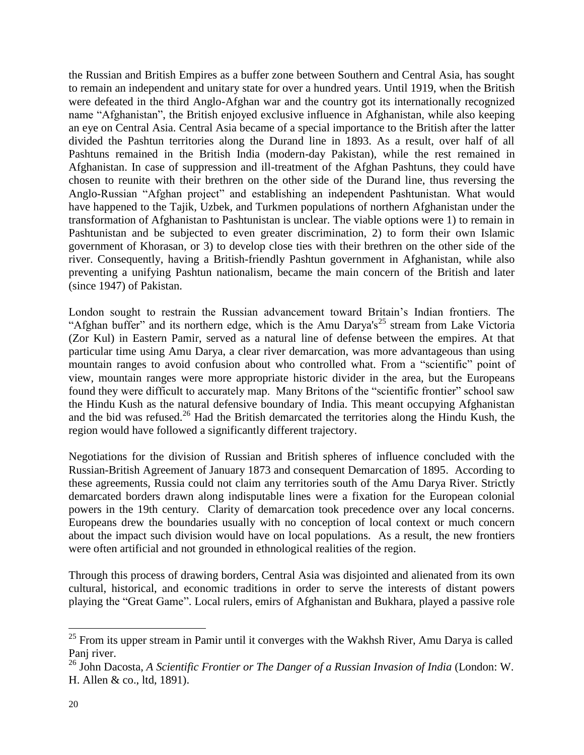the Russian and British Empires as a buffer zone between Southern and Central Asia, has sought to remain an independent and unitary state for over a hundred years. Until 1919, when the British were defeated in the third Anglo-Afghan war and the country got its internationally recognized name "Afghanistan", the British enjoyed exclusive influence in Afghanistan, while also keeping an eye on Central Asia. Central Asia became of a special importance to the British after the latter divided the Pashtun territories along the Durand line in 1893. As a result, over half of all Pashtuns remained in the British India (modern-day Pakistan), while the rest remained in Afghanistan. In case of suppression and ill-treatment of the Afghan Pashtuns, they could have chosen to reunite with their brethren on the other side of the Durand line, thus reversing the Anglo-Russian "Afghan project" and establishing an independent Pashtunistan. What would have happened to the Tajik, Uzbek, and Turkmen populations of northern Afghanistan under the transformation of Afghanistan to Pashtunistan is unclear. The viable options were 1) to remain in Pashtunistan and be subjected to even greater discrimination, 2) to form their own Islamic government of Khorasan, or 3) to develop close ties with their brethren on the other side of the river. Consequently, having a British-friendly Pashtun government in Afghanistan, while also preventing a unifying Pashtun nationalism, became the main concern of the British and later (since 1947) of Pakistan.

London sought to restrain the Russian advancement toward Britain's Indian frontiers. The "Afghan buffer" and its northern edge, which is the Amu Darya's<sup>25</sup> stream from Lake Victoria (Zor Kul) in Eastern Pamir, served as a natural line of defense between the empires. At that particular time using Amu Darya, a clear river demarcation, was more advantageous than using mountain ranges to avoid confusion about who controlled what. From a "scientific" point of view, mountain ranges were more appropriate historic divider in the area, but the Europeans found they were difficult to accurately map. Many Britons of the "scientific frontier" school saw the Hindu Kush as the natural defensive boundary of India. This meant occupying Afghanistan and the bid was refused.<sup>26</sup> Had the British demarcated the territories along the Hindu Kush, the region would have followed a significantly different trajectory.

Negotiations for the division of Russian and British spheres of influence concluded with the Russian-British Agreement of January 1873 and consequent Demarcation of 1895. According to these agreements, Russia could not claim any territories south of the Amu Darya River. Strictly demarcated borders drawn along indisputable lines were a fixation for the European colonial powers in the 19th century. Clarity of demarcation took precedence over any local concerns. Europeans drew the boundaries usually with no conception of local context or much concern about the impact such division would have on local populations. As a result, the new frontiers were often artificial and not grounded in ethnological realities of the region.

Through this process of drawing borders, Central Asia was disjointed and alienated from its own cultural, historical, and economic traditions in order to serve the interests of distant powers playing the "Great Game". Local rulers, emirs of Afghanistan and Bukhara, played a passive role

 $25$  From its upper stream in Pamir until it converges with the Wakhsh River, Amu Darya is called Panj river.

<sup>26</sup> John Dacosta, *A Scientific Frontier or The Danger of a Russian Invasion of India* (London: W. H. Allen & co., ltd, 1891).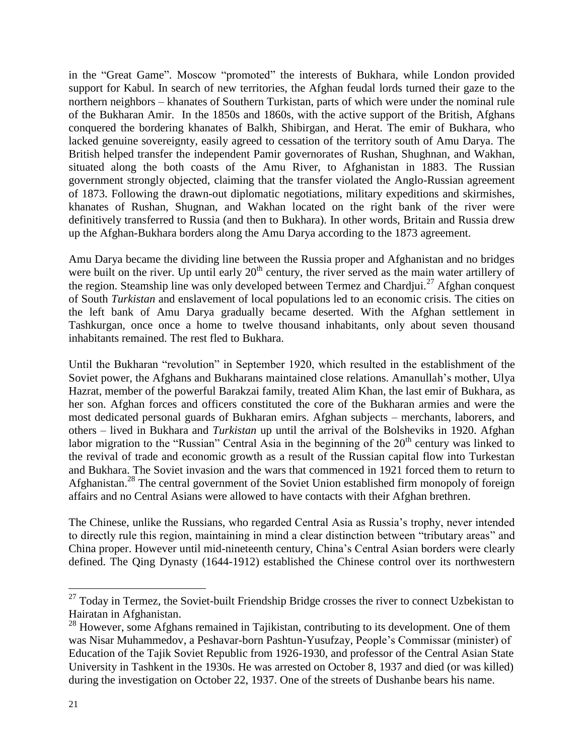in the "Great Game". Moscow "promoted" the interests of Bukhara, while London provided support for Kabul. In search of new territories, the Afghan feudal lords turned their gaze to the northern neighbors – khanates of Southern Turkistan, parts of which were under the nominal rule of the Bukharan Amir. In the 1850s and 1860s, with the active support of the British, Afghans conquered the bordering khanates of Balkh, Shibirgan, and Herat. The emir of Bukhara, who lacked genuine sovereignty, easily agreed to cessation of the territory south of Amu Darya. The British helped transfer the independent Pamir governorates of Rushan, Shughnan, and Wakhan, situated along the both coasts of the Amu River, to Afghanistan in 1883. The Russian government strongly objected, claiming that the transfer violated the Anglo-Russian agreement of 1873. Following the drawn-out diplomatic negotiations, military expeditions and skirmishes, khanates of Rushan, Shugnan, and Wakhan located on the right bank of the river were definitively transferred to Russia (and then to Bukhara). In other words, Britain and Russia drew up the Afghan-Bukhara borders along the Amu Darya according to the 1873 agreement.

Amu Darya became the dividing line between the Russia proper and Afghanistan and no bridges were built on the river. Up until early  $20<sup>th</sup>$  century, the river served as the main water artillery of the region. Steamship line was only developed between Termez and Chardjui.<sup>27</sup> Afghan conquest of South *Turkistan* and enslavement of local populations led to an economic crisis. The cities on the left bank of Amu Darya gradually became deserted. With the Afghan settlement in Tashkurgan, once once a home to twelve thousand inhabitants, only about seven thousand inhabitants remained. The rest fled to Bukhara.

Until the Bukharan "revolution" in September 1920, which resulted in the establishment of the Soviet power, the Afghans and Bukharans maintained close relations. Amanullah's mother, Ulya Hazrat, member of the powerful Barakzai family, treated Alim Khan, the last emir of Bukhara, as her son. Afghan forces and officers constituted the core of the Bukharan armies and were the most dedicated personal guards of Bukharan emirs. Afghan subjects – merchants, laborers, and others – lived in Bukhara and *Turkistan* up until the arrival of the Bolsheviks in 1920. Afghan labor migration to the "Russian" Central Asia in the beginning of the  $20<sup>th</sup>$  century was linked to the revival of trade and economic growth as a result of the Russian capital flow into Turkestan and Bukhara. The Soviet invasion and the wars that commenced in 1921 forced them to return to Afghanistan.<sup>28</sup> The central government of the Soviet Union established firm monopoly of foreign affairs and no Central Asians were allowed to have contacts with their Afghan brethren.

The Chinese, unlike the Russians, who regarded Central Asia as Russia's trophy, never intended to directly rule this region, maintaining in mind a clear distinction between "tributary areas" and China proper. However until mid-nineteenth century, China's Central Asian borders were clearly defined. The Qing Dynasty (1644-1912) established the Chinese control over its northwestern

 $27$  Today in Termez, the Soviet-built Friendship Bridge crosses the river to connect Uzbekistan to Hairatan in Afghanistan.

 $28$  However, some Afghans remained in Tajikistan, contributing to its development. One of them was Nisar Muhammedov, a Peshavar-born Pashtun-Yusufzay, People's Commissar (minister) of Education of the Tajik Soviet Republic from 1926-1930, and professor of the Central Asian State University in Tashkent in the 1930s. He was arrested on October 8, 1937 and died (or was killed) during the investigation on October 22, 1937. One of the streets of Dushanbe bears his name.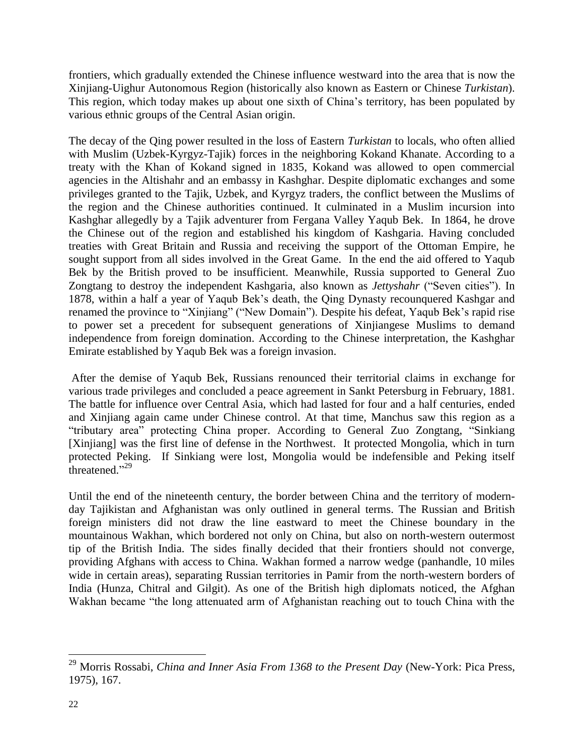frontiers, which gradually extended the Chinese influence westward into the area that is now the Xinjiang-Uighur Autonomous Region (historically also known as Eastern or Chinese *Turkistan*). This region, which today makes up about one sixth of China's territory, has been populated by various ethnic groups of the Central Asian origin.

The decay of the Qing power resulted in the loss of Eastern *Turkistan* to locals, who often allied with Muslim (Uzbek-Kyrgyz-Tajik) forces in the neighboring Kokand Khanate. According to a treaty with the Khan of Kokand signed in 1835, Kokand was allowed to open commercial agencies in the Altishahr and an embassy in Kashghar. Despite diplomatic exchanges and some privileges granted to the Tajik, Uzbek, and Kyrgyz traders, the conflict between the Muslims of the region and the Chinese authorities continued. It culminated in a Muslim incursion into Kashghar allegedly by a Tajik adventurer from Fergana Valley Yaqub Bek. In 1864, he drove the Chinese out of the region and established his kingdom of Kashgaria. Having concluded treaties with Great Britain and Russia and receiving the support of the Ottoman Empire, he sought support from all sides involved in the Great Game. In the end the aid offered to Yaqub Bek by the British proved to be insufficient. Meanwhile, Russia supported to General Zuo Zongtang to destroy the independent Kashgaria, also known as *Jettyshahr* ("Seven cities"). In 1878, within a half a year of Yaqub Bek's death, the Qing Dynasty recounquered Kashgar and renamed the province to "Xinjiang" ("New Domain"). Despite his defeat, Yaqub Bek's rapid rise to power set a precedent for subsequent generations of Xinjiangese Muslims to demand independence from foreign domination. According to the Chinese interpretation, the Kashghar Emirate established by Yaqub Bek was a foreign invasion.

After the demise of Yaqub Bek, Russians renounced their territorial claims in exchange for various trade privileges and concluded a peace agreement in Sankt Petersburg in February, 1881. The battle for influence over Central Asia, which had lasted for four and a half centuries, ended and Xinjiang again came under Chinese control. At that time, Manchus saw this region as a "tributary area" protecting China proper. According to General Zuo Zongtang, "Sinkiang [Xinjiang] was the first line of defense in the Northwest. It protected Mongolia, which in turn protected Peking. If Sinkiang were lost, Mongolia would be indefensible and Peking itself threatened." 29

Until the end of the nineteenth century, the border between China and the territory of modernday Tajikistan and Afghanistan was only outlined in general terms. The Russian and British foreign ministers did not draw the line eastward to meet the Chinese boundary in the mountainous Wakhan, which bordered not only on China, but also on north-western outermost tip of the British India. The sides finally decided that their frontiers should not converge, providing Afghans with access to China. Wakhan formed a narrow wedge (panhandle, 10 miles wide in certain areas), separating Russian territories in Pamir from the north-western borders of India (Hunza, Chitral and Gilgit). As one of the British high diplomats noticed, the Afghan Wakhan became "the long attenuated arm of Afghanistan reaching out to touch China with the

<sup>29</sup> Morris Rossabi, *China and Inner Asia From 1368 to the Present Day* (New-York: Pica Press, 1975), 167.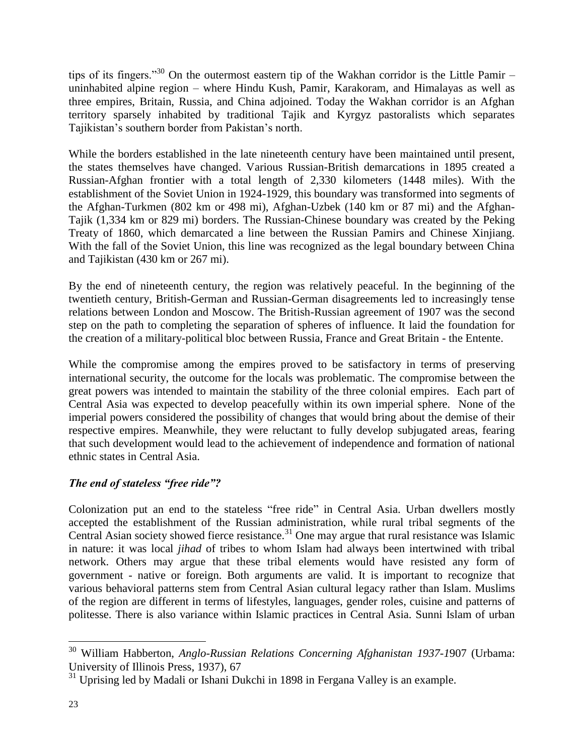tips of its fingers."<sup>30</sup> On the outermost eastern tip of the Wakhan corridor is the Little Pamir – uninhabited alpine region – where Hindu Kush, Pamir, Karakoram, and Himalayas as well as three empires, Britain, Russia, and China adjoined. Today the Wakhan corridor is an Afghan territory sparsely inhabited by traditional Tajik and Kyrgyz pastoralists which separates Tajikistan's southern border from Pakistan's north.

While the borders established in the late nineteenth century have been maintained until present, the states themselves have changed. Various Russian-British demarcations in 1895 created a Russian-Afghan frontier with a total length of 2,330 kilometers (1448 miles). With the establishment of the Soviet Union in 1924-1929, this boundary was transformed into segments of the Afghan-Turkmen (802 km or 498 mi), Afghan-Uzbek (140 km or 87 mi) and the Afghan-Tajik (1,334 km or 829 mi) borders. The Russian-Chinese boundary was created by the Peking Treaty of 1860, which demarcated a line between the Russian Pamirs and Chinese Xinjiang. With the fall of the Soviet Union, this line was recognized as the legal boundary between China and Tajikistan (430 km or 267 mi).

By the end of nineteenth century, the region was relatively peaceful. In the beginning of the twentieth century, British-German and Russian-German disagreements led to increasingly tense relations between London and Moscow. The British-Russian agreement of 1907 was the second step on the path to completing the separation of spheres of influence. It laid the foundation for the creation of a military-political bloc between Russia, France and Great Britain - the Entente.

While the compromise among the empires proved to be satisfactory in terms of preserving international security, the outcome for the locals was problematic. The compromise between the great powers was intended to maintain the stability of the three colonial empires. Each part of Central Asia was expected to develop peacefully within its own imperial sphere. None of the imperial powers considered the possibility of changes that would bring about the demise of their respective empires. Meanwhile, they were reluctant to fully develop subjugated areas, fearing that such development would lead to the achievement of independence and formation of national ethnic states in Central Asia.

#### *The end of stateless "free ride"?*

Colonization put an end to the stateless "free ride" in Central Asia. Urban dwellers mostly accepted the establishment of the Russian administration, while rural tribal segments of the Central Asian society showed fierce resistance.<sup>31</sup> One may argue that rural resistance was Islamic in nature: it was local *jihad* of tribes to whom Islam had always been intertwined with tribal network. Others may argue that these tribal elements would have resisted any form of government - native or foreign. Both arguments are valid. It is important to recognize that various behavioral patterns stem from Central Asian cultural legacy rather than Islam. Muslims of the region are different in terms of lifestyles, languages, gender roles, cuisine and patterns of politesse. There is also variance within Islamic practices in Central Asia. Sunni Islam of urban

 $\overline{a}$ <sup>30</sup> William Habberton, *Anglo-Russian Relations Concerning Afghanistan 1937-1*907 (Urbama: University of Illinois Press, 1937), 67

<sup>&</sup>lt;sup>31</sup> Uprising led by Madali or Ishani Dukchi in 1898 in Fergana Valley is an example.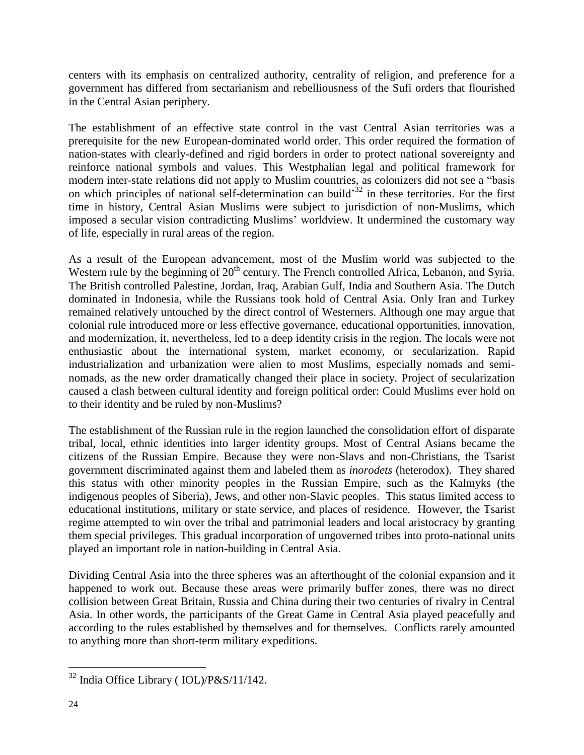centers with its emphasis on centralized authority, centrality of religion, and preference for a government has differed from sectarianism and rebelliousness of the Sufi orders that flourished in the Central Asian periphery.

The establishment of an effective state control in the vast Central Asian territories was a prerequisite for the new European-dominated world order. This order required the formation of nation-states with clearly-defined and rigid borders in order to protect national sovereignty and reinforce national symbols and values. This Westphalian legal and political framework for modern inter-state relations did not apply to Muslim countries, as colonizers did not see a "basis on which principles of national self-determination can build<sup>32</sup> in these territories. For the first time in history, Central Asian Muslims were subject to jurisdiction of non-Muslims, which imposed a secular vision contradicting Muslims' worldview. It undermined the customary way of life, especially in rural areas of the region.

As a result of the European advancement, most of the Muslim world was subjected to the Western rule by the beginning of 20<sup>th</sup> century. The French controlled Africa, Lebanon, and Syria. The British controlled Palestine, Jordan, Iraq, Arabian Gulf, India and Southern Asia. The Dutch dominated in Indonesia, while the Russians took hold of Central Asia. Only Iran and Turkey remained relatively untouched by the direct control of Westerners. Although one may argue that colonial rule introduced more or less effective governance, educational opportunities, innovation, and modernization, it, nevertheless, led to a deep identity crisis in the region. The locals were not enthusiastic about the international system, market economy, or secularization. Rapid industrialization and urbanization were alien to most Muslims, especially nomads and seminomads, as the new order dramatically changed their place in society. Project of secularization caused a clash between cultural identity and foreign political order: Could Muslims ever hold on to their identity and be ruled by non-Muslims?

The establishment of the Russian rule in the region launched the consolidation effort of disparate tribal, local, ethnic identities into larger identity groups. Most of Central Asians became the citizens of the Russian Empire. Because they were non-Slavs and non-Christians, the Tsarist government discriminated against them and labeled them as *inorodets* (heterodox). They shared this status with other minority peoples in the Russian Empire, such as the Kalmyks (the indigenous peoples of Siberia), Jews, and other non-Slavic peoples. This status limited access to educational institutions, military or state service, and places of residence. However, the Tsarist regime attempted to win over the tribal and patrimonial leaders and local aristocracy by granting them special privileges. This gradual incorporation of ungoverned tribes into proto-national units played an important role in nation-building in Central Asia.

Dividing Central Asia into the three spheres was an afterthought of the colonial expansion and it happened to work out. Because these areas were primarily buffer zones, there was no direct collision between Great Britain, Russia and China during their two centuries of rivalry in Central Asia. In other words, the participants of the Great Game in Central Asia played peacefully and according to the rules established by themselves and for themselves. Conflicts rarely amounted to anything more than short-term military expeditions.

 $\overline{a}$  $32$  India Office Library (IOL)/P&S/11/142.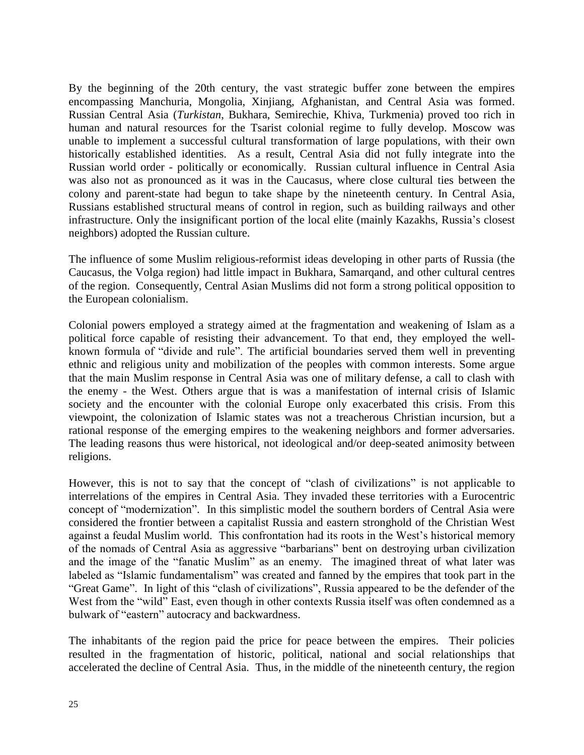By the beginning of the 20th century, the vast strategic buffer zone between the empires encompassing Manchuria, Mongolia, Xinjiang, Afghanistan, and Central Asia was formed. Russian Central Asia (*Turkistan*, Bukhara, Semirechie, Khiva, Turkmenia) proved too rich in human and natural resources for the Tsarist colonial regime to fully develop. Moscow was unable to implement a successful cultural transformation of large populations, with their own historically established identities. As a result, Central Asia did not fully integrate into the Russian world order - politically or economically. Russian cultural influence in Central Asia was also not as pronounced as it was in the Caucasus, where close cultural ties between the colony and parent-state had begun to take shape by the nineteenth century. In Central Asia, Russians established structural means of control in region, such as building railways and other infrastructure. Only the insignificant portion of the local elite (mainly Kazakhs, Russia's closest neighbors) adopted the Russian culture.

The influence of some Muslim religious-reformist ideas developing in other parts of Russia (the Caucasus, the Volga region) had little impact in Bukhara, Samarqand, and other cultural centres of the region. Consequently, Central Asian Muslims did not form a strong political opposition to the European colonialism.

Colonial powers employed a strategy aimed at the fragmentation and weakening of Islam as a political force capable of resisting their advancement. To that end, they employed the wellknown formula of "divide and rule". The artificial boundaries served them well in preventing ethnic and religious unity and mobilization of the peoples with common interests. Some argue that the main Muslim response in Central Asia was one of military defense, a call to clash with the enemy - the West. Others argue that is was a manifestation of internal crisis of Islamic society and the encounter with the colonial Europe only exacerbated this crisis. From this viewpoint, the colonization of Islamic states was not a treacherous Christian incursion, but a rational response of the emerging empires to the weakening neighbors and former adversaries. The leading reasons thus were historical, not ideological and/or deep-seated animosity between religions.

However, this is not to say that the concept of "clash of civilizations" is not applicable to interrelations of the empires in Central Asia. They invaded these territories with a Eurocentric concept of "modernization". In this simplistic model the southern borders of Central Asia were considered the frontier between a capitalist Russia and eastern stronghold of the Christian West against a feudal Muslim world. This confrontation had its roots in the West's historical memory of the nomads of Central Asia as aggressive "barbarians" bent on destroying urban civilization and the image of the "fanatic Muslim" as an enemy. The imagined threat of what later was labeled as "Islamic fundamentalism" was created and fanned by the empires that took part in the "Great Game". In light of this "clash of civilizations", Russia appeared to be the defender of the West from the "wild" East, even though in other contexts Russia itself was often condemned as a bulwark of "eastern" autocracy and backwardness.

The inhabitants of the region paid the price for peace between the empires. Their policies resulted in the fragmentation of historic, political, national and social relationships that accelerated the decline of Central Asia. Thus, in the middle of the nineteenth century, the region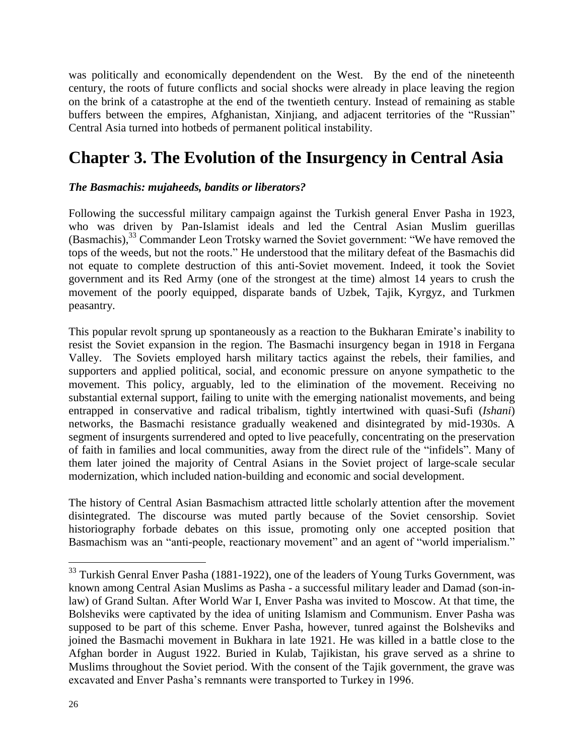was politically and economically dependendent on the West. By the end of the nineteenth century, the roots of future conflicts and social shocks were already in place leaving the region on the brink of a catastrophe at the end of the twentieth century. Instead of remaining as stable buffers between the empires, Afghanistan, Xinjiang, and adjacent territories of the "Russian" Central Asia turned into hotbeds of permanent political instability.

## **Chapter 3. The Evolution of the Insurgency in Central Asia**

#### *The Basmachis: mujaheeds, bandits or liberators?*

Following the successful military campaign against the Turkish general Enver Pasha in 1923, who was driven by Pan-Islamist ideals and led the Central Asian Muslim guerillas (Basmachis),<sup>33</sup> Commander Leon Trotsky warned the Soviet government: "We have removed the tops of the weeds, but not the roots." He understood that the military defeat of the Basmachis did not equate to complete destruction of this anti-Soviet movement. Indeed, it took the Soviet government and its Red Army (one of the strongest at the time) almost 14 years to crush the movement of the poorly equipped, disparate bands of Uzbek, Tajik, Kyrgyz, and Turkmen peasantry.

This popular revolt sprung up spontaneously as a reaction to the Bukharan Emirate's inability to resist the Soviet expansion in the region. The Basmachi insurgency began in 1918 in Fergana Valley. The Soviets employed harsh military tactics against the rebels, their families, and supporters and applied political, social, and economic pressure on anyone sympathetic to the movement. This policy, arguably, led to the elimination of the movement. Receiving no substantial external support, failing to unite with the emerging nationalist movements, and being entrapped in conservative and radical tribalism, tightly intertwined with quasi-Sufi (*Ishani*) networks, the Basmachi resistance gradually weakened and disintegrated by mid-1930s. A segment of insurgents surrendered and opted to live peacefully, concentrating on the preservation of faith in families and local communities, away from the direct rule of the "infidels". Many of them later joined the majority of Central Asians in the Soviet project of large-scale secular modernization, which included nation-building and economic and social development.

The history of Central Asian Basmachism attracted little scholarly attention after the movement disintegrated. The discourse was muted partly because of the Soviet censorship. Soviet historiography forbade debates on this issue, promoting only one accepted position that Basmachism was an "anti-people, reactionary movement" and an agent of "world imperialism."

 $33$  Turkish Genral Enver Pasha (1881-1922), one of the leaders of Young Turks Government, was known among Central Asian Muslims as Pasha - a successful military leader and Damad (son-inlaw) of Grand Sultan. After World War I, Enver Pasha was invited to Moscow. At that time, the Bolsheviks were captivated by the idea of uniting Islamism and Communism. Enver Pasha was supposed to be part of this scheme. Enver Pasha, however, tunred against the Bolsheviks and joined the Basmachi movement in Bukhara in late 1921. He was killed in a battle close to the Afghan border in August 1922. Buried in Kulab, Tajikistan, his grave served as a shrine to Muslims throughout the Soviet period. With the consent of the Tajik government, the grave was excavated and Enver Pasha's remnants were transported to Turkey in 1996.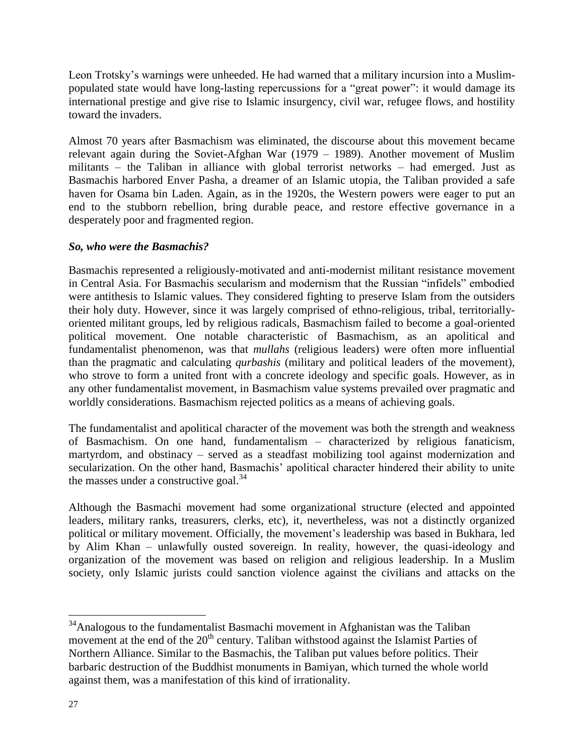Leon Trotsky's warnings were unheeded. He had warned that a military incursion into a Muslimpopulated state would have long-lasting repercussions for a "great power": it would damage its international prestige and give rise to Islamic insurgency, civil war, refugee flows, and hostility toward the invaders.

Almost 70 years after Basmachism was eliminated, the discourse about this movement became relevant again during the Soviet-Afghan War (1979 – 1989). Another movement of Muslim militants – the Taliban in alliance with global terrorist networks – had emerged. Just as Basmachis harbored Enver Pasha, a dreamer of an Islamic utopia, the Taliban provided a safe haven for Osama bin Laden. Again, as in the 1920s, the Western powers were eager to put an end to the stubborn rebellion, bring durable peace, and restore effective governance in a desperately poor and fragmented region.

#### *So, who were the Basmachis?*

Basmachis represented a religiously-motivated and anti-modernist militant resistance movement in Central Asia. For Basmachis secularism and modernism that the Russian "infidels" embodied were antithesis to Islamic values. They considered fighting to preserve Islam from the outsiders their holy duty. However, since it was largely comprised of ethno-religious, tribal, territoriallyoriented militant groups, led by religious radicals, Basmachism failed to become a goal-oriented political movement. One notable characteristic of Basmachism, as an apolitical and fundamentalist phenomenon, was that *mullahs* (religious leaders) were often more influential than the pragmatic and calculating *qurbashis* (military and political leaders of the movement), who strove to form a united front with a concrete ideology and specific goals. However, as in any other fundamentalist movement, in Basmachism value systems prevailed over pragmatic and worldly considerations. Basmachism rejected politics as a means of achieving goals.

The fundamentalist and apolitical character of the movement was both the strength and weakness of Basmachism. On one hand, fundamentalism – characterized by religious fanaticism, martyrdom, and obstinacy – served as a steadfast mobilizing tool against modernization and secularization. On the other hand, Basmachis' apolitical character hindered their ability to unite the masses under a constructive goal. $34$ 

Although the Basmachi movement had some organizational structure (elected and appointed leaders, military ranks, treasurers, clerks, etc), it, nevertheless, was not a distinctly organized political or military movement. Officially, the movement's leadership was based in Bukhara, led by Alim Khan – unlawfully ousted sovereign. In reality, however, the quasi-ideology and organization of the movement was based on religion and religious leadership. In a Muslim society, only Islamic jurists could sanction violence against the civilians and attacks on the

 $34$ Analogous to the fundamentalist Basmachi movement in Afghanistan was the Taliban movement at the end of the  $20<sup>th</sup>$  century. Taliban withstood against the Islamist Parties of Northern Alliance. Similar to the Basmachis, the Taliban put values before politics. Their barbaric destruction of the Buddhist monuments in Bamiyan, which turned the whole world against them, was a manifestation of this kind of irrationality.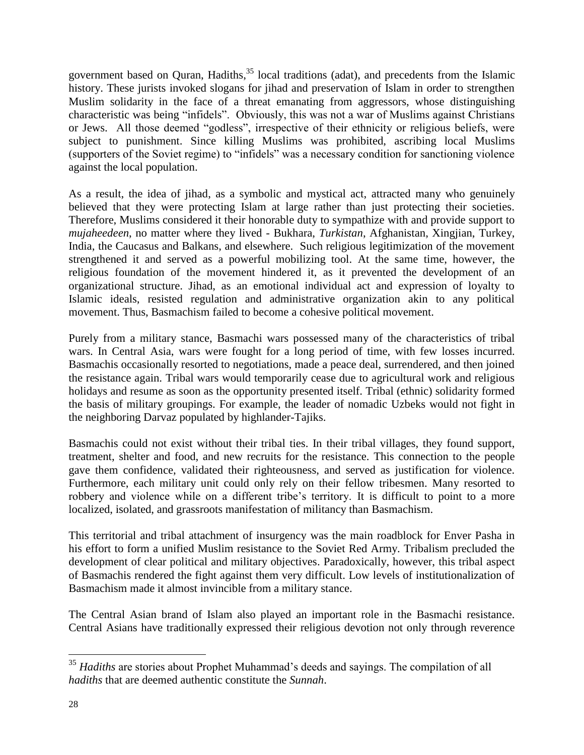government based on Quran, Hadiths,<sup>35</sup> local traditions (adat), and precedents from the Islamic history. These jurists invoked slogans for jihad and preservation of Islam in order to strengthen Muslim solidarity in the face of a threat emanating from aggressors, whose distinguishing characteristic was being "infidels". Obviously, this was not a war of Muslims against Christians or Jews. All those deemed "godless", irrespective of their ethnicity or religious beliefs, were subject to punishment. Since killing Muslims was prohibited, ascribing local Muslims (supporters of the Soviet regime) to "infidels" was a necessary condition for sanctioning violence against the local population.

As a result, the idea of jihad, as a symbolic and mystical act, attracted many who genuinely believed that they were protecting Islam at large rather than just protecting their societies. Therefore, Muslims considered it their honorable duty to sympathize with and provide support to *mujaheedeen*, no matter where they lived - Bukhara, *Turkistan*, Afghanistan, Xingjian, Turkey, India, the Caucasus and Balkans, and elsewhere. Such religious legitimization of the movement strengthened it and served as a powerful mobilizing tool. At the same time, however, the religious foundation of the movement hindered it, as it prevented the development of an organizational structure. Jihad, as an emotional individual act and expression of loyalty to Islamic ideals, resisted regulation and administrative organization akin to any political movement. Thus, Basmachism failed to become a cohesive political movement.

Purely from a military stance, Basmachi wars possessed many of the characteristics of tribal wars. In Central Asia, wars were fought for a long period of time, with few losses incurred. Basmachis occasionally resorted to negotiations, made a peace deal, surrendered, and then joined the resistance again. Tribal wars would temporarily cease due to agricultural work and religious holidays and resume as soon as the opportunity presented itself. Tribal (ethnic) solidarity formed the basis of military groupings. For example, the leader of nomadic Uzbeks would not fight in the neighboring Darvaz populated by highlander-Tajiks.

Basmachis could not exist without their tribal ties. In their tribal villages, they found support, treatment, shelter and food, and new recruits for the resistance. This connection to the people gave them confidence, validated their righteousness, and served as justification for violence. Furthermore, each military unit could only rely on their fellow tribesmen. Many resorted to robbery and violence while on a different tribe's territory. It is difficult to point to a more localized, isolated, and grassroots manifestation of militancy than Basmachism.

This territorial and tribal attachment of insurgency was the main roadblock for Enver Pasha in his effort to form a unified Muslim resistance to the Soviet Red Army. Tribalism precluded the development of clear political and military objectives. Paradoxically, however, this tribal aspect of Basmachis rendered the fight against them very difficult. Low levels of institutionalization of Basmachism made it almost invincible from a military stance.

The Central Asian brand of Islam also played an important role in the Basmachi resistance. Central Asians have traditionally expressed their religious devotion not only through reverence

<sup>&</sup>lt;sup>35</sup> *Hadiths* are stories about Prophet Muhammad's deeds and sayings. The compilation of all *hadiths* that are deemed authentic constitute the *Sunnah*.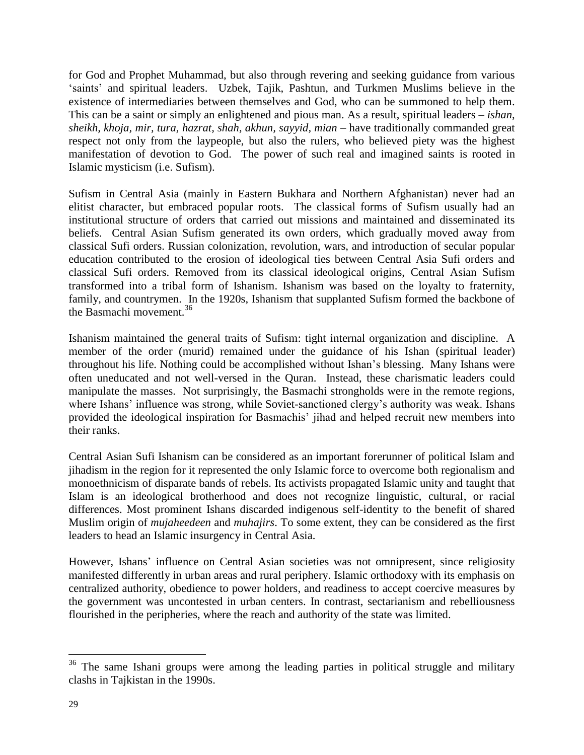for God and Prophet Muhammad, but also through revering and seeking guidance from various 'saints' and spiritual leaders. Uzbek, Tajik, Pashtun, and Turkmen Muslims believe in the existence of intermediaries between themselves and God, who can be summoned to help them. This can be a saint or simply an enlightened and pious man. As a result, spiritual leaders – *ishan*, *sheikh, khoja, mir, tura, hazrat, shah, akhun, sayyid, mian –* have traditionally commanded great respect not only from the laypeople, but also the rulers, who believed piety was the highest manifestation of devotion to God. The power of such real and imagined saints is rooted in Islamic mysticism (i.e. Sufism).

Sufism in Central Asia (mainly in Eastern Bukhara and Northern Afghanistan) never had an elitist character, but embraced popular roots. The classical forms of Sufism usually had an institutional structure of orders that carried out missions and maintained and disseminated its beliefs. Central Asian Sufism generated its own orders, which gradually moved away from classical Sufi orders. Russian colonization, revolution, wars, and introduction of secular popular education contributed to the erosion of ideological ties between Central Asia Sufi orders and classical Sufi orders. Removed from its classical ideological origins, Central Asian Sufism transformed into a tribal form of Ishanism. Ishanism was based on the loyalty to fraternity, family, and countrymen. In the 1920s, Ishanism that supplanted Sufism formed the backbone of the Basmachi movement. 36

Ishanism maintained the general traits of Sufism: tight internal organization and discipline. A member of the order (murid) remained under the guidance of his Ishan (spiritual leader) throughout his life. Nothing could be accomplished without Ishan's blessing. Many Ishans were often uneducated and not well-versed in the Quran. Instead, these charismatic leaders could manipulate the masses. Not surprisingly, the Basmachi strongholds were in the remote regions, where Ishans' influence was strong, while Soviet-sanctioned clergy's authority was weak. Ishans provided the ideological inspiration for Basmachis' jihad and helped recruit new members into their ranks.

Central Asian Sufi Ishanism can be considered as an important forerunner of political Islam and jihadism in the region for it represented the only Islamic force to overcome both regionalism and monoethnicism of disparate bands of rebels. Its activists propagated Islamic unity and taught that Islam is an ideological brotherhood and does not recognize linguistic, cultural, or racial differences. Most prominent Ishans discarded indigenous self-identity to the benefit of shared Muslim origin of *mujaheedeen* and *muhajirs*. To some extent, they can be considered as the first leaders to head an Islamic insurgency in Central Asia.

However, Ishans' influence on Central Asian societies was not omnipresent, since religiosity manifested differently in urban areas and rural periphery. Islamic orthodoxy with its emphasis on centralized authority, obedience to power holders, and readiness to accept coercive measures by the government was uncontested in urban centers. In contrast, sectarianism and rebelliousness flourished in the peripheries, where the reach and authority of the state was limited.

<sup>&</sup>lt;sup>36</sup> The same Ishani groups were among the leading parties in political struggle and military clashs in Tajkistan in the 1990s.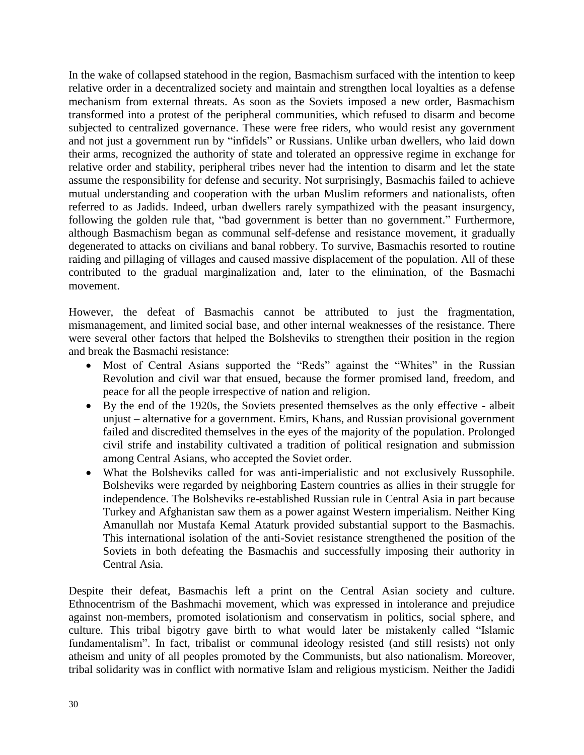In the wake of collapsed statehood in the region, Basmachism surfaced with the intention to keep relative order in a decentralized society and maintain and strengthen local loyalties as a defense mechanism from external threats. As soon as the Soviets imposed a new order, Basmachism transformed into a protest of the peripheral communities, which refused to disarm and become subjected to centralized governance. These were free riders, who would resist any government and not just a government run by "infidels" or Russians. Unlike urban dwellers, who laid down their arms, recognized the authority of state and tolerated an oppressive regime in exchange for relative order and stability, peripheral tribes never had the intention to disarm and let the state assume the responsibility for defense and security. Not surprisingly, Basmachis failed to achieve mutual understanding and cooperation with the urban Muslim reformers and nationalists, often referred to as Jadids. Indeed, urban dwellers rarely sympathized with the peasant insurgency, following the golden rule that, "bad government is better than no government." Furthermore, although Basmachism began as communal self-defense and resistance movement, it gradually degenerated to attacks on civilians and banal robbery. To survive, Basmachis resorted to routine raiding and pillaging of villages and caused massive displacement of the population. All of these contributed to the gradual marginalization and, later to the elimination, of the Basmachi movement.

However, the defeat of Basmachis cannot be attributed to just the fragmentation, mismanagement, and limited social base, and other internal weaknesses of the resistance. There were several other factors that helped the Bolsheviks to strengthen their position in the region and break the Basmachi resistance:

- Most of Central Asians supported the "Reds" against the "Whites" in the Russian Revolution and civil war that ensued, because the former promised land, freedom, and peace for all the people irrespective of nation and religion.
- By the end of the 1920s, the Soviets presented themselves as the only effective albeit unjust – alternative for a government. Emirs, Khans, and Russian provisional government failed and discredited themselves in the eyes of the majority of the population. Prolonged civil strife and instability cultivated a tradition of political resignation and submission among Central Asians, who accepted the Soviet order.
- What the Bolsheviks called for was anti-imperialistic and not exclusively Russophile. Bolsheviks were regarded by neighboring Eastern countries as allies in their struggle for independence. The Bolsheviks re-established Russian rule in Central Asia in part because Turkey and Afghanistan saw them as a power against Western imperialism. Neither King Amanullah nor Mustafa Kemal Ataturk provided substantial support to the Basmachis. This international isolation of the anti-Soviet resistance strengthened the position of the Soviets in both defeating the Basmachis and successfully imposing their authority in Central Asia.

Despite their defeat, Basmachis left a print on the Central Asian society and culture. Ethnocentrism of the Bashmachi movement, which was expressed in intolerance and prejudice against non-members, promoted isolationism and conservatism in politics, social sphere, and culture. This tribal bigotry gave birth to what would later be mistakenly called "Islamic fundamentalism". In fact, tribalist or communal ideology resisted (and still resists) not only atheism and unity of all peoples promoted by the Communists, but also nationalism. Moreover, tribal solidarity was in conflict with normative Islam and religious mysticism. Neither the Jadidi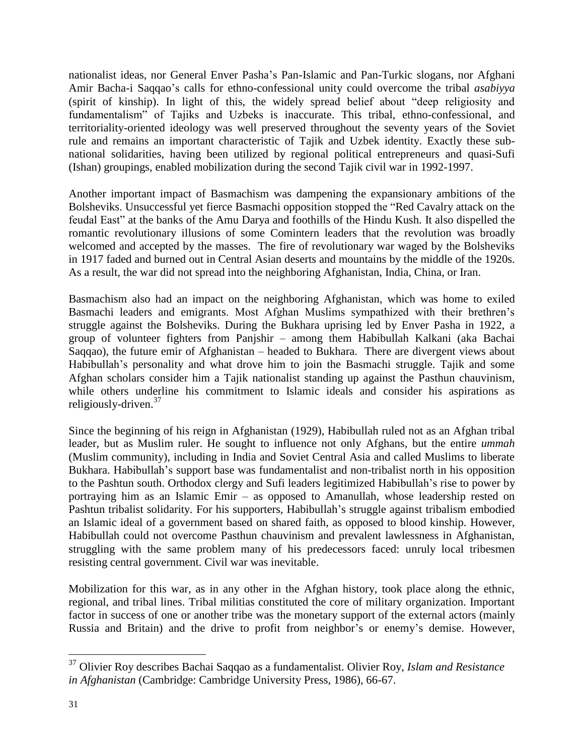nationalist ideas, nor General Enver Pasha's Pan-Islamic and Pan-Turkic slogans, nor Afghani Amir Bacha-i Saqqao's calls for ethno-confessional unity could overcome the tribal *asabiyya* (spirit of kinship). In light of this, the widely spread belief about "deep religiosity and fundamentalism" of Tajiks and Uzbeks is inaccurate. This tribal, ethno-confessional, and territoriality-oriented ideology was well preserved throughout the seventy years of the Soviet rule and remains an important characteristic of Tajik and Uzbek identity. Exactly these subnational solidarities, having been utilized by regional political entrepreneurs and quasi-Sufi (Ishan) groupings, enabled mobilization during the second Tajik civil war in 1992-1997.

Another important impact of Basmachism was dampening the expansionary ambitions of the Bolsheviks. Unsuccessful yet fierce Basmachi opposition stopped the "Red Cavalry attack on the feudal East" at the banks of the Amu Darya and foothills of the Hindu Kush. It also dispelled the romantic revolutionary illusions of some Comintern leaders that the revolution was broadly welcomed and accepted by the masses. The fire of revolutionary war waged by the Bolsheviks in 1917 faded and burned out in Central Asian deserts and mountains by the middle of the 1920s. As a result, the war did not spread into the neighboring Afghanistan, India, China, or Iran.

Basmachism also had an impact on the neighboring Afghanistan, which was home to exiled Basmachi leaders and emigrants. Most Afghan Muslims sympathized with their brethren's struggle against the Bolsheviks. During the Bukhara uprising led by Enver Pasha in 1922, a group of volunteer fighters from Panjshir – among them Habibullah Kalkani (aka Bachai Saqqao), the future emir of Afghanistan – headed to Bukhara. There are divergent views about Habibullah's personality and what drove him to join the Basmachi struggle. Tajik and some Afghan scholars consider him a Tajik nationalist standing up against the Pasthun chauvinism, while others underline his commitment to Islamic ideals and consider his aspirations as religiously-driven.<sup>37</sup>

Since the beginning of his reign in Afghanistan (1929), Habibullah ruled not as an Afghan tribal leader, but as Muslim ruler. He sought to influence not only Afghans, but the entire *ummah* (Muslim community), including in India and Soviet Central Asia and called Muslims to liberate Bukhara. Habibullah's support base was fundamentalist and non-tribalist north in his opposition to the Pashtun south. Orthodox clergy and Sufi leaders legitimized Habibullah's rise to power by portraying him as an Islamic Emir – as opposed to Amanullah, whose leadership rested on Pashtun tribalist solidarity. For his supporters, Habibullah's struggle against tribalism embodied an Islamic ideal of a government based on shared faith, as opposed to blood kinship. However, Habibullah could not overcome Pasthun chauvinism and prevalent lawlessness in Afghanistan, struggling with the same problem many of his predecessors faced: unruly local tribesmen resisting central government. Civil war was inevitable.

Mobilization for this war, as in any other in the Afghan history, took place along the ethnic, regional, and tribal lines. Tribal militias constituted the core of military organization. Important factor in success of one or another tribe was the monetary support of the external actors (mainly Russia and Britain) and the drive to profit from neighbor's or enemy's demise. However,

<sup>37</sup> Olivier Roy describes Bachai Saqqao as a fundamentalist. Olivier Roy, *Islam and Resistance in Afghanistan* (Cambridge: Cambridge University Press, 1986), 66-67.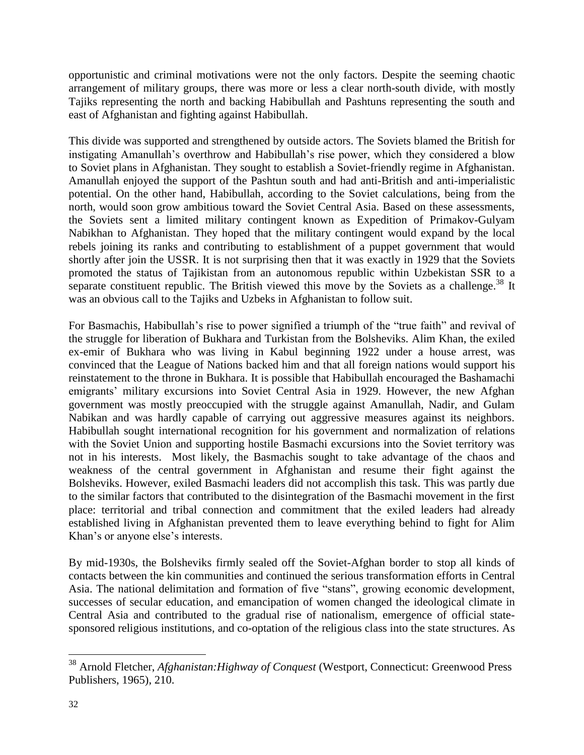opportunistic and criminal motivations were not the only factors. Despite the seeming chaotic arrangement of military groups, there was more or less a clear north-south divide, with mostly Tajiks representing the north and backing Habibullah and Pashtuns representing the south and east of Afghanistan and fighting against Habibullah.

This divide was supported and strengthened by outside actors. The Soviets blamed the British for instigating Amanullah's overthrow and Habibullah's rise power, which they considered a blow to Soviet plans in Afghanistan. They sought to establish a Soviet-friendly regime in Afghanistan. Amanullah enjoyed the support of the Pashtun south and had anti-British and anti-imperialistic potential. On the other hand, Habibullah, according to the Soviet calculations, being from the north, would soon grow ambitious toward the Soviet Central Asia. Based on these assessments, the Soviets sent a limited military contingent known as Expedition of Primakov-Gulyam Nabikhan to Afghanistan. They hoped that the military contingent would expand by the local rebels joining its ranks and contributing to establishment of a puppet government that would shortly after join the USSR. It is not surprising then that it was exactly in 1929 that the Soviets promoted the status of Tajikistan from an autonomous republic within Uzbekistan SSR to a separate constituent republic. The British viewed this move by the Soviets as a challenge.<sup>38</sup> It was an obvious call to the Tajiks and Uzbeks in Afghanistan to follow suit.

For Basmachis, Habibullah's rise to power signified a triumph of the "true faith" and revival of the struggle for liberation of Bukhara and Turkistan from the Bolsheviks. Alim Khan, the exiled ex-emir of Bukhara who was living in Kabul beginning 1922 under a house arrest, was convinced that the League of Nations backed him and that all foreign nations would support his reinstatement to the throne in Bukhara. It is possible that Habibullah encouraged the Bashamachi emigrants' military excursions into Soviet Central Asia in 1929. However, the new Afghan government was mostly preoccupied with the struggle against Amanullah, Nadir, and Gulam Nabikan and was hardly capable of carrying out aggressive measures against its neighbors. Habibullah sought international recognition for his government and normalization of relations with the Soviet Union and supporting hostile Basmachi excursions into the Soviet territory was not in his interests. Most likely, the Basmachis sought to take advantage of the chaos and weakness of the central government in Afghanistan and resume their fight against the Bolsheviks. However, exiled Basmachi leaders did not accomplish this task. This was partly due to the similar factors that contributed to the disintegration of the Basmachi movement in the first place: territorial and tribal connection and commitment that the exiled leaders had already established living in Afghanistan prevented them to leave everything behind to fight for Alim Khan's or anyone else's interests.

By mid-1930s, the Bolsheviks firmly sealed off the Soviet-Afghan border to stop all kinds of contacts between the kin communities and continued the serious transformation efforts in Central Asia. The national delimitation and formation of five "stans", growing economic development, successes of secular education, and emancipation of women changed the ideological climate in Central Asia and contributed to the gradual rise of nationalism, emergence of official statesponsored religious institutions, and co-optation of the religious class into the state structures. As

<sup>38</sup> Arnold Fletcher, *Afghanistan:Highway of Conquest* (Westport, Connecticut: Greenwood Press Publishers, 1965), 210.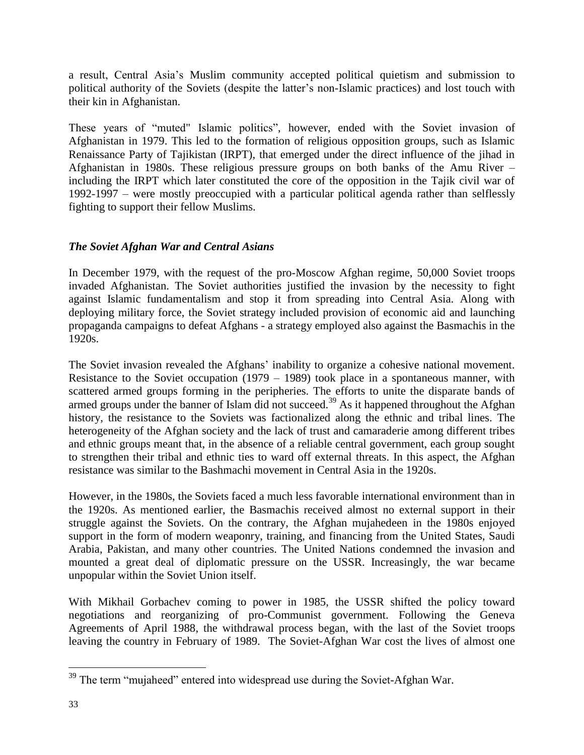a result, Central Asia's Muslim community accepted political quietism and submission to political authority of the Soviets (despite the latter's non-Islamic practices) and lost touch with their kin in Afghanistan.

These years of "muted" Islamic politics", however, ended with the Soviet invasion of Afghanistan in 1979. This led to the formation of religious opposition groups, such as Islamic Renaissance Party of Tajikistan (IRPT), that emerged under the direct influence of the jihad in Afghanistan in 1980s. These religious pressure groups on both banks of the Amu River – including the IRPT which later constituted the core of the opposition in the Tajik civil war of 1992-1997 – were mostly preoccupied with a particular political agenda rather than selflessly fighting to support their fellow Muslims.

#### *The Soviet Afghan War and Central Asians*

In December 1979, with the request of the pro-Moscow Afghan regime, 50,000 Soviet troops invaded Afghanistan. The Soviet authorities justified the invasion by the necessity to fight against Islamic fundamentalism and stop it from spreading into Central Asia. Along with deploying military force, the Soviet strategy included provision of economic aid and launching propaganda campaigns to defeat Afghans - a strategy employed also against the Basmachis in the 1920s.

The Soviet invasion revealed the Afghans' inability to organize a cohesive national movement. Resistance to the Soviet occupation (1979 – 1989) took place in a spontaneous manner, with scattered armed groups forming in the peripheries. The efforts to unite the disparate bands of armed groups under the banner of Islam did not succeed.<sup>39</sup> As it happened throughout the Afghan history, the resistance to the Soviets was factionalized along the ethnic and tribal lines. The heterogeneity of the Afghan society and the lack of trust and camaraderie among different tribes and ethnic groups meant that, in the absence of a reliable central government, each group sought to strengthen their tribal and ethnic ties to ward off external threats. In this aspect, the Afghan resistance was similar to the Bashmachi movement in Central Asia in the 1920s.

However, in the 1980s, the Soviets faced a much less favorable international environment than in the 1920s. As mentioned earlier, the Basmachis received almost no external support in their struggle against the Soviets. On the contrary, the Afghan mujahedeen in the 1980s enjoyed support in the form of modern weaponry, training, and financing from the United States, Saudi Arabia, Pakistan, and many other countries. The United Nations condemned the invasion and mounted a great deal of diplomatic pressure on the USSR. Increasingly, the war became unpopular within the Soviet Union itself.

With Mikhail Gorbachev coming to power in 1985, the USSR shifted the policy toward negotiations and reorganizing of pro-Communist government. Following the Geneva Agreements of April 1988, the withdrawal process began, with the last of the Soviet troops leaving the country in February of 1989. The Soviet-Afghan War cost the lives of almost one

 $39$  The term "mujaheed" entered into widespread use during the Soviet-Afghan War.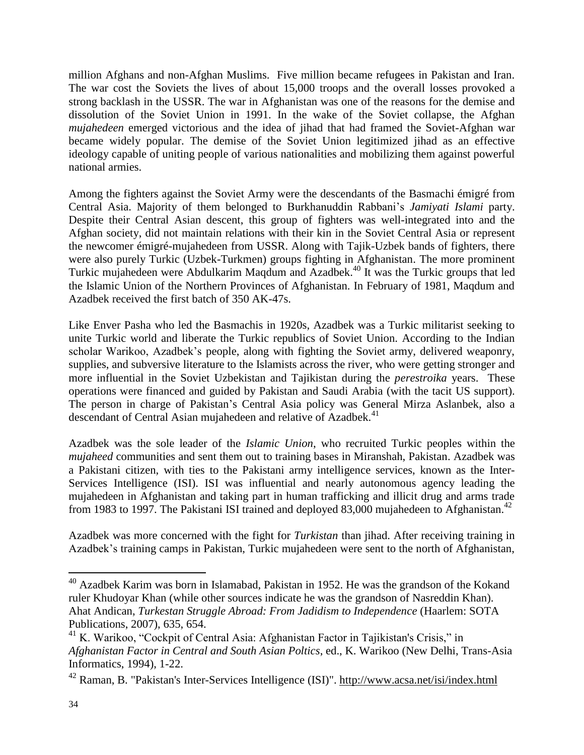million Afghans and non-Afghan Muslims. Five million became refugees in Pakistan and Iran. The war cost the Soviets the lives of about 15,000 troops and the overall losses provoked a strong backlash in the USSR. The war in Afghanistan was one of the reasons for the demise and dissolution of the Soviet Union in 1991. In the wake of the Soviet collapse, the Afghan *mujahedeen* emerged victorious and the idea of jihad that had framed the Soviet-Afghan war became widely popular. The demise of the Soviet Union legitimized jihad as an effective ideology capable of uniting people of various nationalities and mobilizing them against powerful national armies.

Among the fighters against the Soviet Army were the descendants of the Basmachi émigré from Central Asia. Majority of them belonged to Burkhanuddin Rabbani's *Jamiyati Islami* party. Despite their Central Asian descent, this group of fighters was well-integrated into and the Afghan society, did not maintain relations with their kin in the Soviet Central Asia or represent the newcomer émigré-mujahedeen from USSR. Along with Tajik-Uzbek bands of fighters, there were also purely Turkic (Uzbek-Turkmen) groups fighting in Afghanistan. The more prominent Turkic mujahedeen were Abdulkarim Maqdum and Azadbek. <sup>40</sup> It was the Turkic groups that led the Islamic Union of the Northern Provinces of Afghanistan. In February of 1981, Maqdum and Azadbek received the first batch of 350 AK-47s.

Like Enver Pasha who led the Basmachis in 1920s, Azadbek was a Turkic militarist seeking to unite Turkic world and liberate the Turkic republics of Soviet Union. According to the Indian scholar Warikoo, Azadbek's people, along with fighting the Soviet army, delivered weaponry, supplies, and subversive literature to the Islamists across the river, who were getting stronger and more influential in the Soviet Uzbekistan and Tajikistan during the *perestroika* years. These operations were financed and guided by Pakistan and Saudi Arabia (with the tacit US support). The person in charge of Pakistan's Central Asia policy was General Mirza Aslanbek, also a descendant of Central Asian mujahedeen and relative of Azadbek.<sup>41</sup>

Azadbek was the sole leader of the *Islamic Union*, who recruited Turkic peoples within the *mujaheed* communities and sent them out to training bases in Miranshah, Pakistan. Azadbek was a Pakistani citizen, with ties to the Pakistani army intelligence services, known as the Inter-Services Intelligence (ISI). ISI was influential and nearly autonomous agency leading the mujahedeen in Afghanistan and taking part in human trafficking and illicit drug and arms trade from 1983 to 1997. The Pakistani ISI trained and deployed 83,000 mujahedeen to Afghanistan.<sup>42</sup>

Azadbek was more concerned with the fight for *Turkistan* than jihad. After receiving training in Azadbek's training camps in Pakistan, Turkic mujahedeen were sent to the north of Afghanistan,

 $40$  Azadbek Karim was born in Islamabad, Pakistan in 1952. He was the grandson of the Kokand ruler Khudoyar Khan (while other sources indicate he was the grandson of Nasreddin Khan). Ahat Andican, *Turkestan Struggle Abroad: From Jadidism to Independence* (Haarlem: SOTA Publications, 2007), 635, 654.

<sup>&</sup>lt;sup>41</sup> K. Warikoo, "Cockpit of Central Asia: Afghanistan Factor in Tajikistan's Crisis," in *Afghanistan Factor in Central and South Asian Poltics*, ed., K. Warikoo (New Delhi, Trans-Asia Informatics, 1994), 1-22.

<sup>42</sup> Raman, B. "Pakistan's Inter-Services Intelligence (ISI)". <http://www.acsa.net/isi/index.html>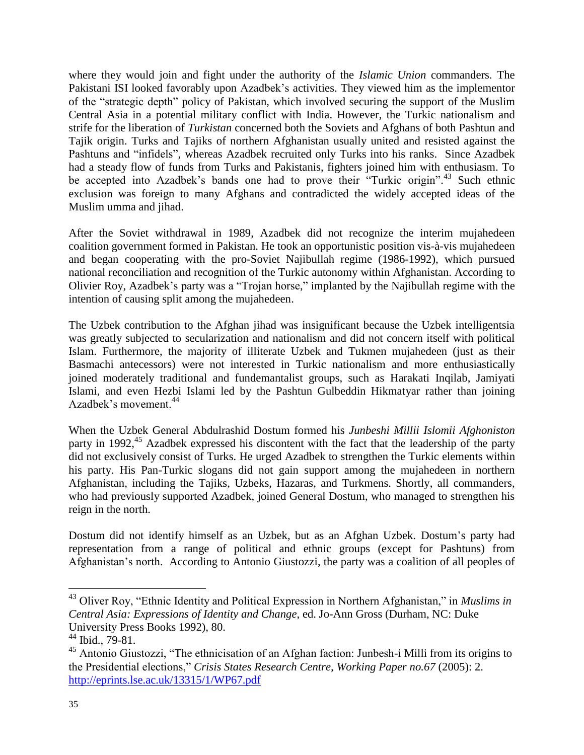where they would join and fight under the authority of the *Islamic Union* commanders. The Pakistani ISI looked favorably upon Azadbek's activities. They viewed him as the implementor of the "strategic depth" policy of Pakistan, which involved securing the support of the Muslim Central Asia in a potential military conflict with India. However, the Turkic nationalism and strife for the liberation of *Turkistan* concerned both the Soviets and Afghans of both Pashtun and Tajik origin. Turks and Tajiks of northern Afghanistan usually united and resisted against the Pashtuns and "infidels", whereas Azadbek recruited only Turks into his ranks. Since Azadbek had a steady flow of funds from Turks and Pakistanis, fighters joined him with enthusiasm. To be accepted into Azadbek's bands one had to prove their "Turkic origin".<sup>43</sup> Such ethnic exclusion was foreign to many Afghans and contradicted the widely accepted ideas of the Muslim umma and jihad.

After the Soviet withdrawal in 1989, Azadbek did not recognize the interim mujahedeen coalition government formed in Pakistan. He took an opportunistic position vis-à-vis mujahedeen and began cooperating with the pro-Soviet Najibullah regime (1986-1992), which pursued national reconciliation and recognition of the Turkic autonomy within Afghanistan. According to Olivier Roy, Azadbek's party was a "Trojan horse," implanted by the Najibullah regime with the intention of causing split among the mujahedeen.

The Uzbek contribution to the Afghan jihad was insignificant because the Uzbek intelligentsia was greatly subjected to secularization and nationalism and did not concern itself with political Islam. Furthermore, the majority of illiterate Uzbek and Tukmen mujahedeen (just as their Basmachi antecessors) were not interested in Turkic nationalism and more enthusiastically joined moderately traditional and fundemantalist groups, such as Harakati Inqilab, Jamiyati Islami, and even Hezbi Islami led by the Pashtun Gulbeddin Hikmatyar rather than joining Azadbek's movement.<sup>44</sup>

When the Uzbek General Abdulrashid Dostum formed his *Junbeshi Millii Islomii Afghoniston* party in 1992,<sup>45</sup> Azadbek expressed his discontent with the fact that the leadership of the party did not exclusively consist of Turks. He urged Azadbek to strengthen the Turkic elements within his party. His Pan-Turkic slogans did not gain support among the mujahedeen in northern Afghanistan, including the Tajiks, Uzbeks, Hazaras, and Turkmens. Shortly, all commanders, who had previously supported Azadbek, joined General Dostum, who managed to strengthen his reign in the north.

Dostum did not identify himself as an Uzbek, but as an Afghan Uzbek. Dostum's party had representation from a range of political and ethnic groups (except for Pashtuns) from Afghanistan's north. According to Antonio Giustozzi, the party was a coalition of all peoples of

<sup>43</sup> Oliver Roy, "Ethnic Identity and Political Expression in Northern Afghanistan," in *Muslims in Central Asia: Expressions of Identity and Change*, ed. Jo-Ann Gross (Durham, NC: Duke University Press Books 1992), 80.

<sup>44</sup> Ibid., 79-81.

<sup>&</sup>lt;sup>45</sup> Antonio Giustozzi, "The ethnicisation of an Afghan faction: Junbesh-i Milli from its origins to the Presidential elections," *Crisis States Research Centre, Working Paper no.67* (2005): 2. <http://eprints.lse.ac.uk/13315/1/WP67.pdf>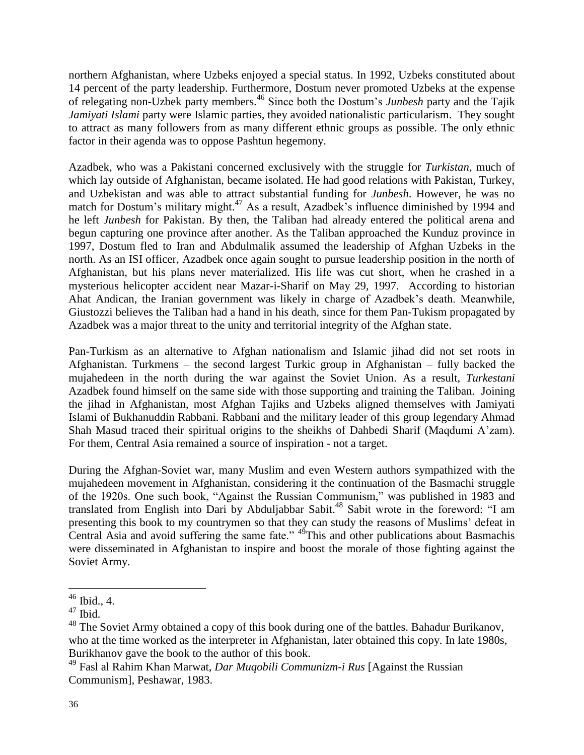northern Afghanistan, where Uzbeks enjoyed a special status. In 1992, Uzbeks constituted about 14 percent of the party leadership. Furthermore, Dostum never promoted Uzbeks at the expense of relegating non-Uzbek party members.<sup>46</sup> Since both the Dostum's *Junbesh* party and the Tajik *Jamiyati Islami* party were Islamic parties, they avoided nationalistic particularism. They sought to attract as many followers from as many different ethnic groups as possible. The only ethnic factor in their agenda was to oppose Pashtun hegemony.

Azadbek, who was a Pakistani concerned exclusively with the struggle for *Turkistan*, much of which lay outside of Afghanistan, became isolated. He had good relations with Pakistan, Turkey, and Uzbekistan and was able to attract substantial funding for *Junbesh*. However, he was no match for Dostum's military might.<sup>47</sup> As a result, Azadbek's influence diminished by 1994 and he left *Junbesh* for Pakistan. By then, the Taliban had already entered the political arena and begun capturing one province after another. As the Taliban approached the Kunduz province in 1997, Dostum fled to Iran and Abdulmalik assumed the leadership of Afghan Uzbeks in the north. As an ISI officer, Azadbek once again sought to pursue leadership position in the north of Afghanistan, but his plans never materialized. His life was cut short, when he crashed in a mysterious helicopter accident near Mazar-i-Sharif on May 29, 1997. According to historian Ahat Andican, the Iranian government was likely in charge of Azadbek's death. Meanwhile, Giustozzi believes the Taliban had a hand in his death, since for them Pan-Tukism propagated by Azadbek was a major threat to the unity and territorial integrity of the Afghan state.

Pan-Turkism as an alternative to Afghan nationalism and Islamic jihad did not set roots in Afghanistan. Turkmens – the second largest Turkic group in Afghanistan – fully backed the mujahedeen in the north during the war against the Soviet Union. As a result, *Turkestani* Azadbek found himself on the same side with those supporting and training the Taliban. Joining the jihad in Afghanistan, most Afghan Tajiks and Uzbeks aligned themselves with Jamiyati Islami of Bukhanuddin Rabbani. Rabbani and the military leader of this group legendary Ahmad Shah Masud traced their spiritual origins to the sheikhs of Dahbedi Sharif (Maqdumi A'zam). For them, Central Asia remained a source of inspiration - not a target.

During the Afghan-Soviet war, many Muslim and even Western authors sympathized with the mujahedeen movement in Afghanistan, considering it the continuation of the Basmachi struggle of the 1920s. One such book, "Against the Russian Communism," was published in 1983 and translated from English into Dari by Abduljabbar Sabit. <sup>48</sup> Sabit wrote in the foreword: "I am presenting this book to my countrymen so that they can study the reasons of Muslims' defeat in Central Asia and avoid suffering the same fate." <sup>49</sup>This and other publications about Basmachis were disseminated in Afghanistan to inspire and boost the morale of those fighting against the Soviet Army.

 $\overline{a}$  $46$  Ibid., 4.

 $47$  Ibid.

<sup>&</sup>lt;sup>48</sup> The Soviet Army obtained a copy of this book during one of the battles. Bahadur Burikanov, who at the time worked as the interpreter in Afghanistan, later obtained this copy. In late 1980s, Burikhanov gave the book to the author of this book.

<sup>49</sup> Fasl al Rahim Khan Marwat, *Dar Muqobili Communizm-i Rus* [Against the Russian Communism], Peshawar, 1983.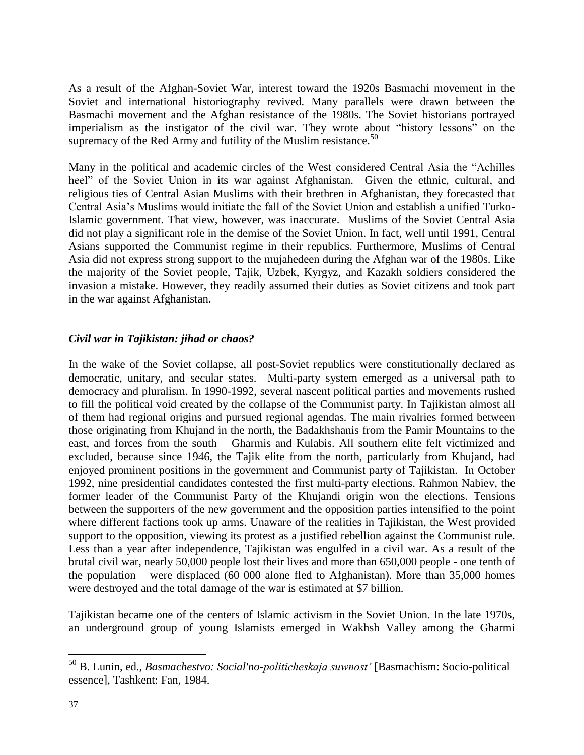As a result of the Afghan-Soviet War, interest toward the 1920s Basmachi movement in the Soviet and international historiography revived. Many parallels were drawn between the Basmachi movement and the Afghan resistance of the 1980s. The Soviet historians portrayed imperialism as the instigator of the civil war. They wrote about "history lessons" on the supremacy of the Red Army and futility of the Muslim resistance.<sup>50</sup>

Many in the political and academic circles of the West considered Central Asia the "Achilles heel" of the Soviet Union in its war against Afghanistan. Given the ethnic, cultural, and religious ties of Central Asian Muslims with their brethren in Afghanistan, they forecasted that Central Asia's Muslims would initiate the fall of the Soviet Union and establish a unified Turko-Islamic government. That view, however, was inaccurate. Muslims of the Soviet Central Asia did not play a significant role in the demise of the Soviet Union. In fact, well until 1991, Central Asians supported the Communist regime in their republics. Furthermore, Muslims of Central Asia did not express strong support to the mujahedeen during the Afghan war of the 1980s. Like the majority of the Soviet people, Tajik, Uzbek, Kyrgyz, and Kazakh soldiers considered the invasion a mistake. However, they readily assumed their duties as Soviet citizens and took part in the war against Afghanistan.

#### *Civil war in Tajikistan: jihad or chaos?*

In the wake of the Soviet collapse, all post-Soviet republics were constitutionally declared as democratic, unitary, and secular states. Multi-party system emerged as a universal path to democracy and pluralism. In 1990-1992, several nascent political parties and movements rushed to fill the political void created by the collapse of the Communist party. In Tajikistan almost all of them had regional origins and pursued regional agendas*.* The main rivalries formed between those originating from Khujand in the north, the Badakhshanis from the Pamir Mountains to the east, and forces from the south – Gharmis and Kulabis. All southern elite felt victimized and excluded, because since 1946, the Tajik elite from the north, particularly from Khujand, had enjoyed prominent positions in the government and Communist party of Tajikistan. In October 1992, nine presidential candidates contested the first multi-party elections. Rahmon Nabiev, the former leader of the Communist Party of the Khujandi origin won the elections. Tensions between the supporters of the new government and the opposition parties intensified to the point where different factions took up arms. Unaware of the realities in Tajikistan, the West provided support to the opposition, viewing its protest as a justified rebellion against the Communist rule. Less than a year after independence, Tajikistan was engulfed in a civil war. As a result of the brutal civil war, nearly 50,000 people lost their lives and more than 650,000 people - one tenth of the population – were displaced (60 000 alone fled to Afghanistan). More than 35,000 homes were destroyed and the total damage of the war is estimated at \$7 billion.

Tajikistan became one of the centers of Islamic activism in the Soviet Union. In the late 1970s, an underground group of young Islamists emerged in Wakhsh Valley among the Gharmi

<sup>50</sup> B. Lunin, ed., *Basmachestvo: Social'no-politicheskaja suwnost'* [Basmachism: Socio-political essence], Tashkent: Fan, 1984.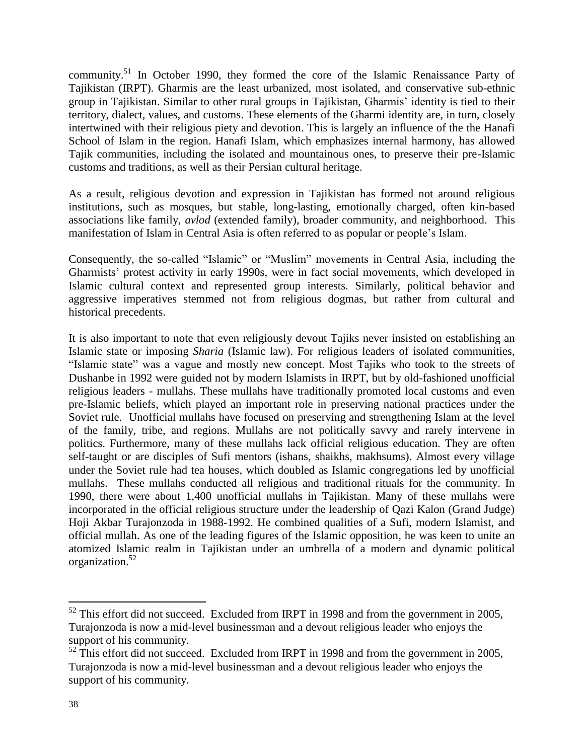community.<sup>51</sup> In October 1990, they formed the core of the Islamic Renaissance Party of Tajikistan (IRPT). Gharmis are the least urbanized, most isolated, and conservative sub-ethnic group in Tajikistan. Similar to other rural groups in Tajikistan, Gharmis' identity is tied to their territory, dialect, values, and customs. These elements of the Gharmi identity are, in turn, closely intertwined with their religious piety and devotion. This is largely an influence of the the Hanafi School of Islam in the region. Hanafi Islam, which emphasizes internal harmony, has allowed Tajik communities, including the isolated and mountainous ones, to preserve their pre-Islamic customs and traditions, as well as their Persian cultural heritage.

As a result, religious devotion and expression in Tajikistan has formed not around religious institutions, such as mosques, but stable, long-lasting, emotionally charged, often kin-based associations like family, *avlod* (extended family), broader community, and neighborhood. This manifestation of Islam in Central Asia is often referred to as popular or people's Islam.

Consequently, the so-called "Islamic" or "Muslim" movements in Central Asia, including the Gharmists' protest activity in early 1990s, were in fact social movements, which developed in Islamic cultural context and represented group interests. Similarly, political behavior and aggressive imperatives stemmed not from religious dogmas, but rather from cultural and historical precedents.

It is also important to note that even religiously devout Tajiks never insisted on establishing an Islamic state or imposing *Sharia* (Islamic law). For religious leaders of isolated communities, "Islamic state" was a vague and mostly new concept. Most Tajiks who took to the streets of Dushanbe in 1992 were guided not by modern Islamists in IRPT, but by old-fashioned unofficial religious leaders - mullahs. These mullahs have traditionally promoted local customs and even pre-Islamic beliefs, which played an important role in preserving national practices under the Soviet rule. Unofficial mullahs have focused on preserving and strengthening Islam at the level of the family, tribe, and regions. Mullahs are not politically savvy and rarely intervene in politics. Furthermore, many of these mullahs lack official religious education. They are often self-taught or are disciples of Sufi mentors (ishans, shaikhs, makhsums). Almost every village under the Soviet rule had tea houses, which doubled as Islamic congregations led by unofficial mullahs. These mullahs conducted all religious and traditional rituals for the community. In 1990, there were about 1,400 unofficial mullahs in Tajikistan. Many of these mullahs were incorporated in the official religious structure under the leadership of Qazi Kalon (Grand Judge) Hoji Akbar Turajonzoda in 1988-1992. He combined qualities of a Sufi, modern Islamist, and official mullah. As one of the leading figures of the Islamic opposition, he was keen to unite an atomized Islamic realm in Tajikistan under an umbrella of a modern and dynamic political organization.<sup>52</sup>

 $52$  This effort did not succeed. Excluded from IRPT in 1998 and from the government in 2005, Turajonzoda is now a mid-level businessman and a devout religious leader who enjoys the support of his community.

 $52$  This effort did not succeed. Excluded from IRPT in 1998 and from the government in 2005, Turajonzoda is now a mid-level businessman and a devout religious leader who enjoys the support of his community.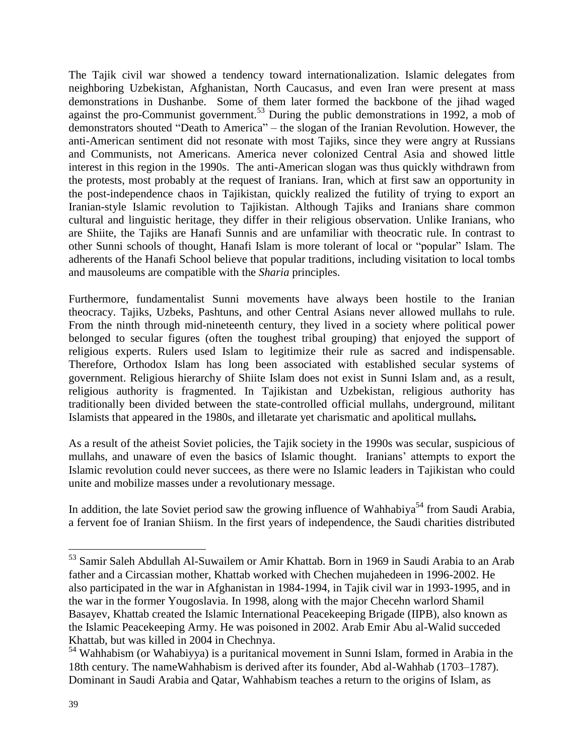The Tajik civil war showed a tendency toward internationalization. Islamic delegates from neighboring Uzbekistan, Afghanistan, North Caucasus, and even Iran were present at mass demonstrations in Dushanbe. Some of them later formed the backbone of the jihad waged against the pro-Communist government.<sup>53</sup> During the public demonstrations in 1992, a mob of demonstrators shouted "Death to America" – the slogan of the Iranian Revolution. However, the anti-American sentiment did not resonate with most Tajiks, since they were angry at Russians and Communists, not Americans. America never colonized Central Asia and showed little interest in this region in the 1990s. The anti-American slogan was thus quickly withdrawn from the protests, most probably at the request of Iranians. Iran, which at first saw an opportunity in the post-independence chaos in Tajikistan, quickly realized the futility of trying to export an Iranian-style Islamic revolution to Tajikistan. Although Tajiks and Iranians share common cultural and linguistic heritage, they differ in their religious observation. Unlike Iranians, who are Shiite, the Tajiks are Hanafi Sunnis and are unfamiliar with theocratic rule. In contrast to other Sunni schools of thought, Hanafi Islam is more tolerant of local or "popular" Islam. The adherents of the Hanafi School believe that popular traditions, including visitation to local tombs and mausoleums are compatible with the *Sharia* principles.

Furthermore, fundamentalist Sunni movements have always been hostile to the Iranian theocracy. Tajiks, Uzbeks, Pashtuns, and other Central Asians never allowed mullahs to rule. From the ninth through mid-nineteenth century, they lived in a society where political power belonged to secular figures (often the toughest tribal grouping) that enjoyed the support of religious experts. Rulers used Islam to legitimize their rule as sacred and indispensable. Therefore, Orthodox Islam has long been associated with established secular systems of government. Religious hierarchy of Shiite Islam does not exist in Sunni Islam and, as a result, religious authority is fragmented. In Tajikistan and Uzbekistan, religious authority has traditionally been divided between the state-controlled official mullahs, underground, militant Islamists that appeared in the 1980s, and illetarate yet charismatic and apolitical mullahs*.*

As a result of the atheist Soviet policies, the Tajik society in the 1990s was secular, suspicious of mullahs, and unaware of even the basics of Islamic thought. Iranians' attempts to export the Islamic revolution could never succees, as there were no Islamic leaders in Tajikistan who could unite and mobilize masses under a revolutionary message.

In addition, the late Soviet period saw the growing influence of Wahhabiya<sup>54</sup> from Saudi Arabia, a fervent foe of Iranian Shiism. In the first years of independence, the Saudi charities distributed

<sup>53</sup> Samir Saleh Abdullah Al-Suwailem or Amir Khattab. Born in 1969 in Saudi Arabia to an Arab father and a Circassian mother, Khattab worked with Chechen mujahedeen in 1996-2002. He also participated in the war in Afghanistan in 1984-1994, in Tajik civil war in 1993-1995, and in the war in the former Yougoslavia. In 1998, along with the major Checehn warlord Shamil Basayev, Khattab created the Islamic International Peacekeeping Brigade (IIPB), also known as the Islamic Peacekeeping Army. He was poisoned in 2002. Arab Emir Abu al-Walid succeded Khattab, but was killed in 2004 in Chechnya.

 $<sup>54</sup>$  Wahhabism (or Wahabiyya) is a puritanical movement in Sunni Islam, formed in Arabia in the</sup> 18th century. The nameWahhabism is derived after its founder, Abd al-Wahhab (1703–1787). Dominant in Saudi Arabia and Qatar, Wahhabism teaches a return to the origins of Islam, as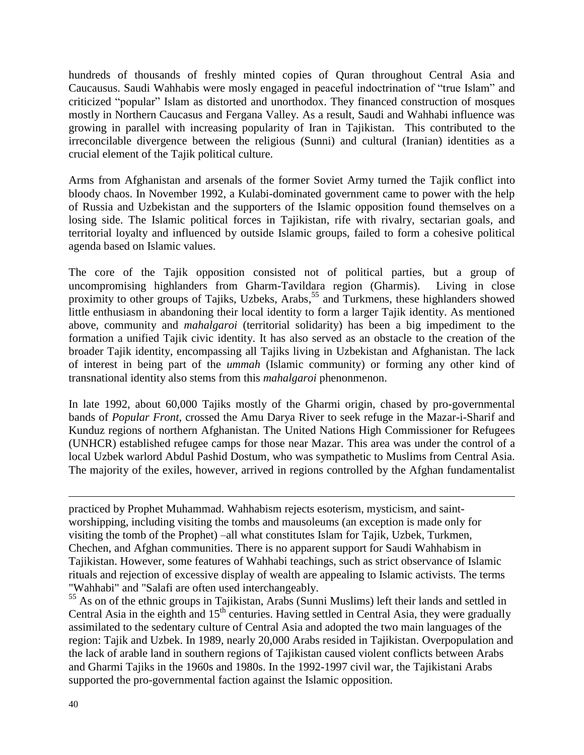hundreds of thousands of freshly minted copies of Quran throughout Central Asia and Caucausus. Saudi Wahhabis were mosly engaged in peaceful indoctrination of "true Islam" and criticized "popular" Islam as distorted and unorthodox. They financed construction of mosques mostly in Northern Caucasus and Fergana Valley. As a result, Saudi and Wahhabi influence was growing in parallel with increasing popularity of Iran in Tajikistan. This contributed to the irreconcilable divergence between the religious (Sunni) and cultural (Iranian) identities as a crucial element of the Tajik political culture.

Arms from Afghanistan and arsenals of the former Soviet Army turned the Tajik conflict into bloody chaos. In November 1992, a Kulabi-dominated government came to power with the help of Russia and Uzbekistan and the supporters of the Islamic opposition found themselves on a losing side. The Islamic political forces in Tajikistan, rife with rivalry, sectarian goals, and territorial loyalty and influenced by outside Islamic groups, failed to form a cohesive political agenda based on Islamic values.

The core of the Tajik opposition consisted not of political parties, but a group of uncompromising highlanders from Gharm-Tavildara region (Gharmis). Living in close proximity to other groups of Tajiks, Uzbeks, Arabs,<sup>55</sup> and Turkmens, these highlanders showed little enthusiasm in abandoning their local identity to form a larger Tajik identity. As mentioned above, community and *mahalgaroi* (territorial solidarity) has been a big impediment to the formation a unified Tajik civic identity. It has also served as an obstacle to the creation of the broader Tajik identity, encompassing all Tajiks living in Uzbekistan and Afghanistan. The lack of interest in being part of the *ummah* (Islamic community) or forming any other kind of transnational identity also stems from this *mahalgaroi* phenonmenon.

In late 1992, about 60,000 Tajiks mostly of the Gharmi origin, chased by pro-governmental bands of *Popular Front*, crossed the Amu Darya River to seek refuge in the Mazar-i-Sharif and Kunduz regions of northern Afghanistan. The United Nations High Commissioner for Refugees (UNHCR) established refugee camps for those near Mazar. This area was under the control of a local Uzbek warlord Abdul Pashid Dostum, who was sympathetic to Muslims from Central Asia. The majority of the exiles, however, arrived in regions controlled by the Afghan fundamentalist

practiced by Prophet Muhammad. Wahhabism rejects esoterism, mysticism, and saintworshipping, including visiting the tombs and mausoleums (an exception is made only for visiting the tomb of the Prophet) –all what constitutes Islam for Tajik, Uzbek, Turkmen, Chechen, and Afghan communities. There is no apparent support for Saudi Wahhabism in Tajikistan. However, some features of Wahhabi teachings, such as strict observance of Islamic rituals and rejection of excessive display of wealth are appealing to Islamic activists. The terms "Wahhabi" and "Salafi are often used interchangeably.

<sup>55</sup> As on of the ethnic groups in Tajikistan, Arabs (Sunni Muslims) left their lands and settled in Central Asia in the eighth and  $15<sup>th</sup>$  centuries. Having settled in Central Asia, they were gradually assimilated to the sedentary culture of Central Asia and adopted the two main languages of the region: Tajik and Uzbek. In 1989, nearly 20,000 Arabs resided in Tajikistan. Overpopulation and the lack of arable land in southern regions of Tajikistan caused violent conflicts between Arabs and Gharmi Tajiks in the 1960s and 1980s. In the 1992-1997 civil war, the Tajikistani Arabs supported the pro-governmental faction against the Islamic opposition.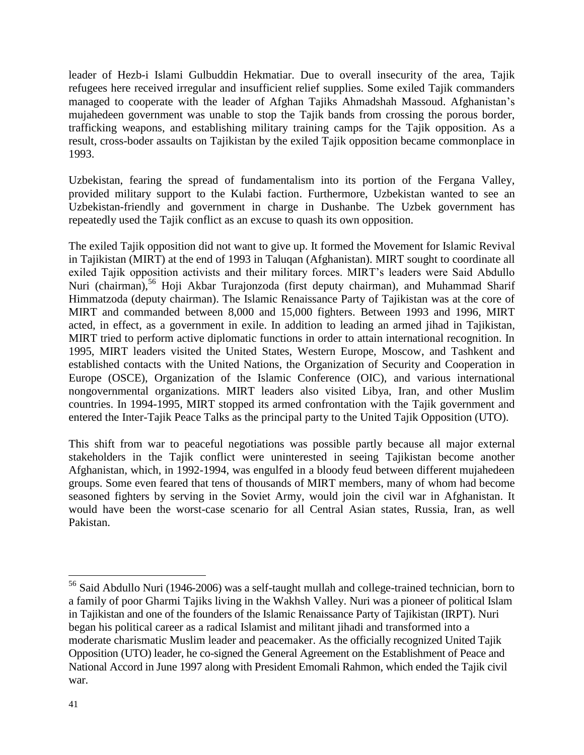leader of Hezb-i Islami Gulbuddin Hekmatiar. Due to overall insecurity of the area, Tajik refugees here received irregular and insufficient relief supplies. Some exiled Tajik commanders managed to cooperate with the leader of Afghan Tajiks Ahmadshah Massoud. Afghanistan's mujahedeen government was unable to stop the Tajik bands from crossing the porous border, trafficking weapons, and establishing military training camps for the Tajik opposition. As a result, cross-boder assaults on Tajikistan by the exiled Tajik opposition became commonplace in 1993.

Uzbekistan, fearing the spread of fundamentalism into its portion of the Fergana Valley, provided military support to the Kulabi faction. Furthermore, Uzbekistan wanted to see an Uzbekistan-friendly and government in charge in Dushanbe. The Uzbek government has repeatedly used the Tajik conflict as an excuse to quash its own opposition.

The exiled Tajik opposition did not want to give up. It formed the Movement for Islamic Revival in Tajikistan (MIRT) at the end of 1993 in Taluqan (Afghanistan). MIRT sought to coordinate all exiled Tajik opposition activists and their military forces. MIRT's leaders were Said Abdullo Nuri (chairman),<sup>56</sup> Hoji Akbar Turajonzoda (first deputy chairman), and Muhammad Sharif Himmatzoda (deputy chairman). The Islamic Renaissance Party of Tajikistan was at the core of MIRT and commanded between 8,000 and 15,000 fighters. Between 1993 and 1996, MIRT acted, in effect, as a government in exile. In addition to leading an armed jihad in Tajikistan, MIRT tried to perform active diplomatic functions in order to attain international recognition. In 1995, MIRT leaders visited the United States, Western Europe, Moscow, and Tashkent and established contacts with the United Nations, the Organization of Security and Cooperation in Europe (OSCE), Organization of the Islamic Conference (OIC), and various international nongovernmental organizations. MIRT leaders also visited Libya, Iran, and other Muslim countries. In 1994-1995, MIRT stopped its armed confrontation with the Tajik government and entered the Inter-Tajik Peace Talks as the principal party to the United Tajik Opposition (UTO).

This shift from war to peaceful negotiations was possible partly because all major external stakeholders in the Tajik conflict were uninterested in seeing Tajikistan become another Afghanistan, which, in 1992-1994, was engulfed in a bloody feud between different mujahedeen groups. Some even feared that tens of thousands of MIRT members, many of whom had become seasoned fighters by serving in the Soviet Army, would join the civil war in Afghanistan. It would have been the worst-case scenario for all Central Asian states, Russia, Iran, as well Pakistan.

<sup>56</sup> Said Abdullo Nuri (1946-2006) was a self-taught mullah and college-trained technician, born to a family of poor Gharmi Tajiks living in the Wakhsh Valley. Nuri was a pioneer of political Islam in Tajikistan and one of the founders of the Islamic Renaissance Party of Tajikistan (IRPT). Nuri began his political career as a radical Islamist and militant jihadi and transformed into a moderate charismatic Muslim leader and peacemaker. As the officially recognized United Tajik Opposition (UTO) leader, he co-signed the General Agreement on the Establishment of Peace and National Accord in June 1997 along with President Emomali Rahmon, which ended the Tajik civil war.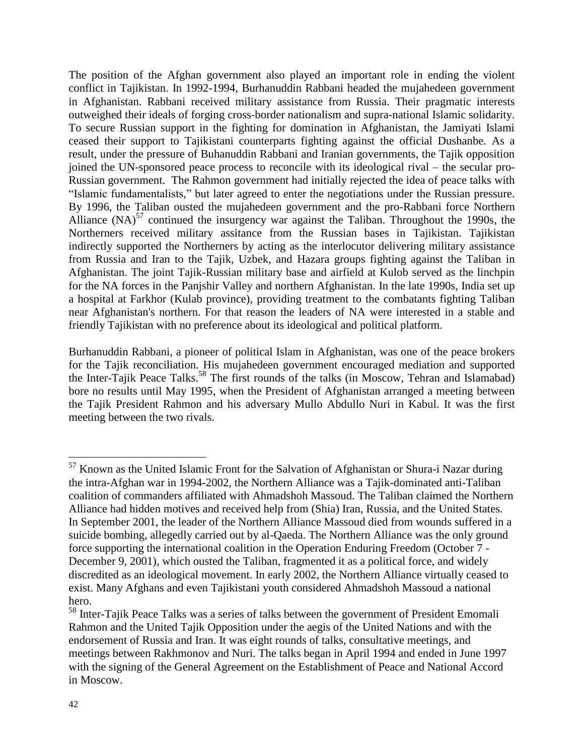The position of the Afghan government also played an important role in ending the violent conflict in Tajikistan. In 1992-1994, Burhanuddin Rabbani headed the mujahedeen government in Afghanistan. Rabbani received military assistance from Russia. Their pragmatic interests outweighed their ideals of forging cross-border nationalism and supra-national Islamic solidarity. To secure Russian support in the fighting for domination in Afghanistan, the Jamiyati Islami ceased their support to Tajikistani counterparts fighting against the official Dushanbe. As a result, under the pressure of Buhanuddin Rabbani and Iranian governments, the Tajik opposition joined the UN-sponsored peace process to reconcile with its ideological rival – the secular pro-Russian government. The Rahmon government had initially rejected the idea of peace talks with "Islamic fundamentalists," but later agreed to enter the negotiations under the Russian pressure. By 1996, the Taliban ousted the mujahedeen government and the pro-Rabbani force Northern Alliance  $(NA)^{57}$  continued the insurgency war against the Taliban. Throughout the 1990s, the Northerners received military assitance from the Russian bases in Tajikistan. Tajikistan indirectly supported the Northerners by acting as the interlocutor delivering military assistance from Russia and Iran to the Tajik, Uzbek, and Hazara groups fighting against the Taliban in Afghanistan. The joint Tajik-Russian military base and airfield at Kulob served as the linchpin for the NA forces in the Panjshir Valley and northern Afghanistan. In the late 1990s, India set up a hospital at Farkhor (Kulab province), providing treatment to the combatants fighting Taliban near Afghanistan's northern. For that reason the leaders of NA were interested in a stable and friendly Tajikistan with no preference about its ideological and political platform.

Burhanuddin Rabbani, a pioneer of political Islam in Afghanistan, was one of the peace brokers for the Tajik reconciliation. His mujahedeen government encouraged mediation and supported the Inter-Tajik Peace Talks.<sup>58</sup> The first rounds of the talks (in Moscow, Tehran and Islamabad) bore no results until May 1995, when the President of Afghanistan arranged a meeting between the Tajik President Rahmon and his adversary Mullo Abdullo Nuri in Kabul. It was the first meeting between the two rivals.

 $57$  Known as the United Islamic Front for the Salvation of Afghanistan or Shura-i Nazar during the intra-Afghan war in 1994-2002, the Northern Alliance was a Tajik-dominated anti-Taliban coalition of commanders affiliated with Ahmadshoh Massoud. The Taliban claimed the Northern Alliance had hidden motives and received help from (Shia) Iran, Russia, and the United States. In September 2001, the leader of the Northern Alliance Massoud died from wounds suffered in a suicide bombing, allegedly carried out by al-Qaeda. The Northern Alliance was the only ground force supporting the international coalition in the Operation Enduring Freedom (October 7 - December 9, 2001), which ousted the Taliban, fragmented it as a political force, and widely discredited as an ideological movement. In early 2002, the Northern Alliance virtually ceased to exist. Many Afghans and even Tajikistani youth considered Ahmadshoh Massoud a national hero.

<sup>58</sup> Inter-Tajik Peace Talks was a series of talks between the government of President Emomali Rahmon and the United Tajik Opposition under the aegis of the United Nations and with the endorsement of Russia and Iran. It was eight rounds of talks, consultative meetings, and meetings between Rakhmonov and Nuri. The talks began in April 1994 and ended in June 1997 with the signing of the General Agreement on the Establishment of Peace and National Accord in Moscow.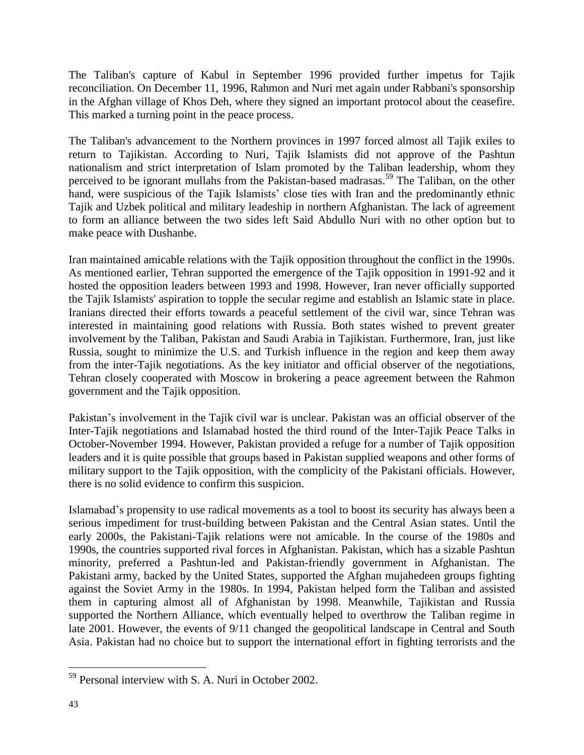The Taliban's capture of Kabul in September 1996 provided further impetus for Tajik reconciliation. On December 11, 1996, Rahmon and Nuri met again under Rabbani's sponsorship in the Afghan village of Khos Deh, where they signed an important protocol about the ceasefire. This marked a turning point in the peace process.

The Taliban's advancement to the Northern provinces in 1997 forced almost all Tajik exiles to return to Tajikistan. According to Nuri, Tajik Islamists did not approve of the Pashtun nationalism and strict interpretation of Islam promoted by the Taliban leadership, whom they perceived to be ignorant mullahs from the Pakistan-based madrasas.<sup>59</sup> The Taliban, on the other hand, were suspicious of the Tajik Islamists' close ties with Iran and the predominantly ethnic Tajik and Uzbek political and military leadeship in northern Afghanistan. The lack of agreement to form an alliance between the two sides left Said Abdullo Nuri with no other option but to make peace with Dushanbe.

Iran maintained amicable relations with the Tajik opposition throughout the conflict in the 1990s. As mentioned earlier, Tehran supported the emergence of the Tajik opposition in 1991-92 and it hosted the opposition leaders between 1993 and 1998. However, Iran never officially supported the Tajik Islamists' aspiration to topple the secular regime and establish an Islamic state in place. Iranians directed their efforts towards a peaceful settlement of the civil war, since Tehran was interested in maintaining good relations with Russia. Both states wished to prevent greater involvement by the Taliban, Pakistan and Saudi Arabia in Tajikistan. Furthermore, Iran, just like Russia, sought to minimize the U.S. and Turkish influence in the region and keep them away from the inter-Tajik negotiations. As the key initiator and official observer of the negotiations, Tehran closely cooperated with Moscow in brokering a peace agreement between the Rahmon government and the Tajik opposition.

Pakistan's involvement in the Tajik civil war is unclear. Pakistan was an official observer of the Inter-Tajik negotiations and Islamabad hosted the third round of the Inter-Tajik Peace Talks in October-November 1994. However, Pakistan provided a refuge for a number of Tajik opposition leaders and it is quite possible that groups based in Pakistan supplied weapons and other forms of military support to the Tajik opposition, with the complicity of the Pakistani officials. However, there is no solid evidence to confirm this suspicion.

Islamabad's propensity to use radical movements as a tool to boost its security has always been a serious impediment for trust-building between Pakistan and the Central Asian states. Until the early 2000s, the Pakistani-Tajik relations were not amicable. In the course of the 1980s and 1990s, the countries supported rival forces in Afghanistan. Pakistan, which has a sizable Pashtun minority, preferred a Pashtun-led and Pakistan-friendly government in Afghanistan. The Pakistani army, backed by the United States, supported the Afghan mujahedeen groups fighting against the Soviet Army in the 1980s. In 1994, Pakistan helped form the Taliban and assisted them in capturing almost all of Afghanistan by 1998. Meanwhile, Tajikistan and Russia supported the Northern Alliance, which eventually helped to overthrow the Taliban regime in late 2001. However, the events of 9/11 changed the geopolitical landscape in Central and South Asia. Pakistan had no choice but to support the international effort in fighting terrorists and the

<sup>59</sup> Personal interview with S. A. Nuri in October 2002.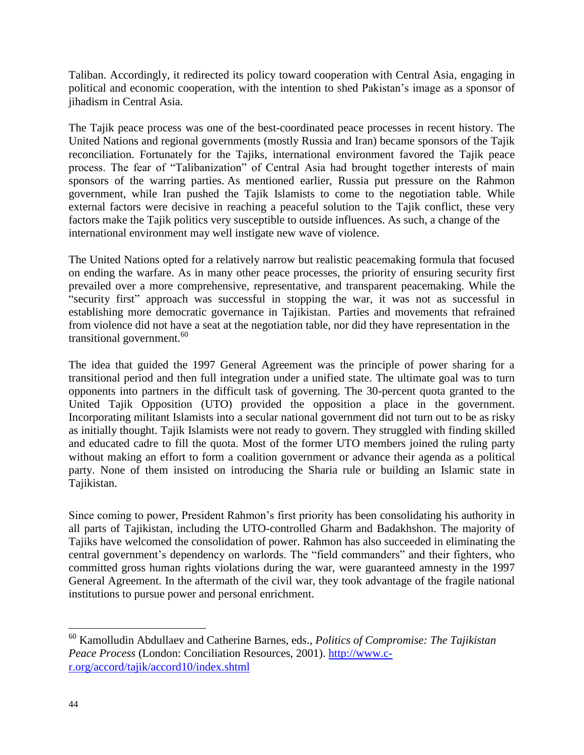Taliban. Accordingly, it redirected its policy toward cooperation with Central Asia, engaging in political and economic cooperation, with the intention to shed Pakistan's image as a sponsor of jihadism in Central Asia.

The Tajik peace process was one of the best-coordinated peace processes in recent history. The United Nations and regional governments (mostly Russia and Iran) became sponsors of the Tajik reconciliation. Fortunately for the Tajiks, international environment favored the Tajik peace process. The fear of "Talibanization" of Central Asia had brought together interests of main sponsors of the warring parties. As mentioned earlier, Russia put pressure on the Rahmon government, while Iran pushed the Tajik Islamists to come to the negotiation table. While external factors were decisive in reaching a peaceful solution to the Tajik conflict, these very factors make the Tajik politics very susceptible to outside influences. As such, a change of the international environment may well instigate new wave of violence.

The United Nations opted for a relatively narrow but realistic peacemaking formula that focused on ending the warfare. As in many other peace processes, the priority of ensuring security first prevailed over a more comprehensive, representative, and transparent peacemaking. While the "security first" approach was successful in stopping the war, it was not as successful in establishing more democratic governance in Tajikistan. Parties and movements that refrained from violence did not have a seat at the negotiation table, nor did they have representation in the transitional government.<sup>60</sup>

The idea that guided the 1997 General Agreement was the principle of power sharing for a transitional period and then full integration under a unified state. The ultimate goal was to turn opponents into partners in the difficult task of governing. The 30-percent quota granted to the United Tajik Opposition (UTO) provided the opposition a place in the government. Incorporating militant Islamists into a secular national government did not turn out to be as risky as initially thought. Tajik Islamists were not ready to govern. They struggled with finding skilled and educated cadre to fill the quota. Most of the former UTO members joined the ruling party without making an effort to form a coalition government or advance their agenda as a political party. None of them insisted on introducing the Sharia rule or building an Islamic state in Tajikistan.

Since coming to power, President Rahmon's first priority has been consolidating his authority in all parts of Tajikistan, including the UTO-controlled Gharm and Badakhshon. The majority of Tajiks have welcomed the consolidation of power. Rahmon has also succeeded in eliminating the central government's dependency on warlords. The "field commanders" and their fighters, who committed gross human rights violations during the war, were guaranteed amnesty in the 1997 General Agreement. In the aftermath of the civil war, they took advantage of the fragile national institutions to pursue power and personal enrichment.

<sup>60</sup> Kamolludin Abdullaev and Catherine Barnes, eds., *Politics of Compromise: The Tajikistan Peace Process* (London: Conciliation Resources, 2001). [http://www.c](http://www.c-r.org/accord/tajik/accord10/index.shtml)[r.org/accord/tajik/accord10/index.shtml](http://www.c-r.org/accord/tajik/accord10/index.shtml)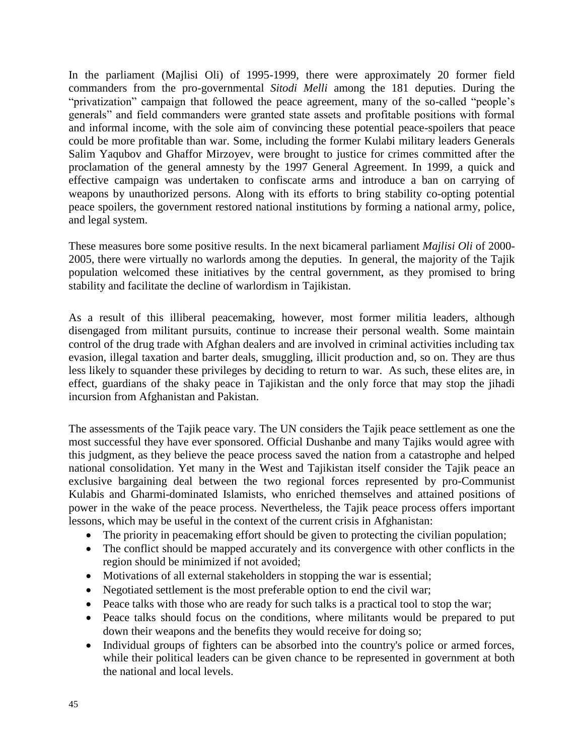In the parliament (Majlisi Oli) of 1995-1999, there were approximately 20 former field commanders from the pro-governmental *Sitodi Melli* among the 181 deputies. During the "privatization" campaign that followed the peace agreement, many of the so-called "people's generals" and field commanders were granted state assets and profitable positions with formal and informal income, with the sole aim of convincing these potential peace-spoilers that peace could be more profitable than war. Some, including the former Kulabi military leaders Generals Salim Yaqubov and Ghaffor Mirzoyev, were brought to justice for crimes committed after the proclamation of the general amnesty by the 1997 General Agreement. In 1999, a quick and effective campaign was undertaken to confiscate arms and introduce a ban on carrying of weapons by unauthorized persons. Along with its efforts to bring stability co-opting potential peace spoilers, the government restored national institutions by forming a national army, police, and legal system.

These measures bore some positive results. In the next bicameral parliament *Majlisi Oli* of 2000- 2005, there were virtually no warlords among the deputies. In general, the majority of the Tajik population welcomed these initiatives by the central government, as they promised to bring stability and facilitate the decline of warlordism in Tajikistan.

As a result of this illiberal peacemaking, however, most former militia leaders, although disengaged from militant pursuits, continue to increase their personal wealth. Some maintain control of the drug trade with Afghan dealers and are involved in criminal activities including tax evasion, illegal taxation and barter deals, smuggling, illicit production and, so on. They are thus less likely to squander these privileges by deciding to return to war. As such, these elites are, in effect, guardians of the shaky peace in Tajikistan and the only force that may stop the jihadi incursion from Afghanistan and Pakistan.

The assessments of the Tajik peace vary. The UN considers the Tajik peace settlement as one the most successful they have ever sponsored. Official Dushanbe and many Tajiks would agree with this judgment, as they believe the peace process saved the nation from a catastrophe and helped national consolidation. Yet many in the West and Tajikistan itself consider the Tajik peace an exclusive bargaining deal between the two regional forces represented by pro-Communist Kulabis and Gharmi-dominated Islamists, who enriched themselves and attained positions of power in the wake of the peace process. Nevertheless, the Tajik peace process offers important lessons, which may be useful in the context of the current crisis in Afghanistan:

- The priority in peacemaking effort should be given to protecting the civilian population;
- The conflict should be mapped accurately and its convergence with other conflicts in the region should be minimized if not avoided;
- Motivations of all external stakeholders in stopping the war is essential;
- Negotiated settlement is the most preferable option to end the civil war;
- Peace talks with those who are ready for such talks is a practical tool to stop the war;
- Peace talks should focus on the conditions, where militants would be prepared to put down their weapons and the benefits they would receive for doing so;
- Individual groups of fighters can be absorbed into the country's police or armed forces, while their political leaders can be given chance to be represented in government at both the national and local levels.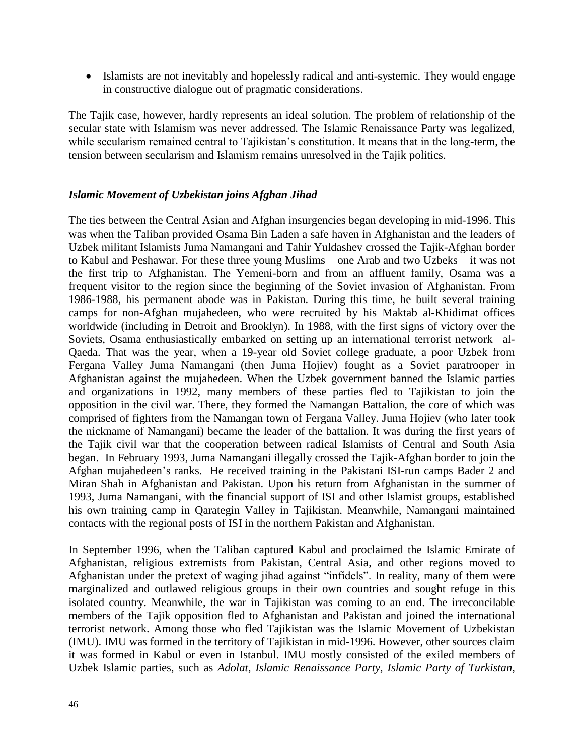• Islamists are not inevitably and hopelessly radical and anti-systemic. They would engage in constructive dialogue out of pragmatic considerations.

The Tajik case, however, hardly represents an ideal solution. The problem of relationship of the secular state with Islamism was never addressed. The Islamic Renaissance Party was legalized, while secularism remained central to Tajikistan's constitution. It means that in the long-term, the tension between secularism and Islamism remains unresolved in the Tajik politics.

#### *Islamic Movement of Uzbekistan joins Afghan Jihad*

The ties between the Central Asian and Afghan insurgencies began developing in mid-1996. This was when the Taliban provided Osama Bin Laden a safe haven in Afghanistan and the leaders of Uzbek militant Islamists Juma Namangani and Tahir Yuldashev crossed the Tajik-Afghan border to Kabul and Peshawar. For these three young Muslims – one Arab and two Uzbeks – it was not the first trip to Afghanistan. The Yemeni-born and from an affluent family, Osama was a frequent visitor to the region since the beginning of the Soviet invasion of Afghanistan. From 1986-1988, his permanent abode was in Pakistan. During this time, he built several training camps for non-Afghan mujahedeen, who were recruited by his Maktab al-Khidimat offices worldwide (including in Detroit and Brooklyn). In 1988, with the first signs of victory over the Soviets, Osama enthusiastically embarked on setting up an international terrorist network– al-Qaeda. That was the year, when a 19-year old Soviet college graduate, a poor Uzbek from Fergana Valley Juma Namangani (then Juma Hojiev) fought as a Soviet paratrooper in Afghanistan against the mujahedeen. When the Uzbek government banned the Islamic parties and organizations in 1992, many members of these parties fled to Tajikistan to join the opposition in the civil war. There, they formed the Namangan Battalion, the core of which was comprised of fighters from the Namangan town of Fergana Valley. Juma Hojiev (who later took the nickname of Namangani) became the leader of the battalion. It was during the first years of the Tajik civil war that the cooperation between radical Islamists of Central and South Asia began. In February 1993, Juma Namangani illegally crossed the Tajik-Afghan border to join the Afghan mujahedeen's ranks. He received training in the Pakistani ISI-run camps Bader 2 and Miran Shah in Afghanistan and Pakistan. Upon his return from Afghanistan in the summer of 1993, Juma Namangani, with the financial support of ISI and other Islamist groups, established his own training camp in Qarategin Valley in Tajikistan. Meanwhile, Namangani maintained contacts with the regional posts of ISI in the northern Pakistan and Afghanistan.

In September 1996, when the Taliban captured Kabul and proclaimed the Islamic Emirate of Afghanistan, religious extremists from Pakistan, Central Asia, and other regions moved to Afghanistan under the pretext of waging jihad against "infidels". In reality, many of them were marginalized and outlawed religious groups in their own countries and sought refuge in this isolated country. Meanwhile, the war in Tajikistan was coming to an end. The irreconcilable members of the Tajik opposition fled to Afghanistan and Pakistan and joined the international terrorist network. Among those who fled Tajikistan was the Islamic Movement of Uzbekistan (IMU). IMU was formed in the territory of Tajikistan in mid-1996. However, other sources claim it was formed in Kabul or even in Istanbul. IMU mostly consisted of the exiled members of Uzbek Islamic parties, such as *Adolat*, *Islamic Renaissance Party*, *Islamic Party of Turkistan*,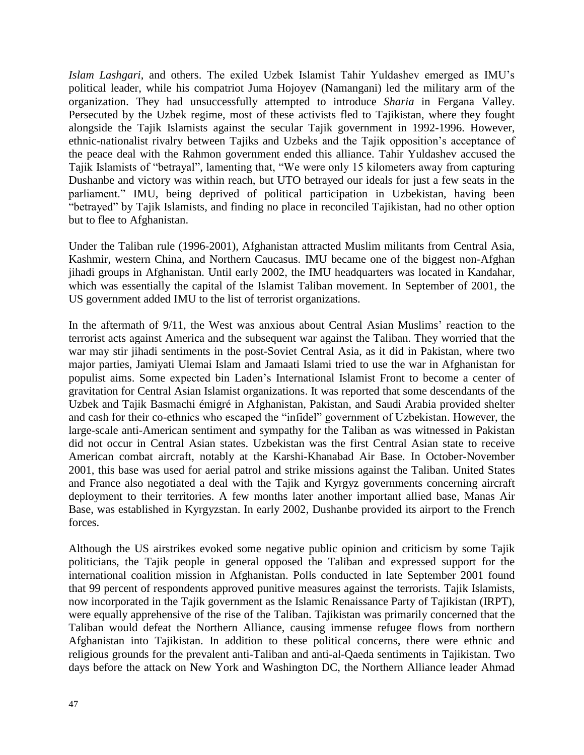*Islam Lashgari*, and others. The exiled Uzbek Islamist Tahir Yuldashev emerged as IMU's political leader, while his compatriot Juma Hojoyev (Namangani) led the military arm of the organization. They had unsuccessfully attempted to introduce *Sharia* in Fergana Valley. Persecuted by the Uzbek regime, most of these activists fled to Tajikistan, where they fought alongside the Tajik Islamists against the secular Tajik government in 1992-1996. However, ethnic-nationalist rivalry between Tajiks and Uzbeks and the Tajik opposition's acceptance of the peace deal with the Rahmon government ended this alliance. Tahir Yuldashev accused the Tajik Islamists of "betrayal", lamenting that, "We were only 15 kilometers away from capturing Dushanbe and victory was within reach, but UTO betrayed our ideals for just a few seats in the parliament." IMU, being deprived of political participation in Uzbekistan, having been "betrayed" by Tajik Islamists, and finding no place in reconciled Tajikistan, had no other option but to flee to Afghanistan.

Under the Taliban rule (1996-2001), Afghanistan attracted Muslim militants from Central Asia, Kashmir, western China, and Northern Caucasus. IMU became one of the biggest non-Afghan jihadi groups in Afghanistan. Until early 2002, the IMU headquarters was located in Kandahar, which was essentially the capital of the Islamist Taliban movement. In September of 2001, the US government added IMU to the list of terrorist organizations.

In the aftermath of 9/11, the West was anxious about Central Asian Muslims' reaction to the terrorist acts against America and the subsequent war against the Taliban. They worried that the war may stir jihadi sentiments in the post-Soviet Central Asia, as it did in Pakistan, where two major parties, Jamiyati Ulemai Islam and Jamaati Islami tried to use the war in Afghanistan for populist aims. Some expected bin Laden's International Islamist Front to become a center of gravitation for Central Asian Islamist organizations. It was reported that some descendants of the Uzbek and Tajik Basmachi émigré in Afghanistan, Pakistan, and Saudi Arabia provided shelter and cash for their co-ethnics who escaped the "infidel" government of Uzbekistan. However, the large-scale anti-American sentiment and sympathy for the Taliban as was witnessed in Pakistan did not occur in Central Asian states. Uzbekistan was the first Central Asian state to receive American combat aircraft, notably at the Karshi-Khanabad Air Base. In October-November 2001, this base was used for aerial patrol and strike missions against the Taliban. United States and France also negotiated a deal with the Tajik and Kyrgyz governments concerning aircraft deployment to their territories. A few months later another important allied base, Manas Air Base, was established in Kyrgyzstan. In early 2002, Dushanbe provided its airport to the French forces.

Although the US airstrikes evoked some negative public opinion and criticism by some Tajik politicians, the Tajik people in general opposed the Taliban and expressed support for the international coalition mission in Afghanistan. Polls conducted in late September 2001 found that 99 percent of respondents approved punitive measures against the terrorists. Tajik Islamists, now incorporated in the Tajik government as the Islamic Renaissance Party of Tajikistan (IRPT), were equally apprehensive of the rise of the Taliban. Tajikistan was primarily concerned that the Taliban would defeat the Northern Alliance, causing immense refugee flows from northern Afghanistan into Tajikistan. In addition to these political concerns, there were ethnic and religious grounds for the prevalent anti-Taliban and anti-al-Qaeda sentiments in Tajikistan. Two days before the attack on New York and Washington DC, the Northern Alliance leader Ahmad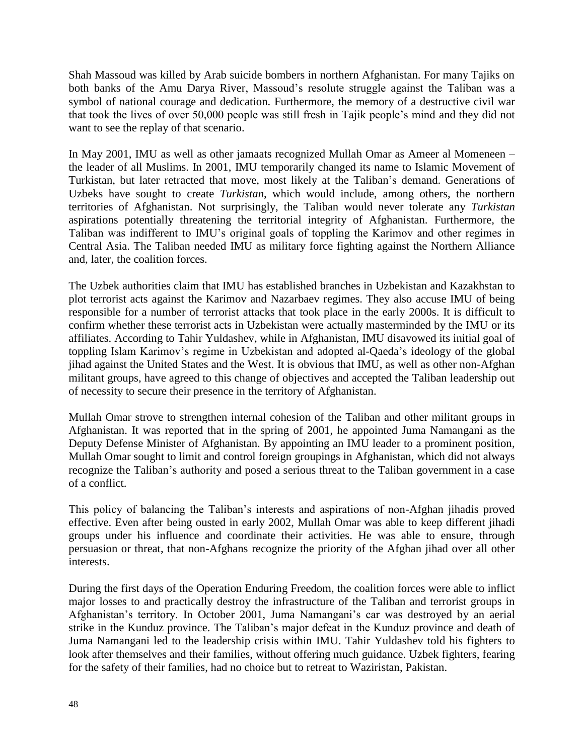Shah Massoud was killed by Arab suicide bombers in northern Afghanistan. For many Tajiks on both banks of the Amu Darya River, Massoud's resolute struggle against the Taliban was a symbol of national courage and dedication. Furthermore, the memory of a destructive civil war that took the lives of over 50,000 people was still fresh in Tajik people's mind and they did not want to see the replay of that scenario.

In May 2001, IMU as well as other jamaats recognized Mullah Omar as Ameer al Momeneen – the leader of all Muslims. In 2001, IMU temporarily changed its name to Islamic Movement of Turkistan, but later retracted that move, most likely at the Taliban's demand. Generations of Uzbeks have sought to create *Turkistan*, which would include, among others, the northern territories of Afghanistan. Not surprisingly, the Taliban would never tolerate any *Turkistan* aspirations potentially threatening the territorial integrity of Afghanistan. Furthermore, the Taliban was indifferent to IMU's original goals of toppling the Karimov and other regimes in Central Asia. The Taliban needed IMU as military force fighting against the Northern Alliance and, later, the coalition forces.

The Uzbek authorities claim that IMU has established branches in Uzbekistan and Kazakhstan to plot terrorist acts against the Karimov and Nazarbaev regimes. They also accuse IMU of being responsible for a number of terrorist attacks that took place in the early 2000s. It is difficult to confirm whether these terrorist acts in Uzbekistan were actually masterminded by the IMU or its affiliates. According to Tahir Yuldashev, while in Afghanistan, IMU disavowed its initial goal of toppling Islam Karimov's regime in Uzbekistan and adopted al-Qaeda's ideology of the global jihad against the United States and the West. It is obvious that IMU, as well as other non-Afghan militant groups, have agreed to this change of objectives and accepted the Taliban leadership out of necessity to secure their presence in the territory of Afghanistan.

Mullah Omar strove to strengthen internal cohesion of the Taliban and other militant groups in Afghanistan. It was reported that in the spring of 2001, he appointed Juma Namangani as the Deputy Defense Minister of Afghanistan. By appointing an IMU leader to a prominent position, Mullah Omar sought to limit and control foreign groupings in Afghanistan, which did not always recognize the Taliban's authority and posed a serious threat to the Taliban government in a case of a conflict.

This policy of balancing the Taliban's interests and aspirations of non-Afghan jihadis proved effective. Even after being ousted in early 2002, Mullah Omar was able to keep different jihadi groups under his influence and coordinate their activities. He was able to ensure, through persuasion or threat, that non-Afghans recognize the priority of the Afghan jihad over all other interests.

During the first days of the Operation Enduring Freedom, the coalition forces were able to inflict major losses to and practically destroy the infrastructure of the Taliban and terrorist groups in Afghanistan's territory. In October 2001, Juma Namangani's car was destroyed by an aerial strike in the Kunduz province. The Taliban's major defeat in the Kunduz province and death of Juma Namangani led to the leadership crisis within IMU. Tahir Yuldashev told his fighters to look after themselves and their families, without offering much guidance. Uzbek fighters, fearing for the safety of their families, had no choice but to retreat to Waziristan, Pakistan.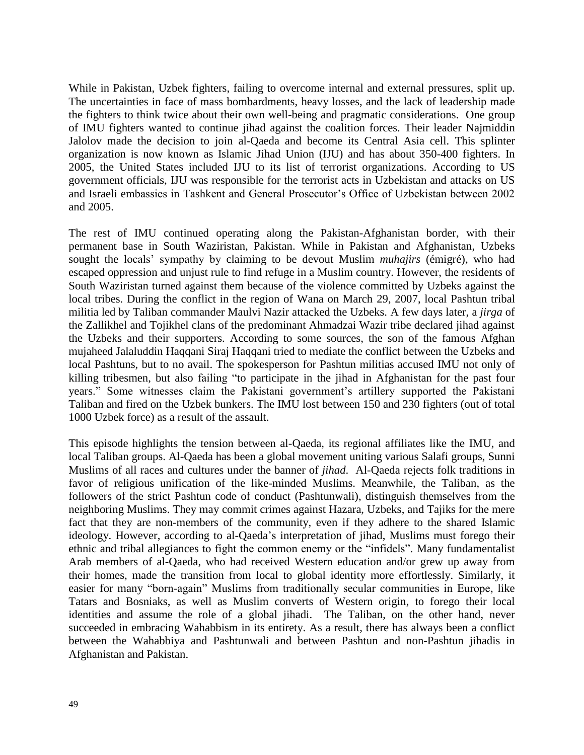While in Pakistan, Uzbek fighters, failing to overcome internal and external pressures, split up. The uncertainties in face of mass bombardments, heavy losses, and the lack of leadership made the fighters to think twice about their own well-being and pragmatic considerations. One group of IMU fighters wanted to continue jihad against the coalition forces. Their leader Najmiddin Jalolov made the decision to join al-Qaeda and become its Central Asia cell. This splinter organization is now known as Islamic Jihad Union (IJU) and has about 350-400 fighters. In 2005, the United States included IJU to its list of terrorist organizations. According to US government officials, IJU was responsible for the terrorist acts in Uzbekistan and attacks on US and Israeli embassies in Tashkent and General Prosecutor's Office of Uzbekistan between 2002 and 2005.

The rest of IMU continued operating along the Pakistan-Afghanistan border, with their permanent base in South Waziristan, Pakistan. While in Pakistan and Afghanistan, Uzbeks sought the locals' sympathy by claiming to be devout Muslim *muhajirs* (émigré), who had escaped oppression and unjust rule to find refuge in a Muslim country. However, the residents of South Waziristan turned against them because of the violence committed by Uzbeks against the local tribes. During the conflict in the region of Wana on March 29, 2007, local Pashtun tribal militia led by Taliban commander Maulvi Nazir attacked the Uzbeks. A few days later, a *jirga* of the Zallikhel and Tojikhel clans of the predominant Ahmadzai Wazir tribe declared jihad against the Uzbeks and their supporters. According to some sources, the son of the famous Afghan mujaheed Jalaluddin Haqqani Siraj Haqqani tried to mediate the conflict between the Uzbeks and local Pashtuns, but to no avail. The spokesperson for Pashtun militias accused IMU not only of killing tribesmen, but also failing "to participate in the jihad in Afghanistan for the past four years." Some witnesses claim the Pakistani government's artillery supported the Pakistani Taliban and fired on the Uzbek bunkers. The IMU lost between 150 and 230 fighters (out of total 1000 Uzbek force) as a result of the assault.

This episode highlights the tension between al-Qaeda, its regional affiliates like the IMU, and local Taliban groups. Al-Qaeda has been a global movement uniting various Salafi groups, Sunni Muslims of all races and cultures under the banner of *jihad*. Al-Qaeda rejects folk traditions in favor of religious unification of the like-minded Muslims. Meanwhile, the Taliban, as the followers of the strict Pashtun code of conduct (Pashtunwali), distinguish themselves from the neighboring Muslims. They may commit crimes against Hazara, Uzbeks, and Tajiks for the mere fact that they are non-members of the community, even if they adhere to the shared Islamic ideology. However, according to al-Qaeda's interpretation of jihad, Muslims must forego their ethnic and tribal allegiances to fight the common enemy or the "infidels". Many fundamentalist Arab members of al-Qaeda, who had received Western education and/or grew up away from their homes, made the transition from local to global identity more effortlessly. Similarly, it easier for many "born-again" Muslims from traditionally secular communities in Europe, like Tatars and Bosniaks, as well as Muslim converts of Western origin, to forego their local identities and assume the role of a global jihadi. The Taliban, on the other hand, never succeeded in embracing Wahabbism in its entirety. As a result, there has always been a conflict between the Wahabbiya and Pashtunwali and between Pashtun and non-Pashtun jihadis in Afghanistan and Pakistan.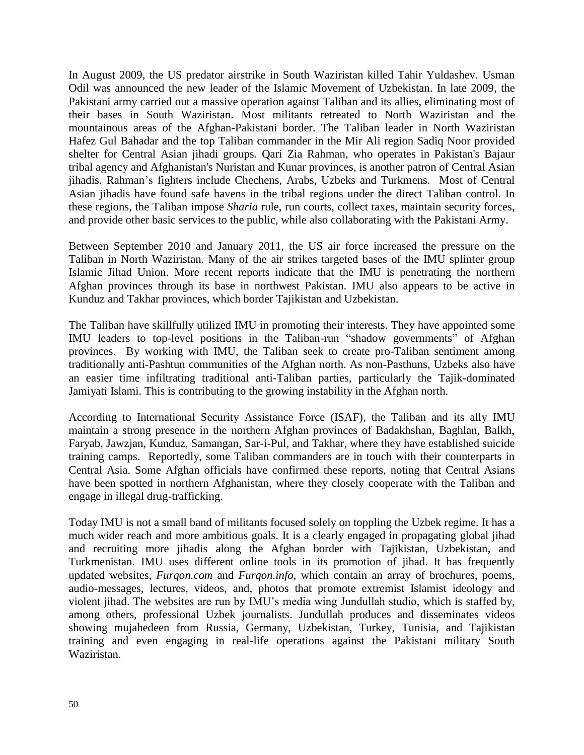In August 2009, the US predator airstrike in South Waziristan killed Tahir Yuldashev. Usman Odil was announced the new leader of the Islamic Movement of Uzbekistan. In late 2009, the Pakistani army carried out a massive operation against Taliban and its allies, eliminating most of their bases in South Waziristan. Most militants retreated to North Waziristan and the mountainous areas of the Afghan-Pakistani border. The Taliban leader in North Waziristan Hafez Gul Bahadar and the top Taliban commander in the Mir Ali region Sadiq Noor provided shelter for Central Asian jihadi groups. Qari Zia Rahman, who operates in Pakistan's Bajaur tribal agency and Afghanistan's Nuristan and Kunar provinces, is another patron of Central Asian jihadis. Rahman's fighters include Chechens, Arabs, Uzbeks and Turkmens. Most of Central Asian jihadis have found safe havens in the tribal regions under the direct Taliban control. In these regions, the Taliban impose *Sharia* rule, run courts, collect taxes, maintain security forces, and provide other basic services to the public, while also collaborating with the Pakistani Army.

Between September 2010 and January 2011, the US air force increased the pressure on the Taliban in North Waziristan. Many of the air strikes targeted bases of the IMU splinter group Islamic Jihad Union. More recent reports indicate that the IMU is penetrating the northern Afghan provinces through its base in northwest Pakistan. IMU also appears to be active in Kunduz and Takhar provinces, which border Tajikistan and Uzbekistan.

The Taliban have skillfully utilized IMU in promoting their interests. They have appointed some IMU leaders to top-level positions in the Taliban-run "shadow governments" of Afghan provinces. By working with IMU, the Taliban seek to create pro-Taliban sentiment among traditionally anti-Pashtun communities of the Afghan north. As non-Pasthuns, Uzbeks also have an easier time infiltrating traditional anti-Taliban parties, particularly the Tajik-dominated Jamiyati Islami. This is contributing to the growing instability in the Afghan north.

According to International Security Assistance Force (ISAF), the Taliban and its ally IMU maintain a strong presence in the northern Afghan provinces of Badakhshan, Baghlan, Balkh, Faryab, Jawzjan, Kunduz, Samangan, Sar-i-Pul, and Takhar, where they have established suicide training camps. Reportedly, some Taliban commanders are in touch with their counterparts in Central Asia. Some Afghan officials have confirmed these reports, noting that Central Asians have been spotted in northern Afghanistan, where they closely cooperate with the Taliban and engage in illegal drug-trafficking.

Today IMU is not a small band of militants focused solely on toppling the Uzbek regime. It has a much wider reach and more ambitious goals. It is a clearly engaged in propagating global jihad and recruiting more jihadis along the Afghan border with Tajikistan, Uzbekistan, and Turkmenistan. IMU uses different online tools in its promotion of jihad. It has frequently updated websites, *Furqon.com* and *Furqon.info*, which contain an array of brochures, poems, audio-messages, lectures, videos, and, photos that promote extremist Islamist ideology and violent jihad. The websites are run by IMU's media wing Jundullah studio, which is staffed by, among others, professional Uzbek journalists. Jundullah produces and disseminates videos showing mujahedeen from Russia, Germany, Uzbekistan, Turkey, Tunisia, and Tajikistan training and even engaging in real-life operations against the Pakistani military South Waziristan.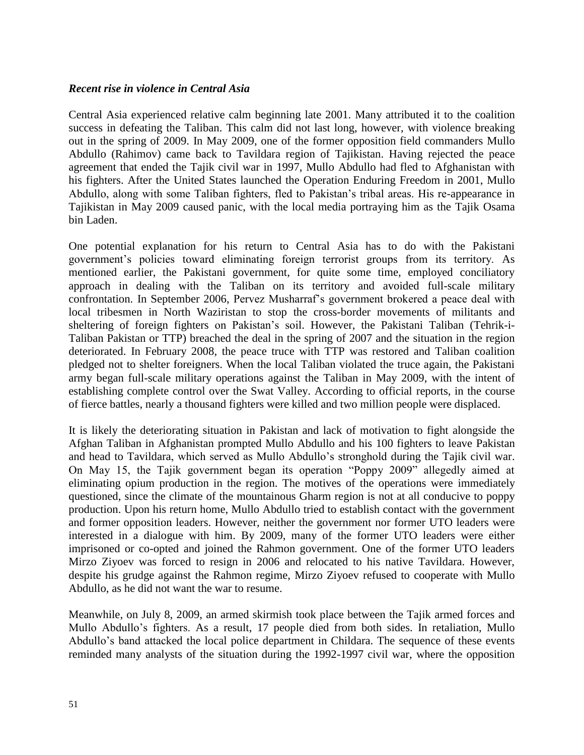#### *Recent rise in violence in Central Asia*

Central Asia experienced relative calm beginning late 2001. Many attributed it to the coalition success in defeating the Taliban. This calm did not last long, however, with violence breaking out in the spring of 2009. In May 2009, one of the former opposition field commanders Mullo Abdullo (Rahimov) came back to Tavildara region of Tajikistan. Having rejected the peace agreement that ended the Tajik civil war in 1997, Mullo Abdullo had fled to Afghanistan with his fighters. After the United States launched the Operation Enduring Freedom in 2001, Mullo Abdullo, along with some Taliban fighters, fled to Pakistan's tribal areas. His re-appearance in Tajikistan in May 2009 caused panic, with the local media portraying him as the Tajik Osama bin Laden.

One potential explanation for his return to Central Asia has to do with the Pakistani government's policies toward eliminating foreign terrorist groups from its territory. As mentioned earlier, the Pakistani government, for quite some time, employed conciliatory approach in dealing with the Taliban on its territory and avoided full-scale military confrontation. In September 2006, Pervez Musharraf's government brokered a peace deal with local tribesmen in North Waziristan to stop the cross-border movements of militants and sheltering of foreign fighters on Pakistan's soil. However, the Pakistani Taliban (Tehrik-i-Taliban Pakistan or TTP) breached the deal in the spring of 2007 and the situation in the region deteriorated. In February 2008, the peace truce with TTP was restored and Taliban coalition pledged not to shelter foreigners. When the local Taliban violated the truce again, the Pakistani army began full-scale military operations against the Taliban in May 2009, with the intent of establishing complete control over the Swat Valley. According to official reports, in the course of fierce battles, nearly a thousand fighters were killed and two million people were displaced.

It is likely the deteriorating situation in Pakistan and lack of motivation to fight alongside the Afghan Taliban in Afghanistan prompted Mullo Abdullo and his 100 fighters to leave Pakistan and head to Tavildara, which served as Mullo Abdullo's stronghold during the Tajik civil war. On May 15, the Tajik government began its operation "Poppy 2009" allegedly aimed at eliminating opium production in the region. The motives of the operations were immediately questioned, since the climate of the mountainous Gharm region is not at all conducive to poppy production. Upon his return home, Mullo Abdullo tried to establish contact with the government and former opposition leaders. However, neither the government nor former UTO leaders were interested in a dialogue with him. By 2009, many of the former UTO leaders were either imprisoned or co-opted and joined the Rahmon government. One of the former UTO leaders Mirzo Ziyoev was forced to resign in 2006 and relocated to his native Tavildara. However, despite his grudge against the Rahmon regime, Mirzo Ziyoev refused to cooperate with Mullo Abdullo, as he did not want the war to resume.

Meanwhile, on July 8, 2009, an armed skirmish took place between the Tajik armed forces and Mullo Abdullo's fighters. As a result, 17 people died from both sides. In retaliation, Mullo Abdullo's band attacked the local police department in Childara. The sequence of these events reminded many analysts of the situation during the 1992-1997 civil war, where the opposition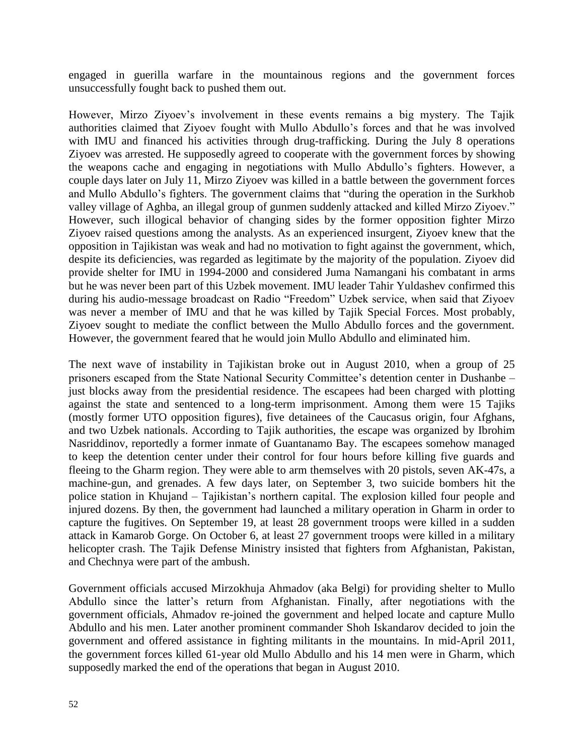engaged in guerilla warfare in the mountainous regions and the government forces unsuccessfully fought back to pushed them out.

However, Mirzo Ziyoev's involvement in these events remains a big mystery. The Tajik authorities claimed that Ziyoev fought with Mullo Abdullo's forces and that he was involved with IMU and financed his activities through drug-trafficking. During the July 8 operations Ziyoev was arrested. He supposedly agreed to cooperate with the government forces by showing the weapons cache and engaging in negotiations with Mullo Abdullo's fighters. However, a couple days later on July 11, Mirzo Ziyoev was killed in a battle between the government forces and Mullo Abdullo's fighters. The government claims that "during the operation in the Surkhob valley village of Aghba, an illegal group of gunmen suddenly attacked and killed Mirzo Ziyoev." However, such illogical behavior of changing sides by the former opposition fighter Mirzo Ziyoev raised questions among the analysts. As an experienced insurgent, Ziyoev knew that the opposition in Tajikistan was weak and had no motivation to fight against the government, which, despite its deficiencies, was regarded as legitimate by the majority of the population. Ziyoev did provide shelter for IMU in 1994-2000 and considered Juma Namangani his combatant in arms but he was never been part of this Uzbek movement. IMU leader Tahir Yuldashev confirmed this during his audio-message broadcast on Radio "Freedom" Uzbek service, when said that Ziyoev was never a member of IMU and that he was killed by Tajik Special Forces. Most probably, Ziyoev sought to mediate the conflict between the Mullo Abdullo forces and the government. However, the government feared that he would join Mullo Abdullo and eliminated him.

The next wave of instability in Tajikistan broke out in August 2010, when a group of 25 prisoners escaped from the State National Security Committee's detention center in Dushanbe – just blocks away from the presidential residence. The escapees had been charged with plotting against the state and sentenced to a long-term imprisonment. Among them were 15 Tajiks (mostly former UTO opposition figures), five detainees of the Caucasus origin, four Afghans, and two Uzbek nationals. According to Tajik authorities, the escape was organized by Ibrohim Nasriddinov, reportedly a former inmate of Guantanamo Bay. The escapees somehow managed to keep the detention center under their control for four hours before killing five guards and fleeing to the Gharm region. They were able to arm themselves with 20 pistols, seven AK-47s, a machine-gun, and grenades. A few days later, on September 3, two suicide bombers hit the police station in Khujand – Tajikistan's northern capital. The explosion killed four people and injured dozens. By then, the government had launched a military operation in Gharm in order to capture the fugitives. On September 19, at least 28 government troops were killed in a sudden attack in Kamarob Gorge. On October 6, at least 27 government troops were killed in a military helicopter crash. The Tajik Defense Ministry insisted that fighters from Afghanistan, Pakistan, and Chechnya were part of the ambush.

Government officials accused Mirzokhuja Ahmadov (aka Belgi) for providing shelter to Mullo Abdullo since the latter's return from Afghanistan. Finally, after negotiations with the government officials, Ahmadov re-joined the government and helped locate and capture Mullo Abdullo and his men. Later another prominent commander Shoh Iskandarov decided to join the government and offered assistance in fighting militants in the mountains. In mid-April 2011, the government forces killed 61-year old Mullo Abdullo and his 14 men were in Gharm, which supposedly marked the end of the operations that began in August 2010.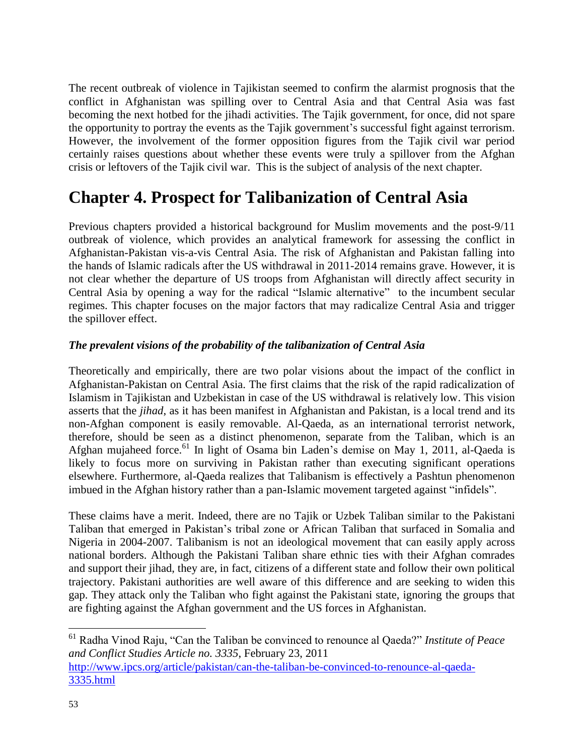The recent outbreak of violence in Tajikistan seemed to confirm the alarmist prognosis that the conflict in Afghanistan was spilling over to Central Asia and that Central Asia was fast becoming the next hotbed for the jihadi activities. The Tajik government, for once, did not spare the opportunity to portray the events as the Tajik government's successful fight against terrorism. However, the involvement of the former opposition figures from the Tajik civil war period certainly raises questions about whether these events were truly a spillover from the Afghan crisis or leftovers of the Tajik civil war. This is the subject of analysis of the next chapter.

## **Chapter 4. Prospect for Talibanization of Central Asia**

Previous chapters provided a historical background for Muslim movements and the post-9/11 outbreak of violence, which provides an analytical framework for assessing the conflict in Afghanistan-Pakistan vis-a-vis Central Asia. The risk of Afghanistan and Pakistan falling into the hands of Islamic radicals after the US withdrawal in 2011-2014 remains grave. However, it is not clear whether the departure of US troops from Afghanistan will directly affect security in Central Asia by opening a way for the radical "Islamic alternative" to the incumbent secular regimes. This chapter focuses on the major factors that may radicalize Central Asia and trigger the spillover effect.

## *The prevalent visions of the probability of the talibanization of Central Asia*

Theoretically and empirically, there are two polar visions about the impact of the conflict in Afghanistan-Pakistan on Central Asia. The first claims that the risk of the rapid radicalization of Islamism in Tajikistan and Uzbekistan in case of the US withdrawal is relatively low. This vision asserts that the *jihad*, as it has been manifest in Afghanistan and Pakistan, is a local trend and its non-Afghan component is easily removable. Al-Qaeda, as an international terrorist network, therefore, should be seen as a distinct phenomenon, separate from the Taliban, which is an Afghan mujaheed force.<sup>61</sup> In light of Osama bin Laden's demise on May 1, 2011, al-Qaeda is likely to focus more on surviving in Pakistan rather than executing significant operations elsewhere. Furthermore, al-Qaeda realizes that Talibanism is effectively a Pashtun phenomenon imbued in the Afghan history rather than a pan-Islamic movement targeted against "infidels".

These claims have a merit. Indeed, there are no Tajik or Uzbek Taliban similar to the Pakistani Taliban that emerged in Pakistan's tribal zone or African Taliban that surfaced in Somalia and Nigeria in 2004-2007. Talibanism is not an ideological movement that can easily apply across national borders. Although the Pakistani Taliban share ethnic ties with their Afghan comrades and support their jihad, they are, in fact, citizens of a different state and follow their own political trajectory. Pakistani authorities are well aware of this difference and are seeking to widen this gap. They attack only the Taliban who fight against the Pakistani state, ignoring the groups that are fighting against the Afghan government and the US forces in Afghanistan.

<sup>61</sup> Radha Vinod Raju, "Can the Taliban be convinced to renounce al Qaeda?" *Institute of Peace and Conflict Studies Article no. 3335*, February 23, 2011 [http://www.ipcs.org/article/pakistan/can-the-taliban-be-convinced-to-renounce-al-qaeda-](http://www.ipcs.org/article/pakistan/can-the-taliban-be-convinced-to-renounce-al-qaeda-3335.html)[3335.html](http://www.ipcs.org/article/pakistan/can-the-taliban-be-convinced-to-renounce-al-qaeda-3335.html)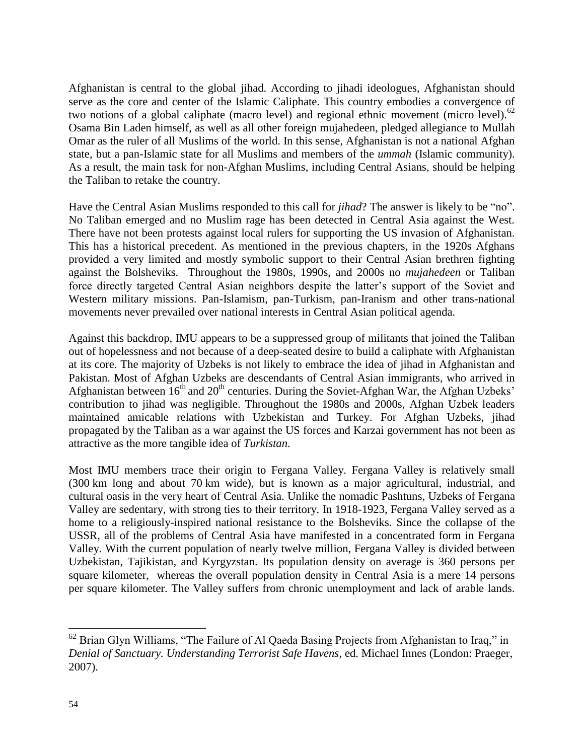Afghanistan is central to the global jihad. According to jihadi ideologues, Afghanistan should serve as the core and center of the Islamic Caliphate. This country embodies a convergence of two notions of a global caliphate (macro level) and regional ethnic movement (micro level).<sup>62</sup> Osama Bin Laden himself, as well as all other foreign mujahedeen, pledged allegiance to Mullah Omar as the ruler of all Muslims of the world. In this sense, Afghanistan is not a national Afghan state, but a pan-Islamic state for all Muslims and members of the *ummah* (Islamic community). As a result, the main task for non-Afghan Muslims, including Central Asians, should be helping the Taliban to retake the country.

Have the Central Asian Muslims responded to this call for *jihad*? The answer is likely to be "no". No Taliban emerged and no Muslim rage has been detected in Central Asia against the West. There have not been protests against local rulers for supporting the US invasion of Afghanistan. This has a historical precedent. As mentioned in the previous chapters, in the 1920s Afghans provided a very limited and mostly symbolic support to their Central Asian brethren fighting against the Bolsheviks. Throughout the 1980s, 1990s, and 2000s no *mujahedeen* or Taliban force directly targeted Central Asian neighbors despite the latter's support of the Soviet and Western military missions. Pan-Islamism, pan-Turkism, pan-Iranism and other trans-national movements never prevailed over national interests in Central Asian political agenda.

Against this backdrop, IMU appears to be a suppressed group of militants that joined the Taliban out of hopelessness and not because of a deep-seated desire to build a caliphate with Afghanistan at its core. The majority of Uzbeks is not likely to embrace the idea of jihad in Afghanistan and Pakistan. Most of Afghan Uzbeks are descendants of Central Asian immigrants, who arrived in Afghanistan between  $16<sup>th</sup>$  and  $20<sup>th</sup>$  centuries. During the Soviet-Afghan War, the Afghan Uzbeks' contribution to jihad was negligible. Throughout the 1980s and 2000s, Afghan Uzbek leaders maintained amicable relations with Uzbekistan and Turkey. For Afghan Uzbeks, jihad propagated by the Taliban as а war against the US forces and Karzai government has not been as attractive as the more tangible idea of *Turkistan*.

Most IMU members trace their origin to Fergana Valley. Fergana Valley is relatively small (300 km long and about 70 km wide), but is known as a major agricultural, industrial, and cultural oasis in the very heart of Central Asia. Unlike the nomadic Pashtuns, Uzbeks of Fergana Valley are sedentary, with strong ties to their territory. In 1918-1923, Fergana Valley served as a home to a religiously-inspired national resistance to the Bolsheviks. Since the collapse of the USSR, all of the problems of Central Asia have manifested in a concentrated form in Fergana Valley. With the current population of nearly twelve million, Fergana Valley is divided between Uzbekistan, Tajikistan, and Kyrgyzstan. Its population density on average is 360 persons per square kilometer, whereas the overall population density in Сentral Asia is a mere 14 persons per square kilometer. The Valley suffers from chronic unemployment and lack of arable lands.

 $62$  Brian Glyn Williams, "The Failure of Al Qaeda Basing Projects from Afghanistan to Iraq," in *Denial of Sanctuary. Understanding Terrorist Safe Havens*, ed. Michael Innes (London: Praeger, 2007).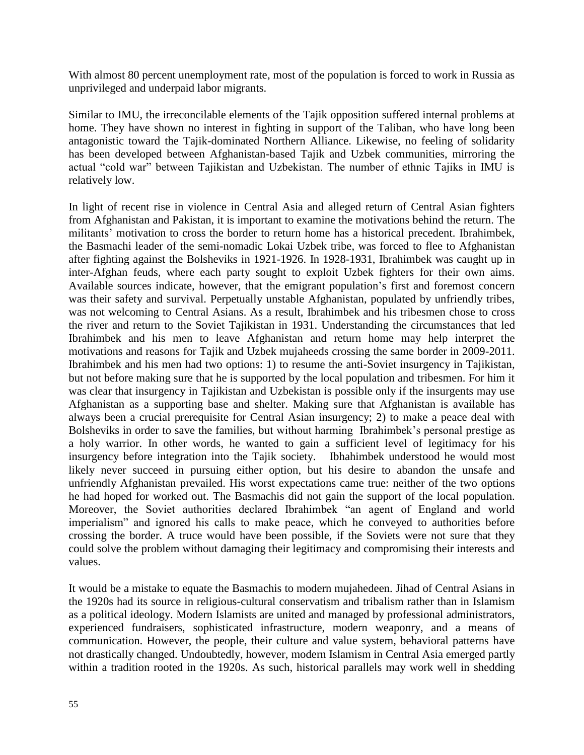With almost 80 percent unemployment rate, most of the population is forced to work in Russia as unprivileged and underpaid labor migrants.

Similar to IMU, the irreconcilable elements of the Tajik opposition suffered internal problems at home. They have shown no interest in fighting in support of the Taliban, who have long been antagonistic toward the Tajik-dominated Northern Alliance. Likewise, no feeling of solidarity has been developed between Afghanistan-based Tajik and Uzbek communities, mirroring the actual "cold war" between Tajikistan and Uzbekistan. The number of ethnic Tajiks in IMU is relatively low.

In light of recent rise in violence in Central Asia and alleged return of Central Asian fighters from Afghanistan and Pakistan, it is important to examine the motivations behind the return. The militants' motivation to cross the border to return home has a historical precedent. Ibrahimbek, the Basmachi leader of the semi-nomadic Lokai Uzbek tribe, was forced to flee to Afghanistan after fighting against the Bolsheviks in 1921-1926. In 1928-1931, Ibrahimbek was caught up in inter-Afghan feuds, where each party sought to exploit Uzbek fighters for their own aims. Available sources indicate, however, that the emigrant population's first and foremost concern was their safety and survival. Perpetually unstable Afghanistan, populated by unfriendly tribes, was not welcoming to Central Asians. As a result, Ibrahimbek and his tribesmen chose to cross the river and return to the Soviet Tajikistan in 1931. Understanding the circumstances that led Ibrahimbek and his men to leave Afghanistan and return home may help interpret the motivations and reasons for Tajik and Uzbek mujaheeds crossing the same border in 2009-2011. Ibrahimbek and his men had two options: 1) to resume the anti-Soviet insurgency in Tajikistan, but not before making sure that he is supported by the local population and tribesmen. For him it was clear that insurgency in Tajikistan and Uzbekistan is possible only if the insurgents may use Afghanistan as a supporting base and shelter. Making sure that Afghanistan is available has always been a crucial prerequisite for Central Asian insurgency; 2) to make a peace deal with Bolsheviks in order to save the families, but without harming Ibrahimbek's personal prestige as a holy warrior. In other words, he wanted to gain a sufficient level of legitimacy for his insurgency before integration into the Tajik society. Ibhahimbek understood he would most likely never succeed in pursuing either option, but his desire to abandon the unsafe and unfriendly Afghanistan prevailed. His worst expectations came true: neither of the two options he had hoped for worked out. The Basmachis did not gain the support of the local population. Moreover, the Soviet authorities declared Ibrahimbek "an agent of England and world imperialism" and ignored his calls to make peace, which he conveyed to authorities before crossing the border. A truce would have been possible, if the Soviets were not sure that they could solve the problem without damaging their legitimacy and compromising their interests and values.

It would be a mistake to equate the Basmachis to modern mujahedeen. Jihad of Central Asians in the 1920s had its source in religious-cultural conservatism and tribalism rather than in Islamism as a political ideology. Modern Islamists are united and managed by professional administrators, experienced fundraisers, sophisticated infrastructure, modern weaponry, and a means of communication. However, the people, their culture and value system, behavioral patterns have not drastically changed. Undoubtedly, however, modern Islamism in Central Asia emerged partly within a tradition rooted in the 1920s. As such, historical parallels may work well in shedding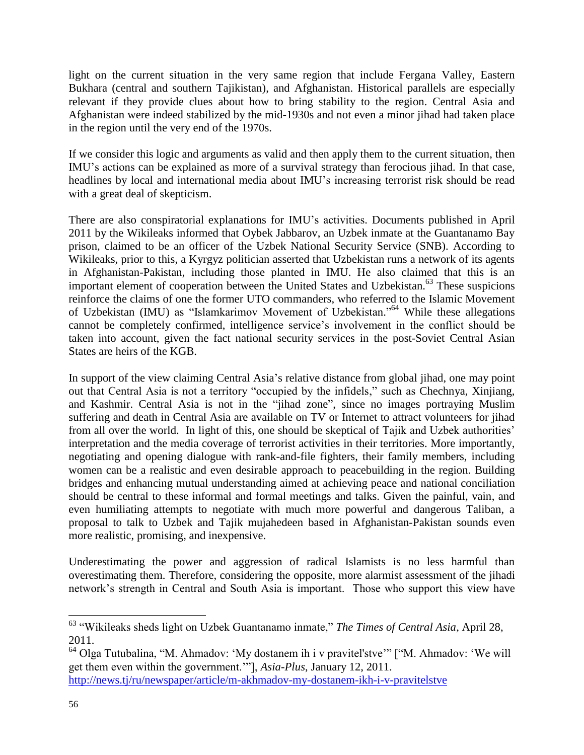light on the current situation in the very same region that include Fergana Valley, Eastern Bukhara (central and southern Tajikistan), and Afghanistan. Historical parallels are especially relevant if they provide clues about how to bring stability to the region. Central Asia and Afghanistan were indeed stabilized by the mid-1930s and not even a minor jihad had taken place in the region until the very end of the 1970s.

If we consider this logic and arguments as valid and then apply them to the current situation, then IMU's actions can be explained as more of a survival strategy than ferocious jihad. In that case, headlines by local and international media about IMU's increasing terrorist risk should be read with a great deal of skepticism.

There are also conspiratorial explanations for IMU's activities. Documents published in April 2011 by the Wikileaks informed that Oybek Jabbarov, an Uzbek inmate at the Guantanamo Bay prison, claimed to be an officer of the Uzbek National Security Service (SNB). According to Wikileaks, prior to this, a Kyrgyz politician asserted that Uzbekistan runs a network of its agents in Afghanistan-Pakistan, including those planted in IMU. He also claimed that this is an important element of cooperation between the United States and Uzbekistan. <sup>63</sup> These suspicions reinforce the claims of one the former UTO commanders, who referred to the Islamic Movement of Uzbekistan (IMU) as "Islamkarimov Movement of Uzbekistan."<sup>64</sup> While these allegations cannot be completely confirmed, intelligence service's involvement in the conflict should be taken into account, given the fact national security services in the post-Soviet Central Asian States are heirs of the KGB.

In support of the view claiming Central Asia's relative distance from global jihad, one may point out that Central Asia is not a territory "occupied by the infidels," such as Chechnya, Xinjiang, and Kashmir. Central Asia is not in the "jihad zone", since no images portraying Muslim suffering and death in Central Asia are available on TV or Internet to attract volunteers for jihad from all over the world. In light of this, one should be skeptical of Tajik and Uzbek authorities' interpretation and the media coverage of terrorist activities in their territories. More importantly, negotiating and opening dialogue with rank-and-file fighters, their family members, including women can be a realistic and even desirable approach to peacebuilding in the region. Building bridges and enhancing mutual understanding aimed at achieving peace and national conciliation should be central to these informal and formal meetings and talks. Given the painful, vain, and even humiliating attempts to negotiate with much more powerful and dangerous Taliban, a proposal to talk to Uzbek and Tajik mujahedeen based in Afghanistan-Pakistan sounds even more realistic, promising, and inexpensive.

Underestimating the power and aggression of radical Islamists is no less harmful than overestimating them. Therefore, considering the opposite, more alarmist assessment of the jihadi network's strength in Central and South Asia is important. Those who support this view have

<sup>63</sup> "Wikileaks sheds light on Uzbek Guantanamo inmate," *The Times of Central Asia*, April 28, 2011.

<sup>64</sup> Olga Tutubalina, "M. Ahmadov: 'My dostanem ih i v pravitel'stve'" ["M. Ahmadov: 'We will get them even within the government.'"], *Asia-Plus*, January 12, 2011. <http://news.tj/ru/newspaper/article/m-akhmadov-my-dostanem-ikh-i-v-pravitelstve>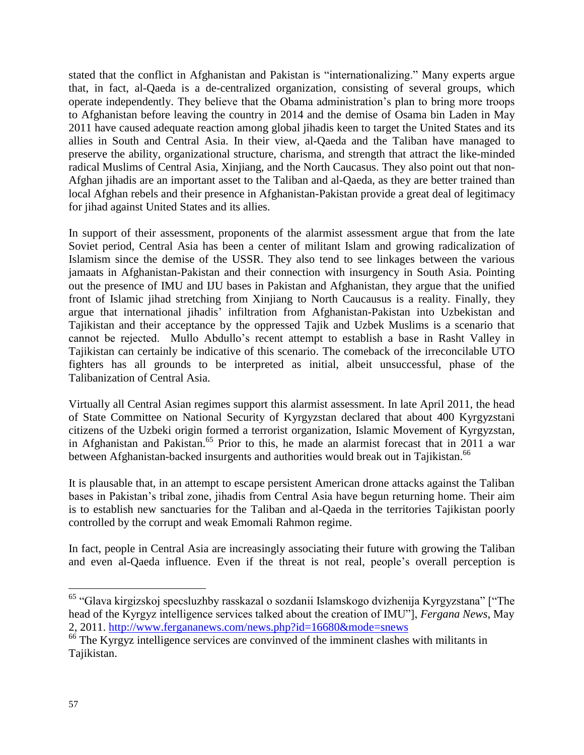stated that the conflict in Afghanistan and Pakistan is "internationalizing." Many experts argue that, in fact, al-Qaeda is a de-centralized organization, consisting of several groups, which operate independently. They believe that the Obama administration's plan to bring more troops to Afghanistan before leaving the country in 2014 and the demise of Osama bin Laden in May 2011 have caused adequate reaction among global jihadis keen to target the United States and its allies in South and Central Asia. In their view, al-Qaeda and the Taliban have managed to preserve the ability, organizational structure, charisma, and strength that attract the like-minded radical Muslims of Central Asia, Xinjiang, and the North Caucasus. They also point out that non-Afghan jihadis are an important asset to the Taliban and al-Qaeda, as they are better trained than local Afghan rebels and their presence in Afghanistan-Pakistan provide a great deal of legitimacy for jihad against United States and its allies.

In support of their assessment, proponents of the alarmist assessment argue that from the late Soviet period, Central Asia has been a center of militant Islam and growing radicalization of Islamism since the demise of the USSR. They also tend to see linkages between the various jamaats in Afghanistan-Pakistan and their connection with insurgency in South Asia. Pointing out the presence of IMU and IJU bases in Pakistan and Afghanistan, they argue that the unified front of Islamic jihad stretching from Xinjiang to North Caucausus is a reality. Finally, they argue that international jihadis' infiltration from Afghanistan-Pakistan into Uzbekistan and Tajikistan and their acceptance by the oppressed Tajik and Uzbek Muslims is a scenario that cannot be rejected. Mullo Abdullo's recent attempt to establish a base in Rasht Valley in Tajikistan can certainly be indicative of this scenario. The comeback of the irreconcilable UTO fighters has all grounds to be interpreted as initial, albeit unsuccessful, phase of the Talibanization of Central Asia.

Virtually all Central Asian regimes support this alarmist assessment. In late April 2011, the head of State Committee on National Security of Kyrgyzstan declared that about 400 Kyrgyzstani citizens of the Uzbeki origin formed a terrorist organization, Islamic Movement of Kyrgyzstan, in Afghanistan and Pakistan. <sup>65</sup> Prior to this, he made an alarmist forecast that in 2011 a war between Afghanistan-backed insurgents and authorities would break out in Tajikistan.<sup>66</sup>

It is plausable that, in an attempt to escape persistent American drone attacks against the Taliban bases in Pakistan's tribal zone, jihadis from Central Asia have begun returning home. Their aim is to establish new sanctuaries for the Taliban and al-Qaeda in the territories Tajikistan poorly controlled by the corrupt and weak Emomali Rahmon regime.

In fact, people in Central Asia are increasingly associating their future with growing the Taliban and even al-Qaeda influence. Even if the threat is not real, people's overall perception is

<sup>&</sup>lt;sup>65</sup> "Glava kirgizskoj specsluzhby rasskazal o sozdanii Islamskogo dvizhenija Kyrgyzstana" ["The head of the Kyrgyz intelligence services talked about the creation of IMU"], *Fergana News*, May 2, 2011.<http://www.fergananews.com/news.php?id=16680&mode=snews>

<sup>&</sup>lt;sup>66</sup> The Kyrgyz intelligence services are convinved of the imminent clashes with militants in Tajikistan.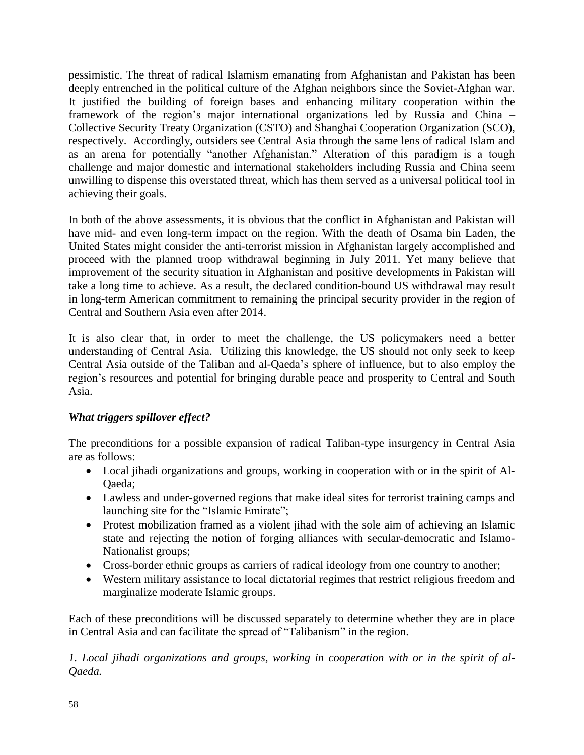pessimistic. The threat of radical Islamism emanating from Afghanistan and Pakistan has been deeply entrenched in the political culture of the Afghan neighbors since the Soviet-Afghan war. It justified the building of foreign bases and enhancing military cooperation within the framework of the region's major international organizations led by Russia and China – Collective Security Treaty Organization (CSTO) and Shanghai Cooperation Organization (SCO), respectively. Accordingly, outsiders see Central Asia through the same lens of radical Islam and as an arena for potentially "another Afghanistan." Alteration of this paradigm is a tough challenge and major domestic and international stakeholders including Russia and China seem unwilling to dispense this overstated threat, which has them served as a universal political tool in achieving their goals.

In both of the above assessments, it is obvious that the conflict in Afghanistan and Pakistan will have mid- and even long-term impact on the region. With the death of Osama bin Laden, the United States might consider the anti-terrorist mission in Afghanistan largely accomplished and proceed with the planned troop withdrawal beginning in July 2011. Yet many believe that improvement of the security situation in Afghanistan and positive developments in Pakistan will take a long time to achieve. As a result, the declared condition-bound US withdrawal may result in long-term American commitment to remaining the principal security provider in the region of Central and Southern Asia even after 2014.

It is also clear that, in order to meet the challenge, the US policymakers need a better understanding of Central Asia. Utilizing this knowledge, the US should not only seek to keep Central Asia outside of the Taliban and al-Qaeda's sphere of influence, but to also employ the region's resources and potential for bringing durable peace and prosperity to Central and South Asia.

## *What triggers spillover effect?*

The preconditions for a possible expansion of radical Taliban-type insurgency in Central Asia are as follows:

- Local jihadi organizations and groups, working in cooperation with or in the spirit of Al-Qaeda;
- Lawless and under-governed regions that make ideal sites for terrorist training camps and launching site for the "Islamic Emirate";
- Protest mobilization framed as a violent jihad with the sole aim of achieving an Islamic state and rejecting the notion of forging alliances with secular-democratic and Islamo-Nationalist groups;
- Cross-border ethnic groups as carriers of radical ideology from one country to another;
- Western military assistance to local dictatorial regimes that restrict religious freedom and marginalize moderate Islamic groups.

Each of these preconditions will be discussed separately to determine whether they are in place in Central Asia and can facilitate the spread of "Talibanism" in the region.

*1. Local jihadi organizations and groups, working in cooperation with or in the spirit of al-Qaeda.*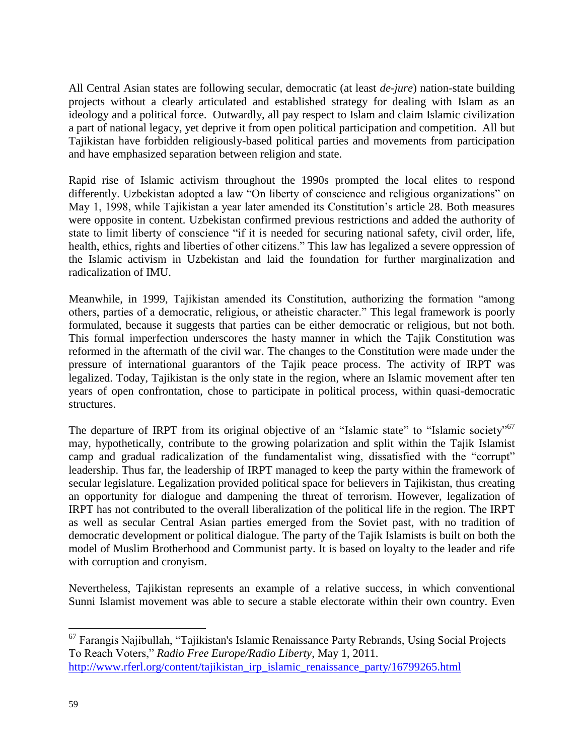All Central Asian states are following secular, democratic (at least *de-jure*) nation-state building projects without a clearly articulated and established strategy for dealing with Islam as an ideology and a political force. Outwardly, all pay respect to Islam and claim Islamic civilization a part of national legacy, yet deprive it from open political participation and competition. All but Tajikistan have forbidden religiously-based political parties and movements from participation and have emphasized separation between religion and state.

Rapid rise of Islamic activism throughout the 1990s prompted the local elites to respond differently. Uzbekistan adopted a law "On liberty of conscience and religious organizations" on May 1, 1998, while Tajikistan a year later amended its Constitution's article 28. Both measures were opposite in content. Uzbekistan confirmed previous restrictions and added the authority of state to limit liberty of conscience "if it is needed for securing national safety, civil order, life, health, ethics, rights and liberties of other citizens." This law has legalized a severe oppression of the Islamic activism in Uzbekistan and laid the foundation for further marginalization and radicalization of IMU.

Meanwhile, in 1999, Tajikistan amended its Constitution, authorizing the formation "among others, parties of a democratic, religious, or atheistic character." This legal framework is poorly formulated, because it suggests that parties can be either democratic or religious, but not both. This formal imperfection underscores the hasty manner in which the Tajik Constitution was reformed in the aftermath of the civil war. The changes to the Constitution were made under the pressure of international guarantors of the Tajik peace process. The activity of IRPT was legalized. Today, Tajikistan is the only state in the region, where an Islamic movement after ten years of open confrontation, chose to participate in political process, within quasi-democratic structures.

The departure of IRPT from its original objective of an "Islamic state" to "Islamic society"<sup>67</sup> may, hypothetically, contribute to the growing polarization and split within the Tajik Islamist camp and gradual radicalization of the fundamentalist wing, dissatisfied with the "corrupt" leadership. Thus far, the leadership of IRPT managed to keep the party within the framework of secular legislature. Legalization provided political space for believers in Tajikistan, thus creating an opportunity for dialogue and dampening the threat of terrorism. However, legalization of IRPT has not contributed to the overall liberalization of the political life in the region. The IRPT as well as secular Central Asian parties emerged from the Soviet past, with no tradition of democratic development or political dialogue. The party of the Tajik Islamists is built on both the model of Muslim Brotherhood and Communist party. It is based on loyalty to the leader and rife with corruption and cronyism.

Nevertheless, Tajikistan represents an example of a relative success, in which conventional Sunni Islamist movement was able to secure a stable electorate within their own country. Even

<sup>&</sup>lt;sup>67</sup> Farangis Najibullah, "Tajikistan's Islamic Renaissance Party Rebrands, Using Social Projects To Reach Voters," *Radio Free Europe/Radio Liberty*, May 1, 2011. [http://www.rferl.org/content/tajikistan\\_irp\\_islamic\\_renaissance\\_party/16799265.html](http://www.rferl.org/content/tajikistan_irp_islamic_renaissance_party/16799265.html)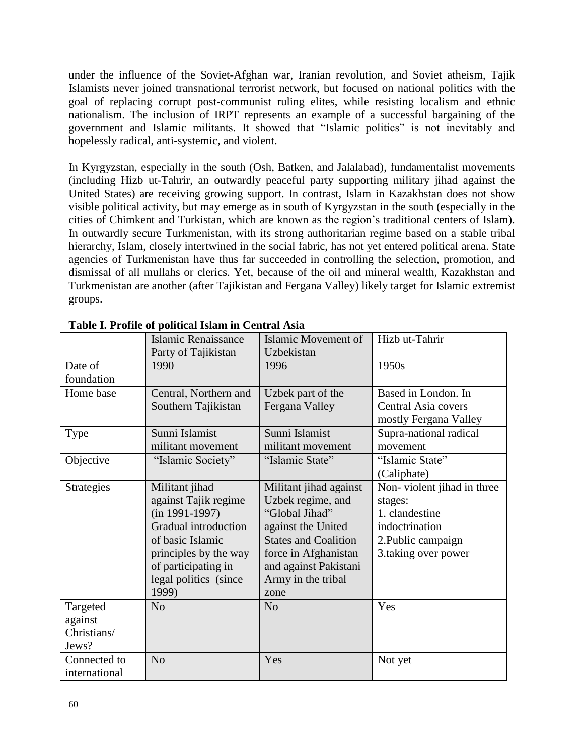under the influence of the Soviet-Afghan war, Iranian revolution, and Soviet atheism, Tajik Islamists never joined transnational terrorist network, but focused on national politics with the goal of replacing corrupt post-communist ruling elites, while resisting localism and ethnic nationalism. The inclusion of IRPT represents an example of a successful bargaining of the government and Islamic militants. It showed that "Islamic politics" is not inevitably and hopelessly radical, anti-systemic, and violent.

In Kyrgyzstan, especially in the south (Osh, Batken, and Jalalabad), fundamentalist movements (including Hizb ut-Tahrir, an outwardly peaceful party supporting military jihad against the United States) are receiving growing support. In contrast, Islam in Kazakhstan does not show visible political activity, but may emerge as in south of Kyrgyzstan in the south (especially in the cities of Chimkent and Turkistan, which are known as the region's traditional centers of Islam). In outwardly secure Turkmenistan, with its strong authoritarian regime based on a stable tribal hierarchy, Islam, closely intertwined in the social fabric, has not yet entered political arena. State agencies of Turkmenistan have thus far succeeded in controlling the selection, promotion, and dismissal of all mullahs or clerics. Yet, because of the oil and mineral wealth, Kazakhstan and Turkmenistan are another (after Tajikistan and Fergana Valley) likely target for Islamic extremist groups.

|               | Islamic Renaissance   | Islamic Movement of         | Hizb ut-Tahrir             |
|---------------|-----------------------|-----------------------------|----------------------------|
|               | Party of Tajikistan   | Uzbekistan                  |                            |
| Date of       | 1990                  | 1996                        | 1950s                      |
| foundation    |                       |                             |                            |
| Home base     | Central, Northern and | Uzbek part of the           | Based in London. In        |
|               | Southern Tajikistan   | Fergana Valley              | Central Asia covers        |
|               |                       |                             | mostly Fergana Valley      |
| Type          | Sunni Islamist        | Sunni Islamist              | Supra-national radical     |
|               | militant movement     | militant movement           | movement                   |
| Objective     | "Islamic Society"     | "Islamic State"             | "Islamic State"            |
|               |                       |                             | (Caliphate)                |
| Strategies    | Militant jihad        | Militant jihad against      | Non-violent jihad in three |
|               | against Tajik regime  | Uzbek regime, and           | stages:                    |
|               | $(in 1991-1997)$      | "Global Jihad"              | 1. clandestine             |
|               | Gradual introduction  | against the United          | indoctrination             |
|               | of basic Islamic      | <b>States and Coalition</b> | 2. Public campaign         |
|               | principles by the way | force in Afghanistan        | 3.taking over power        |
|               | of participating in   | and against Pakistani       |                            |
|               | legal politics (since | Army in the tribal          |                            |
|               | 1999)                 | zone                        |                            |
| Targeted      | N <sub>o</sub>        | N <sub>o</sub>              | Yes                        |
| against       |                       |                             |                            |
| Christians/   |                       |                             |                            |
| Jews?         |                       |                             |                            |
| Connected to  | N <sub>o</sub>        | Yes                         | Not yet                    |
| international |                       |                             |                            |

**Table I. Profile of political Islam in Central Asia**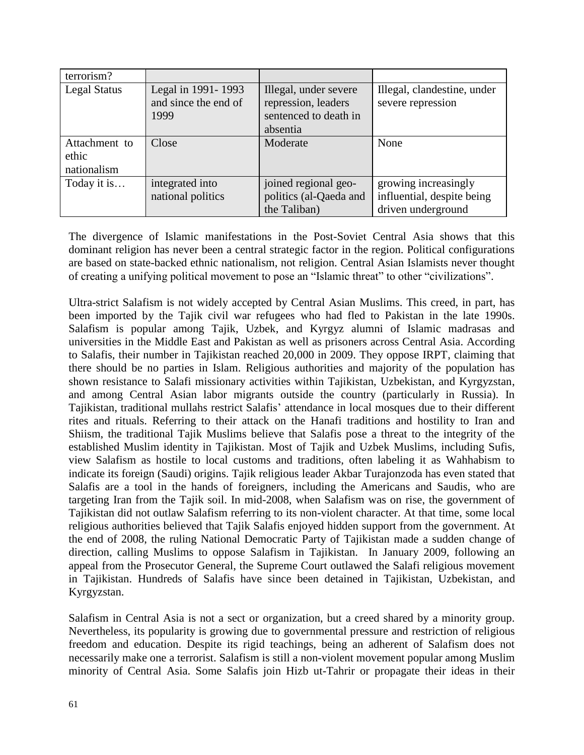| terrorism?                            |                                                    |                                                                       |                                                                          |
|---------------------------------------|----------------------------------------------------|-----------------------------------------------------------------------|--------------------------------------------------------------------------|
| <b>Legal Status</b>                   | Legal in 1991-1993<br>and since the end of<br>1999 | Illegal, under severe<br>repression, leaders<br>sentenced to death in | Illegal, clandestine, under<br>severe repression                         |
|                                       |                                                    | absentia                                                              |                                                                          |
| Attachment to<br>ethic<br>nationalism | Close                                              | Moderate                                                              | None                                                                     |
| Today it is                           | integrated into<br>national politics               | joined regional geo-<br>politics (al-Qaeda and<br>the Taliban)        | growing increasingly<br>influential, despite being<br>driven underground |

The divergence of Islamic manifestations in the Post-Soviet Central Asia shows that this dominant religion has never been a central strategic factor in the region. Political configurations are based on state-backed ethnic nationalism, not religion. Central Asian Islamists never thought of creating a unifying political movement to pose an "Islamic threat" to other "civilizations".

Ultra-strict Salafism is not widely accepted by Central Asian Muslims. This creed, in part, has been imported by the Tajik civil war refugees who had fled to Pakistan in the late 1990s. Salafism is popular among Tajik, Uzbek, and Kyrgyz alumni of Islamic madrasas and universities in the Middle East and Pakistan as well as prisoners across Central Asia. According to Salafis, their number in Tajikistan reached 20,000 in 2009. They oppose IRPT, claiming that there should be no parties in Islam. Religious authorities and majority of the population has shown resistance to Salafi missionary activities within Tajikistan, Uzbekistan, and Kyrgyzstan, and among Central Asian labor migrants outside the country (particularly in Russia). In Tajikistan, traditional mullahs restrict Salafis' attendance in local mosques due to their different rites and rituals. Referring to their attack on the Hanafi traditions and hostility to Iran and Shiism, the traditional Tajik Muslims believe that Salafis pose a threat to the integrity of the established Muslim identity in Tajikistan. Most of Tajik and Uzbek Muslims, including Sufis, view Salafism as hostile to local customs and traditions, often labeling it as Wahhabism to indicate its foreign (Saudi) origins. Tajik religious leader Akbar Turajonzoda has even stated that Salafis are a tool in the hands of foreigners, including the Americans and Saudis, who are targeting Iran from the Tajik soil. In mid-2008, when Salafism was on rise, the government of Tajikistan did not outlaw Salafism referring to its non-violent character. At that time, some local religious authorities believed that Tajik Salafis enjoyed hidden support from the government. At the end of 2008, the ruling National Democratic Party of Tajikistan made a sudden change of direction, calling Muslims to oppose Salafism in Tajikistan. In January 2009, following an appeal from the Prosecutor General, the Supreme Court outlawed the Salafi religious movement in Tajikistan. Hundreds of Salafis have since been detained in Tajikistan, Uzbekistan, and Kyrgyzstan.

Salafism in Central Asia is not a sect or organization, but a creed shared by a minority group. Nevertheless, its popularity is growing due to governmental pressure and restriction of religious freedom and education. Despite its rigid teachings, being an adherent of Salafism does not necessarily make one a terrorist. Salafism is still a non-violent movement popular among Muslim minority of Central Asia. Some Salafis join Hizb ut-Tahrir or propagate their ideas in their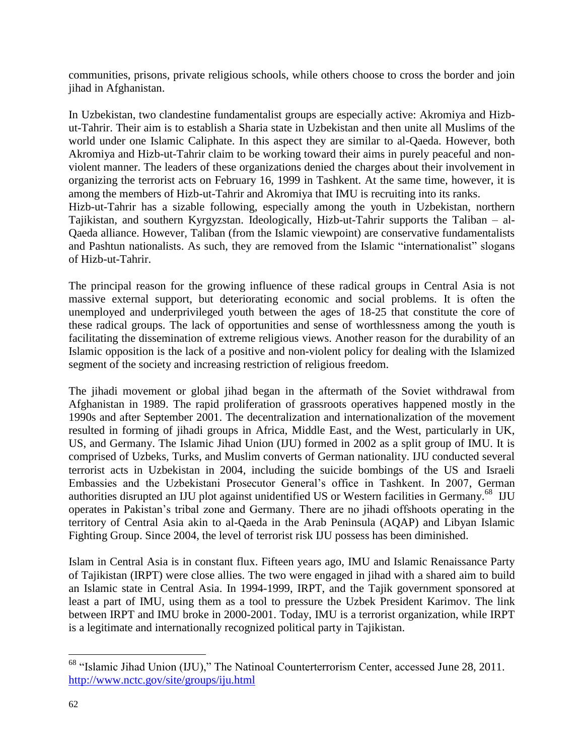communities, prisons, private religious schools, while others choose to cross the border and join jihad in Afghanistan.

In Uzbekistan, two clandestine fundamentalist groups are especially active: Akromiya and Hizbut-Tahrir. Their aim is to establish a Sharia state in Uzbekistan and then unite all Muslims of the world under one Islamic Caliphate. In this aspect they are similar to al-Qaeda. However, both Akromiya and Hizb-ut-Tahrir claim to be working toward their aims in purely peaceful and nonviolent manner. The leaders of these organizations denied the charges about their involvement in organizing the terrorist acts on February 16, 1999 in Tashkent. At the same time, however, it is among the members of Hizb-ut-Tahrir and Akromiya that IMU is recruiting into its ranks. Hizb-ut-Tahrir has a sizable following, especially among the youth in Uzbekistan, northern Tajikistan, and southern Kyrgyzstan. Ideologically, Hizb-ut-Tahrir supports the Taliban – al-Qaeda alliance. However, Taliban (from the Islamic viewpoint) are conservative fundamentalists and Pashtun nationalists. As such, they are removed from the Islamic "internationalist" slogans of Hizb-ut-Tahrir.

The principal reason for the growing influence of these radical groups in Central Asia is not massive external support, but deteriorating economic and social problems. It is often the unemployed and underprivileged youth between the ages of 18-25 that constitute the core of these radical groups. The lack of opportunities and sense of worthlessness among the youth is facilitating the dissemination of extreme religious views. Another reason for the durability of an Islamic opposition is the lack of a positive and non-violent policy for dealing with the Islamized segment of the society and increasing restriction of religious freedom.

The jihadi movement or global jihad began in the aftermath of the Soviet withdrawal from Afghanistan in 1989. The rapid proliferation of grassroots operatives happened mostly in the 1990s and after September 2001. The decentralization and internationalization of the movement resulted in forming of jihadi groups in Africa, Middle East, and the West, particularly in UK, US, and Germany. The Islamic Jihad Union (IJU) formed in 2002 as a split group of IMU. It is comprised of Uzbeks, Turks, and Muslim converts of German nationality. IJU conducted several terrorist acts in Uzbekistan in 2004, including the suicide bombings of the US and Israeli Embassies and the Uzbekistani Prosecutor General's office in Tashkent. In 2007, German authorities disrupted an IJU plot against unidentified US or Western facilities in Germany.<sup>68</sup> IJU operates in Pakistan's tribal zone and Germany. There are no jihadi offshoots operating in the territory of Central Asia akin to al-Qaeda in the Arab Peninsula (AQAP) and Libyan Islamic Fighting Group. Since 2004, the level of terrorist risk IJU possess has been diminished.

Islam in Central Asia is in constant flux. Fifteen years ago, IMU and Islamic Renaissance Party of Tajikistan (IRPT) were close allies. The two were engaged in jihad with a shared aim to build an Islamic state in Central Asia. In 1994-1999, IRPT, and the Tajik government sponsored at least a part of IMU, using them as a tool to pressure the Uzbek President Karimov. The link between IRPT and IMU broke in 2000-2001. Today, IMU is a terrorist organization, while IRPT is a legitimate and internationally recognized political party in Tajikistan.

<sup>&</sup>lt;sup>68</sup> "Islamic Jihad Union (IJU)," The Natinoal Counterterrorism Center, accessed June 28, 2011. <http://www.nctc.gov/site/groups/iju.html>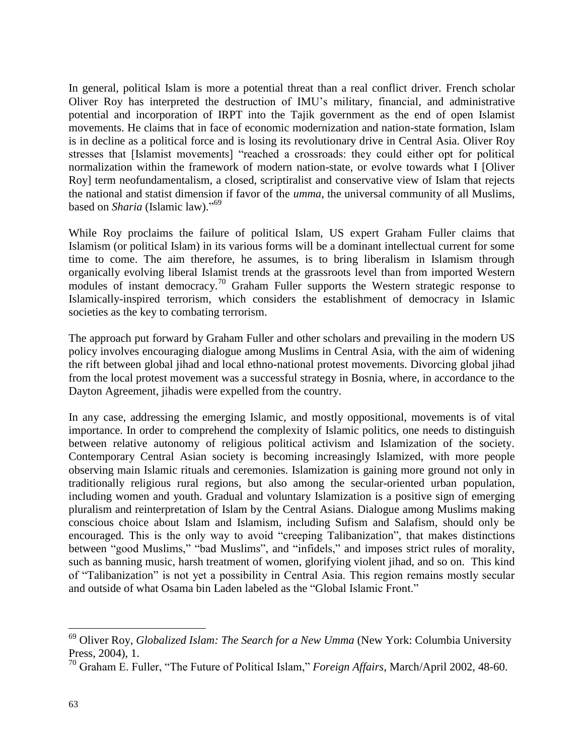In general, political Islam is more a potential threat than a real conflict driver. French scholar Oliver Roy has interpreted the destruction of IMU's military, financial, and administrative potential and incorporation of IRPT into the Tajik government as the end of open Islamist movements. He claims that in face of economic modernization and nation-state formation, Islam is in decline as a political force and is losing its revolutionary drive in Central Asia. Oliver Roy stresses that [Islamist movements] "reached a crossroads: they could either opt for political normalization within the framework of modern nation-state, or evolve towards what I [Oliver Roy] term neofundamentalism, a closed, scriptiralist and conservative view of Islam that rejects the national and statist dimension if favor of the *umma*, the universal community of all Muslims, based on *Sharia* (Islamic law)." 69

While Roy proclaims the failure of political Islam, US expert Graham Fuller claims that Islamism (or political Islam) in its various forms will be a dominant intellectual current for some time to come. The aim therefore, he assumes, is to bring liberalism in Islamism through organically evolving liberal Islamist trends at the grassroots level than from imported Western modules of instant democracy.<sup>70</sup> Graham Fuller supports the Western strategic response to Islamically-inspired terrorism, which considers the establishment of democracy in Islamic societies as the key to combating terrorism.

The approach put forward by Graham Fuller and other scholars and prevailing in the modern US policy involves encouraging dialogue among Muslims in Central Asia, with the aim of widening the rift between global jihad and local ethno-national protest movements. Divorcing global jihad from the local protest movement was a successful strategy in Bosnia, where, in accordance to the Dayton Agreement, jihadis were expelled from the country.

In any case, addressing the emerging Islamic, and mostly oppositional, movements is of vital importance. In order to comprehend the complexity of Islamic politics, one needs to distinguish between relative autonomy of religious political activism and Islamization of the society. Contemporary Central Asian society is becoming increasingly Islamized, with more people observing main Islamic rituals and ceremonies. Islamization is gaining more ground not only in traditionally religious rural regions, but also among the secular-oriented urban population, including women and youth. Gradual and voluntary Islamization is a positive sign of emerging pluralism and reinterpretation of Islam by the Central Asians. Dialogue among Muslims making conscious choice about Islam and Islamism, including Sufism and Salafism, should only be encouraged. This is the only way to avoid "creeping Talibanization", that makes distinctions between "good Muslims," "bad Muslims", and "infidels," and imposes strict rules of morality, such as banning music, harsh treatment of women, glorifying violent jihad, and so on. This kind of "Talibanization" is not yet a possibility in Central Asia. This region remains mostly secular and outside of what Osama bin Laden labeled as the "Global Islamic Front."

<sup>69</sup> Oliver Roy, *Globalized Islam: The Search for a New Umma* (New York: Columbia University Press, 2004), 1.

<sup>70</sup> Graham E. Fuller, "The Future of Political Islam," *Foreign Affairs,* March/April 2002, 48-60.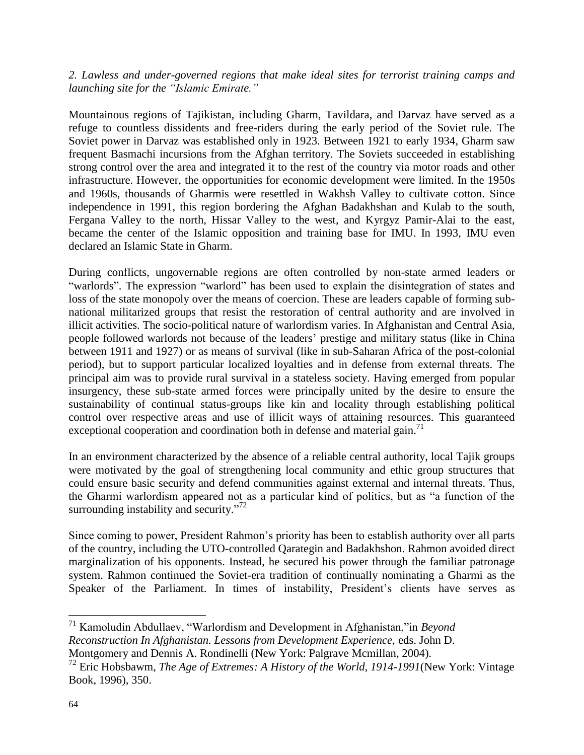*2. Lawless and under-governed regions that make ideal sites for terrorist training camps and launching site for the "Islamic Emirate."*

Mountainous regions of Tajikistan, including Gharm, Tavildara, and Darvaz have served as a refuge to countless dissidents and free-riders during the early period of the Soviet rule. The Soviet power in Darvaz was established only in 1923. Between 1921 to early 1934, Gharm saw frequent Basmachi incursions from the Afghan territory. The Soviets succeeded in establishing strong control over the area and integrated it to the rest of the country via motor roads and other infrastructure. However, the opportunities for economic development were limited. In the 1950s and 1960s, thousands of Gharmis were resettled in Wakhsh Valley to cultivate cotton. Since independence in 1991, this region bordering the Afghan Badakhshan and Kulab to the south, Fergana Valley to the north, Hissar Valley to the west, and Kyrgyz Pamir-Alai to the east, became the center of the Islamic opposition and training base for IMU. In 1993, IMU even declared an Islamic State in Gharm.

During conflicts, ungovernable regions are often controlled by non-state armed leaders or "warlords". The expression "warlord" has been used to explain the disintegration of states and loss of the state monopoly over the means of coercion. These are leaders capable of forming subnational militarized groups that resist the restoration of central authority and are involved in illicit activities. The socio-political nature of warlordism varies. In Afghanistan and Central Asia, people followed warlords not because of the leaders' prestige and military status (like in China between 1911 and 1927) or as means of survival (like in sub-Saharan Africa of the post-colonial period), but to support particular localized loyalties and in defense from external threats. The principal aim was to provide rural survival in a stateless society. Having emerged from popular insurgency, these sub-state armed forces were principally united by the desire to ensure the sustainability of continual status-groups like kin and locality through establishing political control over respective areas and use of illicit ways of attaining resources. This guaranteed exceptional cooperation and coordination both in defense and material gain.<sup>71</sup>

In an environment characterized by the absence of a reliable central authority, local Tajik groups were motivated by the goal of strengthening local community and ethic group structures that could ensure basic security and defend communities against external and internal threats. Thus, the Gharmi warlordism appeared not as a particular kind of politics, but as "a function of the surrounding instability and security."<sup>72</sup>

Since coming to power, President Rahmon's priority has been to establish authority over all parts of the country, including the UTO-controlled Qarategin and Badakhshon. Rahmon avoided direct marginalization of his opponents. Instead, he secured his power through the familiar patronage system. Rahmon continued the Soviet-era tradition of continually nominating a Gharmi as the Speaker of the Parliament. In times of instability, President's clients have serves as

<sup>71</sup> Kamoludin Abdullaev, "Warlordism and Development in Afghanistan,"in *Beyond Reconstruction In Afghanistan. Lessons from Development Experience,* eds. John D. Montgomery and Dennis A. Rondinelli (New York: Palgrave Mcmillan, 2004).

<sup>72</sup> Eric Hobsbawm, *The Age of Extremes: A History of the World, 1914-1991*(New York: Vintage Book, 1996), 350.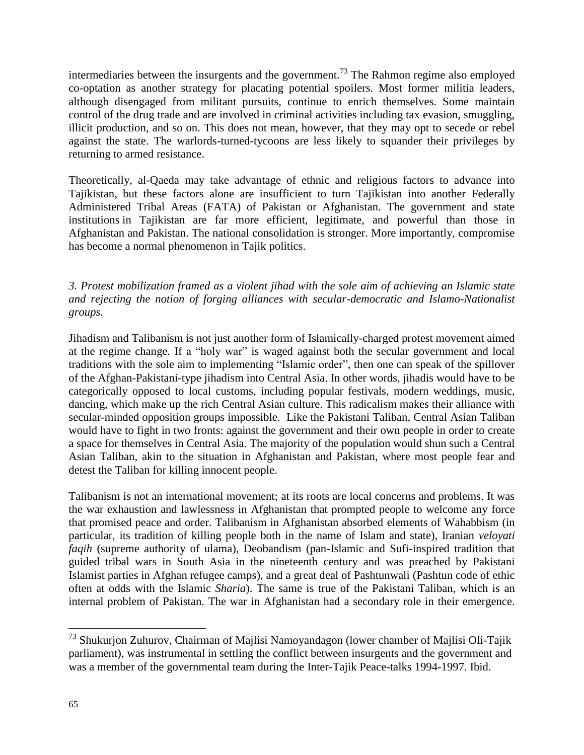intermediaries between the insurgents and the government.<sup>73</sup> The Rahmon regime also employed co-optation as another strategy for placating potential spoilers. Most former militia leaders, although disengaged from militant pursuits, continue to enrich themselves. Some maintain control of the drug trade and are involved in criminal activities including tax evasion, smuggling, illicit production, and so on. This does not mean, however, that they may opt to secede or rebel against the state. The warlords-turned-tycoons are less likely to squander their privileges by returning to armed resistance.

Theoretically, al-Qaeda may take advantage of ethnic and religious factors to advance into Tajikistan, but these factors alone are insufficient to turn Tajikistan into another Federally Administered Tribal Areas (FATA) of Pakistan or Afghanistan. The government and state institutions in Tajikistan are far more efficient, legitimate, and powerful than those in Afghanistan and Pakistan. The national consolidation is stronger. More importantly, compromise has become a normal phenomenon in Tajik politics.

## *3. Protest mobilization framed as a violent jihad with the sole aim of achieving an Islamic state and rejecting the notion of forging alliances with secular-democratic and Islamo-Nationalist groups.*

Jihadism and Talibanism is not just another form of Islamically-charged protest movement aimed at the regime change. If a "holy war" is waged against both the secular government and local traditions with the sole aim to implementing "Islamic order", then one can speak of the spillover of the Afghan-Pakistani-type jihadism into Central Asia. In other words, jihadis would have to be categorically opposed to local customs, including popular festivals, modern weddings, music, dancing, which make up the rich Central Asian culture. This radicalism makes their alliance with secular-minded opposition groups impossible. Like the Pakistani Taliban, Central Asian Taliban would have to fight in two fronts: against the government and their own people in order to create a space for themselves in Central Asia. The majority of the population would shun such a Central Asian Taliban, akin to the situation in Afghanistan and Pakistan, where most people fear and detest the Taliban for killing innocent people.

Talibanism is not an international movement; at its roots are local concerns and problems. It was the war exhaustion and lawlessness in Afghanistan that prompted people to welcome any force that promised peace and order. Talibanism in Afghanistan absorbed elements of Wahabbism (in particular, its tradition of killing people both in the name of Islam and state), Iranian *veloyati faqih* (supreme authority of ulama), Deobandism (pan-Islamic and Sufi-inspired tradition that guided tribal wars in South Asia in the nineteenth century and was preached by Pakistani Islamist parties in Afghan refugee camps), and a great deal of Pashtunwali (Pashtun code of ethic often at odds with the Islamic *Sharia*). The same is true of the Pakistani Taliban, which is an internal problem of Pakistan. The war in Afghanistan had a secondary role in their emergence.

<sup>&</sup>lt;sup>73</sup> Shukurjon Zuhurov, Chairman of Majlisi Namoyandagon (lower chamber of Majlisi Oli-Tajik parliament), was instrumental in settling the conflict between insurgents and the government and was a member of the governmental team during the Inter-Tajik Peace-talks 1994-1997. Ibid.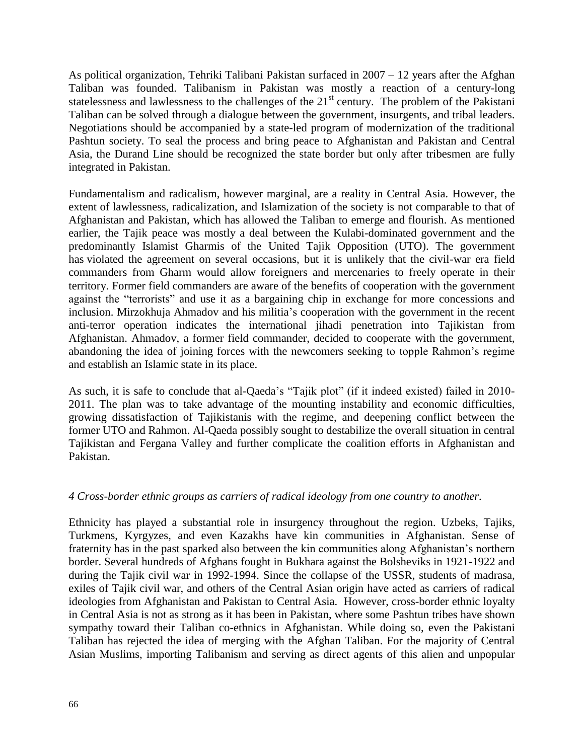As political organization, Tehriki Talibani Pakistan surfaced in 2007 – 12 years after the Afghan Taliban was founded. Talibanism in Pakistan was mostly a reaction of a century-long statelessness and lawlessness to the challenges of the 21<sup>st</sup> century. The problem of the Pakistani Taliban can be solved through a dialogue between the government, insurgents, and tribal leaders. Negotiations should be accompanied by a state-led program of modernization of the traditional Pashtun society. To seal the process and bring peace to Afghanistan and Pakistan and Central Asia, the Durand Line should be recognized the state border but only after tribesmen are fully integrated in Pakistan.

Fundamentalism and radicalism, however marginal, are a reality in Central Asia. However, the extent of lawlessness, radicalization, and Islamization of the society is not comparable to that of Afghanistan and Pakistan, which has allowed the Taliban to emerge and flourish. As mentioned earlier, the Tajik peace was mostly a deal between the Kulabi-dominated government and the predominantly Islamist Gharmis of the United Tajik Opposition (UTO). The government has violated the agreement on several occasions, but it is unlikely that the civil-war era field commanders from Gharm would allow foreigners and mercenaries to freely operate in their territory. Former field commanders are aware of the benefits of cooperation with the government against the "terrorists" and use it as a bargaining chip in exchange for more concessions and inclusion. Mirzokhuja Ahmadov and his militia's cooperation with the government in the recent anti-terror operation indicates the international jihadi penetration into Tajikistan from Afghanistan. Ahmadov, a former field commander, decided to cooperate with the government, abandoning the idea of joining forces with the newcomers seeking to topple Rahmon's regime and establish an Islamic state in its place.

As such, it is safe to conclude that al-Qaeda's "Tajik plot" (if it indeed existed) failed in 2010- 2011. The plan was to take advantage of the mounting instability and economic difficulties, growing dissatisfaction of Tajikistanis with the regime, and deepening conflict between the former UTO and Rahmon. Al-Qaeda possibly sought to destabilize the overall situation in central Tajikistan and Fergana Valley and further complicate the coalition efforts in Afghanistan and Pakistan.

#### *4 Cross-border ethnic groups as carriers of radical ideology from one country to another.*

Ethnicity has played a substantial role in insurgency throughout the region. Uzbeks, Tajiks, Turkmens, Kyrgyzes, and even Kazakhs have kin communities in Afghanistan. Sense of fraternity has in the past sparked also between the kin communities along Afghanistan's northern border. Several hundreds of Afghans fought in Bukhara against the Bolsheviks in 1921-1922 and during the Tajik civil war in 1992-1994. Since the collapse of the USSR, students of madrasa, exiles of Tajik civil war, and others of the Central Asian origin have acted as carriers of radical ideologies from Afghanistan and Pakistan to Central Asia. However, cross-border ethnic loyalty in Central Asia is not as strong as it has been in Pakistan, where some Pashtun tribes have shown sympathy toward their Taliban co-ethnics in Afghanistan. While doing so, even the Pakistani Taliban has rejected the idea of merging with the Afghan Taliban. For the majority of Central Asian Muslims, importing Talibanism and serving as direct agents of this alien and unpopular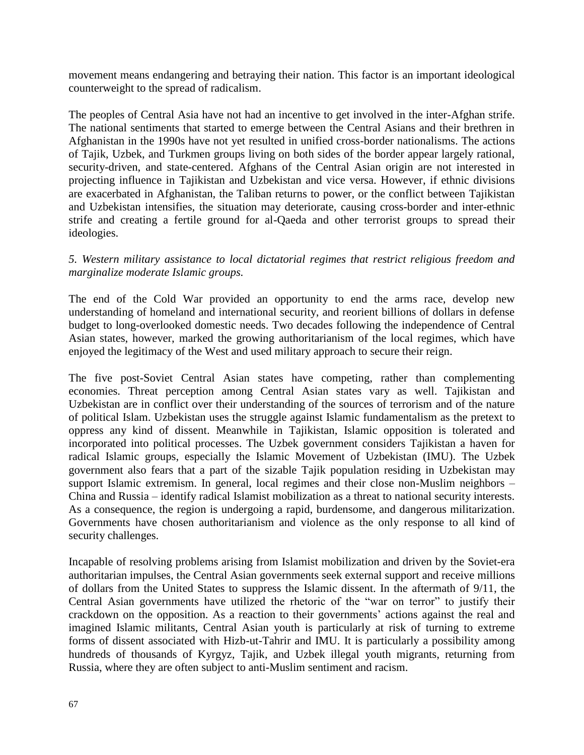movement means endangering and betraying their nation. This factor is an important ideological counterweight to the spread of radicalism.

The peoples of Central Asia have not had an incentive to get involved in the inter-Afghan strife. The national sentiments that started to emerge between the Central Asians and their brethren in Afghanistan in the 1990s have not yet resulted in unified cross-border nationalisms. The actions of Tajik, Uzbek, and Turkmen groups living on both sides of the border appear largely rational, security-driven, and state-centered. Afghans of the Central Asian origin are not interested in projecting influence in Tajikistan and Uzbekistan and vice versa. However, if ethnic divisions are exacerbated in Afghanistan, the Taliban returns to power, or the conflict between Tajikistan and Uzbekistan intensifies, the situation may deteriorate, causing cross-border and inter-ethnic strife and creating a fertile ground for al-Qaeda and other terrorist groups to spread their ideologies.

#### *5. Western military assistance to local dictatorial regimes that restrict religious freedom and marginalize moderate Islamic groups.*

The end of the Cold War provided an opportunity to end the arms race, develop new understanding of homeland and international security, and reorient billions of dollars in defense budget to long-overlooked domestic needs. Two decades following the independence of Central Asian states, however, marked the growing authoritarianism of the local regimes, which have enjoyed the legitimacy of the West and used military approach to secure their reign.

The five post-Soviet Central Asian states have competing, rather than complementing economies. Threat perception among Central Asian states vary as well. Tajikistan and Uzbekistan are in conflict over their understanding of the sources of terrorism and of the nature of political Islam. Uzbekistan uses the struggle against Islamic fundamentalism as the pretext to oppress any kind of dissent. Meanwhile in Tajikistan, Islamic opposition is tolerated and incorporated into political processes. The Uzbek government considers Tajikistan a haven for radical Islamic groups, especially the Islamic Movement of Uzbekistan (IMU). The Uzbek government also fears that a part of the sizable Tajik population residing in Uzbekistan may support Islamic extremism. In general, local regimes and their close non-Muslim neighbors – China and Russia – identify radical Islamist mobilization as a threat to national security interests. As a consequence, the region is undergoing a rapid, burdensome, and dangerous militarization. Governments have chosen authoritarianism and violence as the only response to all kind of security challenges.

Incapable of resolving problems arising from Islamist mobilization and driven by the Soviet-era authoritarian impulses, the Central Asian governments seek external support and receive millions of dollars from the United States to suppress the Islamic dissent. In the aftermath of 9/11, the Central Asian governments have utilized the rhetoric of the "war on terror" to justify their crackdown on the opposition. As a reaction to their governments' actions against the real and imagined Islamic militants, Central Asian youth is particularly at risk of turning to extreme forms of dissent associated with Hizb-ut-Tahrir and IMU. It is particularly a possibility among hundreds of thousands of Kyrgyz, Tajik, and Uzbek illegal youth migrants, returning from Russia, where they are often subject to anti-Muslim sentiment and racism.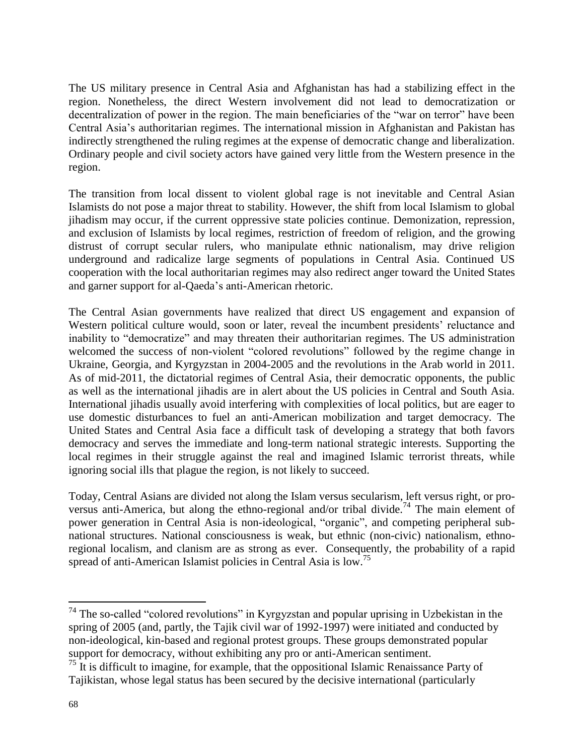The US military presence in Central Asia and Afghanistan has had a stabilizing effect in the region. Nonetheless, the direct Western involvement did not lead to democratization or decentralization of power in the region. The main beneficiaries of the "war on terror" have been Central Asia's authoritarian regimes. The international mission in Afghanistan and Pakistan has indirectly strengthened the ruling regimes at the expense of democratic change and liberalization. Ordinary people and civil society actors have gained very little from the Western presence in the region.

The transition from local dissent to violent global rage is not inevitable and Central Asian Islamists do not pose a major threat to stability. However, the shift from local Islamism to global jihadism may occur, if the current oppressive state policies continue. Demonization, repression, and exclusion of Islamists by local regimes, restriction of freedom of religion, and the growing distrust of corrupt secular rulers, who manipulate ethnic nationalism, may drive religion underground and radicalize large segments of populations in Central Asia. Continued US cooperation with the local authoritarian regimes may also redirect anger toward the United States and garner support for al-Qaeda's anti-American rhetoric.

The Central Asian governments have realized that direct US engagement and expansion of Western political culture would, soon or later, reveal the incumbent presidents' reluctance and inability to "democratize" and may threaten their authoritarian regimes. The US administration welcomed the success of non-violent "colored revolutions" followed by the regime change in Ukraine, Georgia, and Kyrgyzstan in 2004-2005 and the revolutions in the Arab world in 2011. As of mid-2011, the dictatorial regimes of Central Asia, their democratic opponents, the public as well as the international jihadis are in alert about the US policies in Central and South Asia. International jihadis usually avoid interfering with complexities of local politics, but are eager to use domestic disturbances to fuel an anti-American mobilization and target democracy. The United States and Central Asia face a difficult task of developing a strategy that both favors democracy and serves the immediate and long-term national strategic interests. Supporting the local regimes in their struggle against the real and imagined Islamic terrorist threats, while ignoring social ills that plague the region, is not likely to succeed.

Today, Central Asians are divided not along the Islam versus secularism, left versus right, or proversus anti-America, but along the ethno-regional and/or tribal divide.<sup>74</sup> The main element of power generation in Central Asia is non-ideological, "organic", and competing peripheral subnational structures. National consciousness is weak, but ethnic (non-civic) nationalism, ethnoregional localism, and clanism are as strong as ever. Consequently, the probability of a rapid spread of anti-American Islamist policies in Central Asia is low.<sup>75</sup>

 $74$  The so-called "colored revolutions" in Kyrgyzstan and popular uprising in Uzbekistan in the spring of 2005 (and, partly, the Tajik civil war of 1992-1997) were initiated and conducted by non-ideological, kin-based and regional protest groups. These groups demonstrated popular support for democracy, without exhibiting any pro or anti-American sentiment.

 $^{75}$  It is difficult to imagine, for example, that the oppositional Islamic Renaissance Party of Tajikistan, whose legal status has been secured by the decisive international (particularly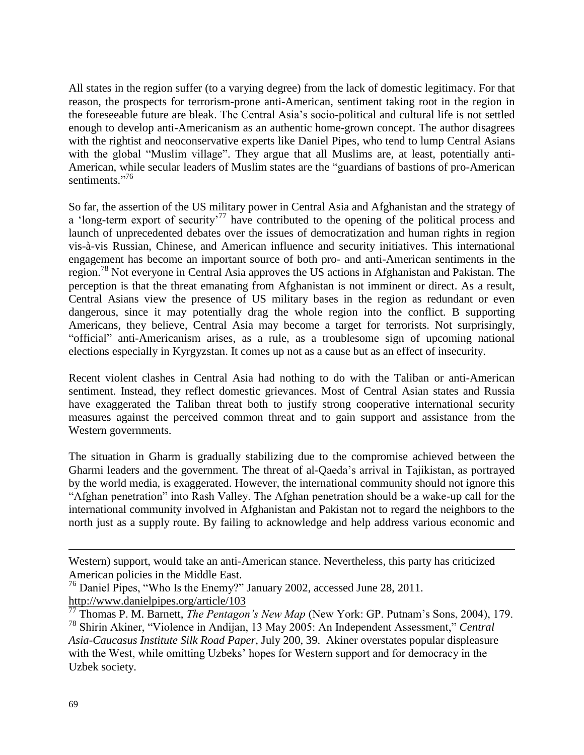All states in the region suffer (to a varying degree) from the lack of domestic legitimacy. For that reason, the prospects for terrorism-prone anti-American, sentiment taking root in the region in the foreseeable future are bleak. The Central Asia's socio-political and cultural life is not settled enough to develop anti-Americanism as an authentic home-grown concept. The author disagrees with the rightist and neoconservative experts like Daniel Pipes, who tend to lump Central Asians with the global "Muslim village". They argue that all Muslims are, at least, potentially anti-American, while secular leaders of Muslim states are the "guardians of bastions of pro-American sentiments."<sup>76</sup>

So far, the assertion of the US military power in Central Asia and Afghanistan and the strategy of a 'long-term export of security'<sup>77</sup> have contributed to the opening of the political process and launch of unprecedented debates over the issues of democratization and human rights in region vis-à-vis Russian, Chinese, and American influence and security initiatives. This international engagement has become an important source of both pro- and anti-American sentiments in the region.<sup>78</sup> Not everyone in Central Asia approves the US actions in Afghanistan and Pakistan. The perception is that the threat emanating from Afghanistan is not imminent or direct. As a result, Central Asians view the presence of US military bases in the region as redundant or even dangerous, since it may potentially drag the whole region into the conflict. B supporting Americans, they believe, Central Asia may become a target for terrorists. Not surprisingly, "official" anti-Americanism arises, as a rule, as a troublesome sign of upcoming national elections especially in Kyrgyzstan. It comes up not as a cause but as an effect of insecurity.

Recent violent clashes in Central Asia had nothing to do with the Taliban or anti-American sentiment. Instead, they reflect domestic grievances. Most of Central Asian states and Russia have exaggerated the Taliban threat both to justify strong cooperative international security measures against the perceived common threat and to gain support and assistance from the Western governments.

The situation in Gharm is gradually stabilizing due to the compromise achieved between the Gharmi leaders and the government. The threat of al-Qaeda's arrival in Tajikistan, as portrayed by the world media, is exaggerated. However, the international community should not ignore this "Afghan penetration" into Rash Valley. The Afghan penetration should be a wake-up call for the international community involved in Afghanistan and Pakistan not to regard the neighbors to the north just as a supply route. By failing to acknowledge and help address various economic and

Western) support, would take an anti-American stance. Nevertheless, this party has criticized American policies in the Middle East.

<sup>&</sup>lt;sup>76</sup> Daniel Pipes, "Who Is the Enemy?" January 2002, accessed June 28, 2011. <http://www.danielpipes.org/article/103>

<sup>77</sup> Thomas P. M. Barnett, *The Pentagon's New Map* (New York: GP. Putnam's Sons, 2004), 179. <sup>78</sup> Shirin Akiner, "Violence in Andijan, 13 May 2005: An Independent Assessment," *Central* 

*Asia-Caucasus Institute Silk Road Paper,* July 200, 39. Akiner overstates popular displeasure with the West, while omitting Uzbeks' hopes for Western support and for democracy in the Uzbek society.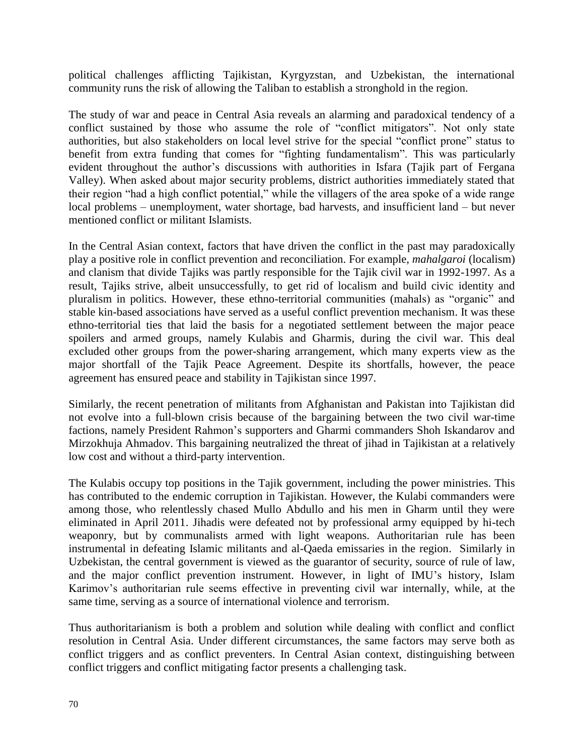political challenges afflicting Tajikistan, Kyrgyzstan, and Uzbekistan, the international community runs the risk of allowing the Taliban to establish a stronghold in the region.

The study of war and peace in Central Asia reveals an alarming and paradoxical tendency of a conflict sustained by those who assume the role of "conflict mitigators". Not only state authorities, but also stakeholders on local level strive for the special "conflict prone" status to benefit from extra funding that comes for "fighting fundamentalism". This was particularly evident throughout the author's discussions with authorities in Isfara (Tajik part of Fergana Valley). When asked about major security problems, district authorities immediately stated that their region "had a high conflict potential," while the villagers of the area spoke of a wide range local problems – unemployment, water shortage, bad harvests, and insufficient land – but never mentioned conflict or militant Islamists.

In the Central Asian context, factors that have driven the conflict in the past may paradoxically play a positive role in conflict prevention and reconciliation. For example, *mahalgaroi* (localism) and clanism that divide Tajiks was partly responsible for the Tajik civil war in 1992-1997. As a result, Tajiks strive, albeit unsuccessfully, to get rid of localism and build civic identity and pluralism in politics. However, these ethno-territorial communities (mahals) as "organic" and stable kin-based associations have served as a useful conflict prevention mechanism. It was these ethno-territorial ties that laid the basis for a negotiated settlement between the major peace spoilers and armed groups, namely Kulabis and Gharmis, during the civil war. This deal excluded other groups from the power-sharing arrangement, which many experts view as the major shortfall of the Tajik Peace Agreement. Despite its shortfalls, however, the peace agreement has ensured peace and stability in Tajikistan since 1997.

Similarly, the recent penetration of militants from Afghanistan and Pakistan into Tajikistan did not evolve into a full-blown crisis because of the bargaining between the two civil war-time factions, namely President Rahmon's supporters and Gharmi commanders Shoh Iskandarov and Mirzokhuja Ahmadov. This bargaining neutralized the threat of jihad in Tajikistan at a relatively low cost and without a third-party intervention.

The Kulabis occupy top positions in the Tajik government, including the power ministries. This has contributed to the endemic corruption in Tajikistan. However, the Kulabi commanders were among those, who relentlessly chased Mullo Abdullo and his men in Gharm until they were eliminated in April 2011. Jihadis were defeated not by professional army equipped by hi-tech weaponry, but by communalists armed with light weapons. Authoritarian rule has been instrumental in defeating Islamic militants and al-Qaeda emissaries in the region. Similarly in Uzbekistan, the central government is viewed as the guarantor of security, source of rule of law, and the major conflict prevention instrument. However, in light of IMU's history, Islam Karimov's authoritarian rule seems effective in preventing civil war internally, while, at the same time, serving as a source of international violence and terrorism.

Thus authoritarianism is both a problem and solution while dealing with conflict and conflict resolution in Central Asia. Under different circumstances, the same factors may serve both as conflict triggers and as conflict preventers. In Central Asian context, distinguishing between conflict triggers and conflict mitigating factor presents a challenging task.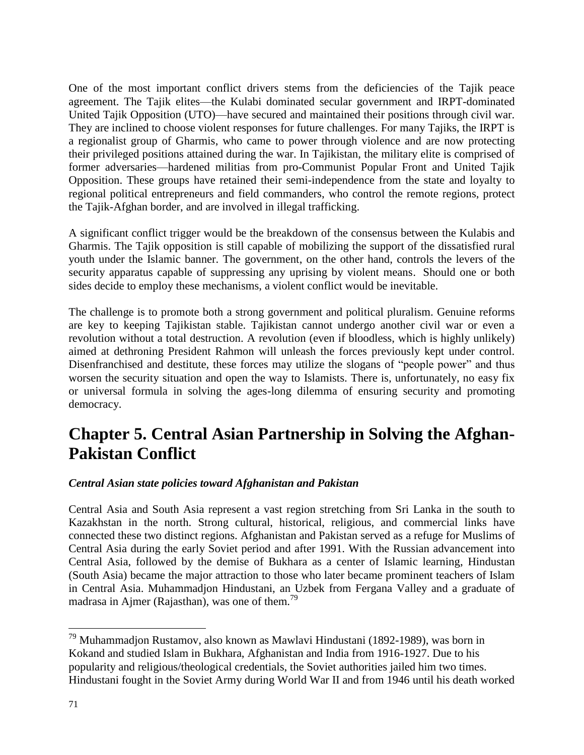One of the most important conflict drivers stems from the deficiencies of the Tajik peace agreement. The Tajik elites—the Kulabi dominated secular government and IRPT-dominated United Tajik Opposition (UTO)—have secured and maintained their positions through civil war. They are inclined to choose violent responses for future challenges. For many Tajiks, the IRPT is a regionalist group of Gharmis, who came to power through violence and are now protecting their privileged positions attained during the war. In Tajikistan, the military elite is comprised of former adversaries—hardened militias from pro-Communist Popular Front and United Tajik Opposition. These groups have retained their semi-independence from the state and loyalty to regional political entrepreneurs and field commanders, who control the remote regions, protect the Tajik-Afghan border, and are involved in illegal trafficking.

A significant conflict trigger would be the breakdown of the consensus between the Kulabis and Gharmis. The Tajik opposition is still capable of mobilizing the support of the dissatisfied rural youth under the Islamic banner. The government, on the other hand, controls the levers of the security apparatus capable of suppressing any uprising by violent means. Should one or both sides decide to employ these mechanisms, a violent conflict would be inevitable.

The challenge is to promote both a strong government and political pluralism. Genuine reforms are key to keeping Tajikistan stable. Tajikistan cannot undergo another civil war or even a revolution without a total destruction. A revolution (even if bloodless, which is highly unlikely) aimed at dethroning President Rahmon will unleash the forces previously kept under control. Disenfranchised and destitute, these forces may utilize the slogans of "people power" and thus worsen the security situation and open the way to Islamists. There is, unfortunately, no easy fix or universal formula in solving the ages-long dilemma of ensuring security and promoting democracy.

# **Chapter 5. Central Asian Partnership in Solving the Afghan-Pakistan Conflict**

## *Central Asian state policies toward Afghanistan and Pakistan*

Central Asia and South Asia represent a vast region stretching from Sri Lanka in the south to Kazakhstan in the north. Strong cultural, historical, religious, and commercial links have connected these two distinct regions. Afghanistan and Pakistan served as a refuge for Muslims of Central Asia during the early Soviet period and after 1991. With the Russian advancement into Central Asia, followed by the demise of Bukhara as a center of Islamic learning, Hindustan (South Asia) became the major attraction to those who later became prominent teachers of Islam in Central Asia. Muhammadjon Hindustani, an Uzbek from Fergana Valley and a graduate of madrasa in Ajmer (Rajasthan), was one of them.<sup>79</sup>

<sup>79</sup> Muhammadjon Rustamov, also known as Mawlavi Hindustani (1892-1989), was born in Kokand and studied Islam in Bukhara, Afghanistan and India from 1916-1927. Due to his popularity and religious/theological credentials, the Soviet authorities jailed him two times. Hindustani fought in the Soviet Army during World War II and from 1946 until his death worked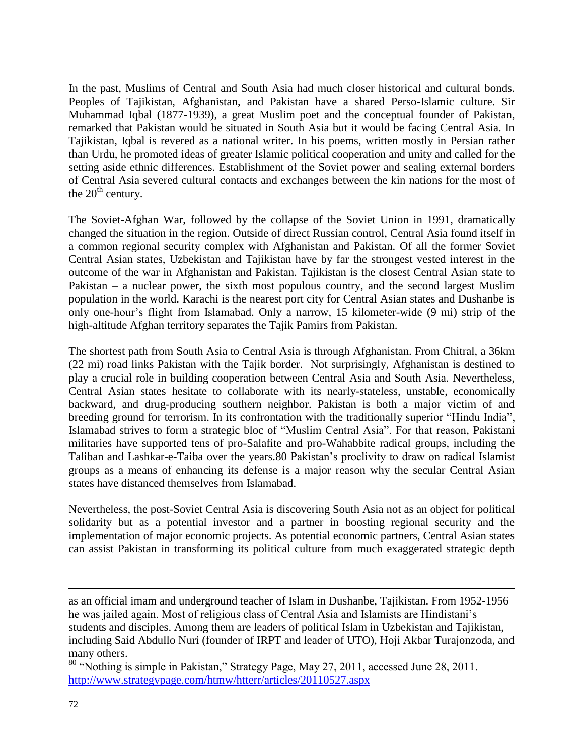In the past, Muslims of Central and South Asia had much closer historical and cultural bonds. Peoples of Tajikistan, Afghanistan, and Pakistan have a shared Perso-Islamic culture. Sir Muhammad Iqbal (1877-1939), a great Muslim poet and the conceptual founder of Pakistan, remarked that Pakistan would be situated in South Asia but it would be facing Central Asia. In Tajikistan, Iqbal is revered as a national writer. In his poems, written mostly in Persian rather than Urdu, he promoted ideas of greater Islamic political cooperation and unity and called for the setting aside ethnic differences. Establishment of the Soviet power and sealing external borders of Central Asia severed cultural contacts and exchanges between the kin nations for the most of the  $20<sup>th</sup>$  century.

The Soviet-Afghan War, followed by the collapse of the Soviet Union in 1991, dramatically changed the situation in the region. Outside of direct Russian control, Central Asia found itself in a common regional security complex with Afghanistan and Pakistan. Of all the former Soviet Central Asian states, Uzbekistan and Tajikistan have by far the strongest vested interest in the outcome of the war in Afghanistan and Pakistan. Tajikistan is the closest Central Asian state to Pakistan – a nuclear power, the sixth most populous country, and the second largest Muslim population in the world. Karachi is the nearest port city for Central Asian states and Dushanbe is only one-hour's flight from Islamabad. Only a narrow, 15 kilometer-wide (9 mi) strip of the high-altitude Afghan territory separates the Tajik Pamirs from Pakistan.

The shortest path from South Asia to Central Asia is through Afghanistan. From Chitral, a 36km (22 mi) road links Pakistan with the Tajik border. Not surprisingly, Afghanistan is destined to play a crucial role in building cooperation between Central Asia and South Asia. Nevertheless, Central Asian states hesitate to collaborate with its nearly-stateless, unstable, economically backward, and drug-producing southern neighbor. Pakistan is both a major victim of and breeding ground for terrorism. In its confrontation with the traditionally superior "Hindu India", Islamabad strives to form a strategic bloc of "Muslim Central Asia". For that reason, Pakistani militaries have supported tens of pro-Salafite and pro-Wahabbite radical groups, including the Taliban and Lashkar-e-Taiba over the years.80 Pakistan's proclivity to draw on radical Islamist groups as a means of enhancing its defense is a major reason why the secular Central Asian states have distanced themselves from Islamabad.

Nevertheless, the post-Soviet Central Asia is discovering South Asia not as an object for political solidarity but as a potential investor and a partner in boosting regional security and the implementation of major economic projects. As potential economic partners, Central Asian states can assist Pakistan in transforming its political culture from much exaggerated strategic depth

as an official imam and underground teacher of Islam in Dushanbe, Tajikistan. From 1952-1956 he was jailed again. Most of religious class of Central Asia and Islamists are Hindistani's students and disciples. Among them are leaders of political Islam in Uzbekistan and Tajikistan, including Said Abdullo Nuri (founder of IRPT and leader of UTO), Hoji Akbar Turajonzoda, and many others.

<sup>80</sup> "Nothing is simple in Pakistan," Strategy Page, May 27, 2011, accessed June 28, 2011. <http://www.strategypage.com/htmw/htterr/articles/20110527.aspx>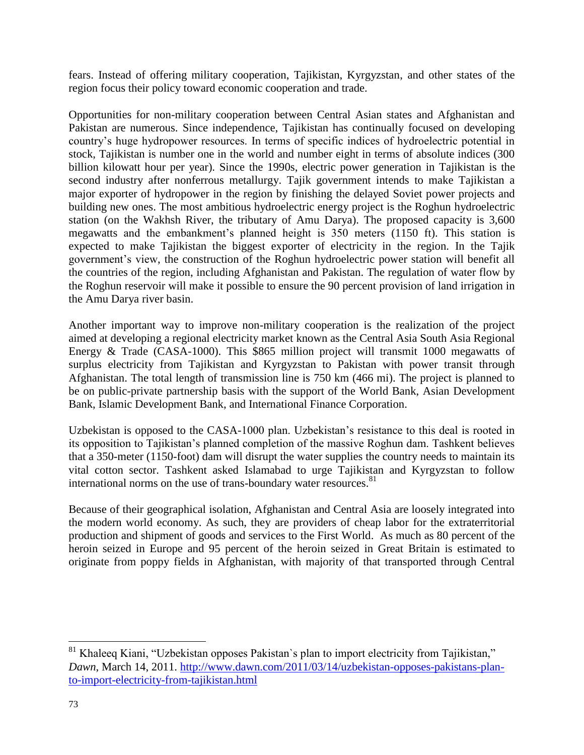fears. Instead of offering military cooperation, Tajikistan, Kyrgyzstan, and other states of the region focus their policy toward economic cooperation and trade.

Opportunities for non-military cooperation between Central Asian states and Afghanistan and Pakistan are numerous. Since independence, Tajikistan has continually focused on developing country's huge hydropower resources. In terms of specific indices of hydroelectric potential in stock, Tajikistan is number one in the world and number eight in terms of absolute indices (300 billion kilowatt hour per year). Since the 1990s, electric power generation in Tajikistan is the second industry after nonferrous metallurgy. Tajik government intends to make Tajikistan a major exporter of hydropower in the region by finishing the delayed Soviet power projects and building new ones. The most ambitious hydroelectric energy project is the Roghun hydroelectric station (on the Wakhsh River, the tributary of Amu Darya). The proposed capacity is 3,600 megawatts and the embankment's planned height is 350 meters (1150 ft). This station is expected to make Tajikistan the biggest exporter of electricity in the region. In the Tajik government's view, the construction of the Roghun hydroelectric power station will benefit all the countries of the region, including Afghanistan and Pakistan. The regulation of water flow by the Roghun reservoir will make it possible to ensure the 90 percent provision of land irrigation in the Amu Darya river basin.

Another important way to improve non-military cooperation is the realization of the project aimed at developing a regional electricity market known as the Central Asia South Asia Regional Energy & Trade (CASA-1000). This \$865 million project will transmit 1000 megawatts of surplus electricity from Tajikistan and Kyrgyzstan to Pakistan with power transit through Afghanistan. The total length of transmission line is 750 km (466 mi). The project is planned to be on public-private partnership basis with the support of the World Bank, Asian Development Bank, Islamic Development Bank, and International Finance Corporation.

Uzbekistan is opposed to the CASA-1000 plan. Uzbekistan's resistance to this deal is rooted in its opposition to Tajikistan's planned completion of the massive Roghun dam. Tashkent believes that a 350-meter (1150-foot) dam will disrupt the water supplies the country needs to maintain its vital cotton sector. Tashkent asked Islamabad to urge Tajikistan and Kyrgyzstan to follow international norms on the use of trans-boundary water resources.<sup>81</sup>

Because of their geographical isolation, Afghanistan and Central Asia are loosely integrated into the modern world economy. As such, they are providers of cheap labor for the extraterritorial production and shipment of goods and services to the First World. As much as 80 percent of the heroin seized in Europe and 95 percent of the heroin seized in Great Britain is estimated to originate from poppy fields in Afghanistan, with majority of that transported through Central

 $\overline{a}$  $81$  Khaleeq Kiani, "Uzbekistan opposes Pakistan's plan to import electricity from Tajikistan," *Dawn*, March 14, 2011. [http://www.dawn.com/2011/03/14/uzbekistan-opposes-pakistans-plan](http://www.dawn.com/2011/03/14/uzbekistan-opposes-pakistans-plan-to-import-electricity-from-tajikistan.html)[to-import-electricity-from-tajikistan.html](http://www.dawn.com/2011/03/14/uzbekistan-opposes-pakistans-plan-to-import-electricity-from-tajikistan.html)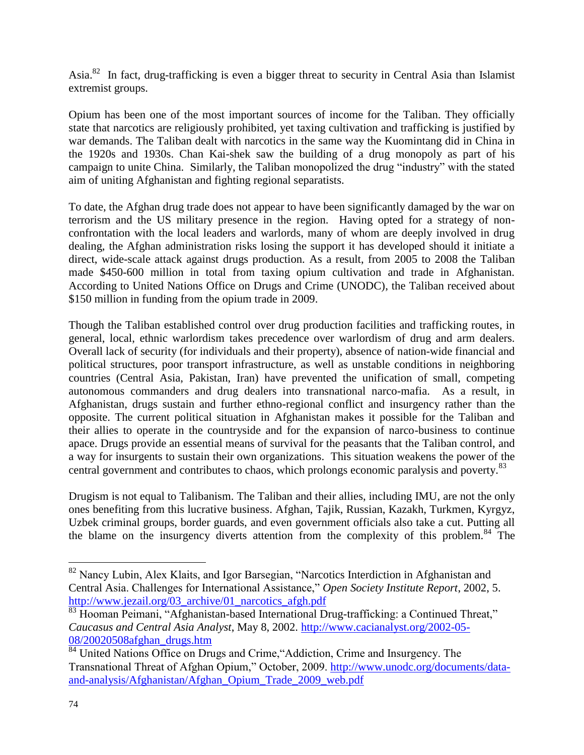Asia.<sup>82</sup> In fact, drug-trafficking is even a bigger threat to security in Central Asia than Islamist extremist groups.

Opium has been one of the most important sources of income for the Taliban. They officially state that narcotics are religiously prohibited, yet taxing cultivation and trafficking is justified by war demands. The Taliban dealt with narcotics in the same way the Kuomintang did in China in the 1920s and 1930s. Chan Kai-shek saw the building of a drug monopoly as part of his campaign to unite China. Similarly, the Taliban monopolized the drug "industry" with the stated aim of uniting Afghanistan and fighting regional separatists.

To date, the Afghan drug trade does not appear to have been significantly damaged by the war on terrorism and the US military presence in the region. Having opted for a strategy of nonconfrontation with the local leaders and warlords, many of whom are deeply involved in drug dealing, the Afghan administration risks losing the support it has developed should it initiate a direct, wide-scale attack against drugs production. As a result, from 2005 to 2008 the Taliban made \$450-600 million in total from taxing opium cultivation and trade in Afghanistan. According to United Nations Office on Drugs and Crime (UNODC), the Taliban received about \$150 million in funding from the opium trade in 2009.

Though the Taliban established control over drug production facilities and trafficking routes, in general, local, ethnic warlordism takes precedence over warlordism of drug and arm dealers. Overall lack of security (for individuals and their property), absence of nation-wide financial and political structures, poor transport infrastructure, as well as unstable conditions in neighboring countries (Central Asia, Pakistan, Iran) have prevented the unification of small, competing autonomous commanders and drug dealers into transnational narco-mafia. As a result, in Afghanistan, drugs sustain and further ethno-regional conflict and insurgency rather than the opposite. The current political situation in Afghanistan makes it possible for the Taliban and their allies to operate in the countryside and for the expansion of narco-business to continue apace. Drugs provide an essential means of survival for the peasants that the Taliban control, and a way for insurgents to sustain their own organizations. This situation weakens the power of the central government and contributes to chaos, which prolongs economic paralysis and poverty.<sup>83</sup>

Drugism is not equal to Talibanism. The Taliban and their allies, including IMU, are not the only ones benefiting from this lucrative business. Afghan, Tajik, Russian, Kazakh, Turkmen, Kyrgyz, Uzbek criminal groups, border guards, and even government officials also take a cut. Putting all the blame on the insurgency diverts attention from the complexity of this problem.<sup>84</sup> The

<sup>&</sup>lt;sup>82</sup> Nancy Lubin, Alex Klaits, and Igor Barsegian, "Narcotics Interdiction in Afghanistan and Central Asia. Challenges for International Assistance," *Open Society Institute Report*, 2002, 5. [http://www.jezail.org/03\\_archive/01\\_narcotics\\_afgh.pdf](http://www.jezail.org/03_archive/01_narcotics_afgh.pdf)

<sup>83</sup> Hooman Peimani, "Afghanistan-based International Drug-trafficking: a Continued Threat," *Caucasus and Central Asia Analyst*, May 8, 2002. [http://www.cacianalyst.org/2002-05-](http://www.cacianalyst.org/2002-05-08/20020508afghan_drugs.htm) [08/20020508afghan\\_drugs.htm](http://www.cacianalyst.org/2002-05-08/20020508afghan_drugs.htm)

<sup>&</sup>lt;sup>84</sup> United Nations Office on Drugs and Crime, "Addiction, Crime and Insurgency. The Transnational Threat of Afghan Opium," October, 2009. [http://www.unodc.org/documents/data](http://www.unodc.org/documents/data-and-analysis/Afghanistan/Afghan_Opium_Trade_2009_web.pdf)[and-analysis/Afghanistan/Afghan\\_Opium\\_Trade\\_2009\\_web.pdf](http://www.unodc.org/documents/data-and-analysis/Afghanistan/Afghan_Opium_Trade_2009_web.pdf)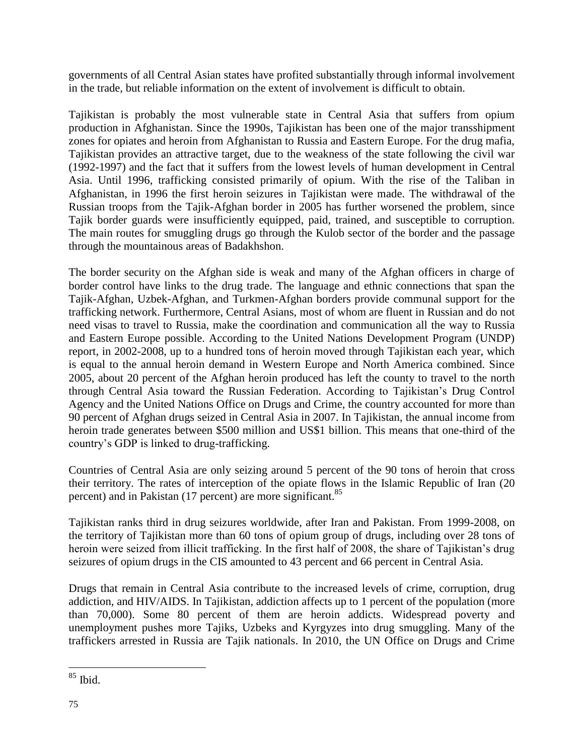governments of all Central Asian states have profited substantially through informal involvement in the trade, but reliable information on the extent of involvement is difficult to obtain.

Tajikistan is probably the most vulnerable state in Central Asia that suffers from opium production in Afghanistan. Since the 1990s, Tajikistan has been one of the major transshipment zones for opiates and heroin from Afghanistan to Russia and Eastern Europe. For the drug mafia, Tajikistan provides an attractive target, due to the weakness of the state following the civil war (1992-1997) and the fact that it suffers from the lowest levels of human development in Central Asia. Until 1996, trafficking consisted primarily of opium. With the rise of the Taliban in Afghanistan, in 1996 the first heroin seizures in Tajikistan were made. The withdrawal of the Russian troops from the Tajik-Afghan border in 2005 has further worsened the problem, since Tajik border guards were insufficiently equipped, paid, trained, and susceptible to corruption. The main routes for smuggling drugs go through the Kulob sector of the border and the passage through the mountainous areas of Badakhshon.

The border security on the Afghan side is weak and many of the Afghan officers in charge of border control have links to the drug trade. The language and ethnic connections that span the Tajik-Afghan, Uzbek-Afghan, and Turkmen-Afghan borders provide communal support for the trafficking network. Furthermore, Central Asians, most of whom are fluent in Russian and do not need visas to travel to Russia, make the coordination and communication all the way to Russia and Eastern Europe possible. According to the United Nations Development Program (UNDP) report, in 2002-2008, up to a hundred tons of heroin moved through Tajikistan each year, which is equal to the annual heroin demand in Western Europe and North America combined. Since 2005, about 20 percent of the Afghan heroin produced has left the county to travel to the north through Central Asia toward the Russian Federation. According to Tajikistan's Drug Control Agency and the United Nations Office on Drugs and Crime, the country accounted for more than 90 percent of Afghan drugs seized in Central Asia in 2007. In Tajikistan, the annual income from heroin trade generates between \$500 million and US\$1 billion. This means that one-third of the country's GDP is linked to drug-trafficking.

Countries of Central Asia are only seizing around 5 percent of the 90 tons of heroin that cross their territory. The rates of interception of the opiate flows in the Islamic Republic of Iran (20 percent) and in Pakistan (17 percent) are more significant.<sup>85</sup>

Tajikistan ranks third in drug seizures worldwide, after Iran and Pakistan. From 1999-2008, on the territory of Tajikistan more than 60 tons of opium group of drugs, including over 28 tons of heroin were seized from illicit trafficking. In the first half of 2008, the share of Tajikistan's drug seizures of opium drugs in the CIS amounted to 43 percent and 66 percent in Central Asia.

Drugs that remain in Central Asia contribute to the increased levels of crime, corruption, drug addiction, and HIV/AIDS. In Tajikistan, addiction affects up to 1 percent of the population (more than 70,000). Some 80 percent of them are heroin addicts. Widespread poverty and unemployment pushes more Tajiks, Uzbeks and Kyrgyzes into drug smuggling. Many of the traffickers arrested in Russia are Tajik nationals. In 2010, the UN Office on Drugs and Crime

 $\overline{a}$ <sup>85</sup> Ibid.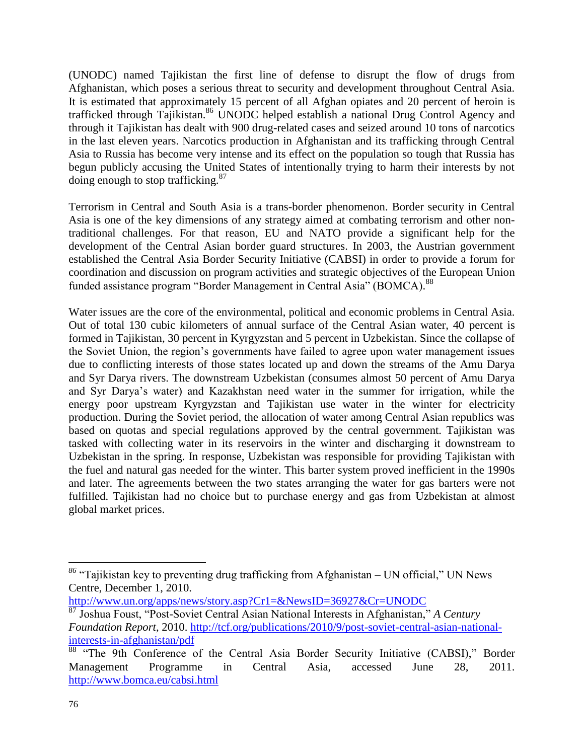(UNODC) named Tajikistan the first line of defense to disrupt the flow of drugs from Afghanistan, which poses a serious threat to security and development throughout Central Asia. It is estimated that approximately 15 percent of all Afghan opiates and 20 percent of heroin is trafficked through Tajikistan.<sup>86</sup> UNODC helped establish a national Drug Control Agency and through it Tajikistan has dealt with 900 drug-related cases and seized around 10 tons of narcotics in the last eleven years. Narcotics production in Afghanistan and its trafficking through Central Asia to Russia has become very intense and its effect on the population so tough that Russia has begun publicly accusing the United States of intentionally trying to harm their interests by not doing enough to stop trafficking.<sup>87</sup>

Terrorism in Central and South Asia is a trans-border phenomenon. Border security in Central Asia is one of the key dimensions of any strategy aimed at combating terrorism and other nontraditional challenges. For that reason, EU and NATO provide a significant help for the development of the Central Asian border guard structures. In 2003, the Austrian government established the Central Asia Border Security Initiative (CABSI) in order to provide a forum for coordination and discussion on program activities and strategic objectives of the European Union funded assistance program "Border Management in Central Asia" (BOMCA).<sup>88</sup>

Water issues are the core of the environmental, political and economic problems in Central Asia. Out of total 130 cubic kilometers of annual surface of the Central Asian water, 40 percent is formed in Tajikistan, 30 percent in Kyrgyzstan and 5 percent in Uzbekistan. Since the collapse of the Soviet Union, the region's governments have failed to agree upon water management issues due to conflicting interests of those states located up and down the streams of the Amu Darya and Syr Darya rivers. The downstream Uzbekistan (consumes almost 50 percent of Amu Darya and Syr Darya's water) and Kazakhstan need water in the summer for irrigation, while the energy poor upstream Kyrgyzstan and Tajikistan use water in the winter for electricity production. During the Soviet period, the allocation of water among Central Asian republics was based on quotas and special regulations approved by the central government. Tajikistan was tasked with collecting water in its reservoirs in the winter and discharging it downstream to Uzbekistan in the spring. In response, Uzbekistan was responsible for providing Tajikistan with the fuel and natural gas needed for the winter. This barter system proved inefficient in the 1990s and later. The agreements between the two states arranging the water for gas barters were not fulfilled. Tajikistan had no choice but to purchase energy and gas from Uzbekistan at almost global market prices.

*<sup>86</sup>* "Tajikistan key to preventing drug trafficking from Afghanistan – UN official," UN News Centre, December 1, 2010.

<http://www.un.org/apps/news/story.asp?Cr1=&NewsID=36927&Cr=UNODC>

<sup>87</sup> Joshua Foust, "Post-Soviet Central Asian National Interests in Afghanistan," *A Century Foundation Report*, 2010. [http://tcf.org/publications/2010/9/post-soviet-central-asian-national](http://tcf.org/publications/2010/9/post-soviet-central-asian-national-interests-in-afghanistan/pdf)[interests-in-afghanistan/pdf](http://tcf.org/publications/2010/9/post-soviet-central-asian-national-interests-in-afghanistan/pdf)

<sup>88 &</sup>quot;The 9th Conference of the Central Asia Border Security Initiative (CABSI)," Border Management Programme in Central Asia, accessed June 28, 2011. <http://www.bomca.eu/cabsi.html>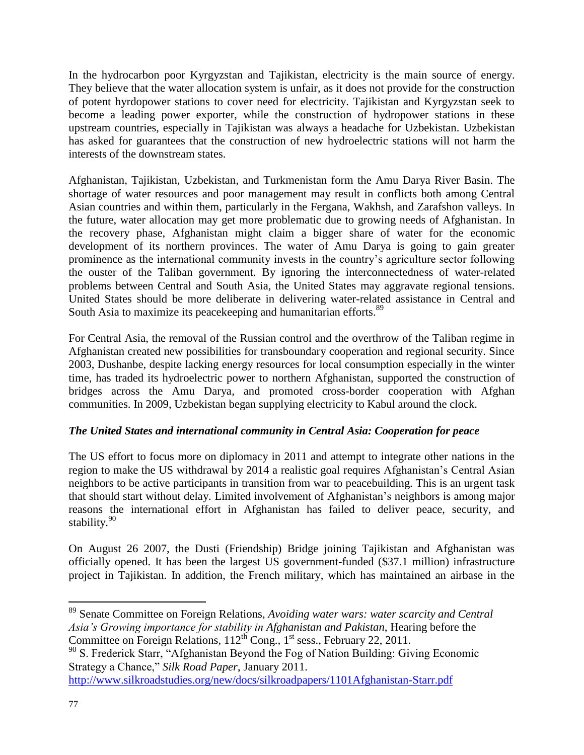In the hydrocarbon poor Kyrgyzstan and Tajikistan, electricity is the main source of energy. They believe that the water allocation system is unfair, as it does not provide for the construction of potent hyrdopower stations to cover need for electricity. Tajikistan and Kyrgyzstan seek to become a leading power exporter, while the construction of hydropower stations in these upstream countries, especially in Tajikistan was always a headache for Uzbekistan. Uzbekistan has asked for guarantees that the construction of new hydroelectric stations will not harm the interests of the downstream states.

Afghanistan, Tajikistan, Uzbekistan, and Turkmenistan form the Amu Darya River Basin. The shortage of water resources and poor management may result in conflicts both among Central Asian countries and within them, particularly in the Fergana, Wakhsh, and Zarafshon valleys. In the future, water allocation may get more problematic due to growing needs of Afghanistan. In the recovery phase, Afghanistan might claim a bigger share of water for the economic development of its northern provinces. The water of Amu Darya is going to gain greater prominence as the international community invests in the country's agriculture sector following the ouster of the Taliban government. By ignoring the interconnectedness of water-related problems between Central and South Asia, the United States may aggravate regional tensions. United States should be more deliberate in delivering water-related assistance in Central and South Asia to maximize its peacekeeping and humanitarian efforts.<sup>89</sup>

For Central Asia, the removal of the Russian control and the overthrow of the Taliban regime in Afghanistan created new possibilities for transboundary cooperation and regional security. Since 2003, Dushanbe, despite lacking energy resources for local consumption especially in the winter time, has traded its hydroelectric power to northern Afghanistan, supported the construction of bridges across the Amu Darya, and promoted cross-border cooperation with Afghan communities. In 2009, Uzbekistan began supplying electricity to Kabul around the clock.

## *The United States and international community in Central Asia: Cooperation for peace*

The US effort to focus more on diplomacy in 2011 and attempt to integrate other nations in the region to make the US withdrawal by 2014 a realistic goal requires Afghanistan's Central Asian neighbors to be active participants in transition from war to peacebuilding. This is an urgent task that should start without delay. Limited involvement of Afghanistan's neighbors is among major reasons the international effort in Afghanistan has failed to deliver peace, security, and stability.<sup>90</sup>

On August 26 2007, the Dusti (Friendship) Bridge joining Tajikistan and Afghanistan was officially opened. It has been the largest US government-funded (\$37.1 million) infrastructure project in Tajikistan. In addition, the French military, which has maintained an airbase in the

 $\overline{a}$ <sup>89</sup> Senate Committee on Foreign Relations, *Avoiding water wars: water scarcity and Central Asia's Growing importance for stability in Afghanistan and Pakistan*, Hearing before the Committee on Foreign Relations,  $112^{th}$  Cong.,  $1^{st}$  sess., February 22, 2011.

<sup>&</sup>lt;sup>90</sup> S. Frederick Starr, "Afghanistan Beyond the Fog of Nation Building: Giving Economic Strategy a Chance," *Silk Road Paper*, January 2011.

<http://www.silkroadstudies.org/new/docs/silkroadpapers/1101Afghanistan-Starr.pdf>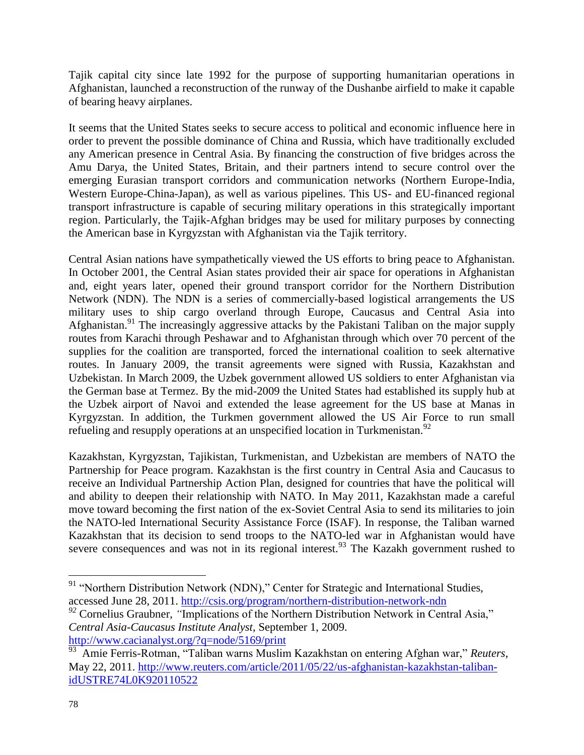Tajik capital city since late 1992 for the purpose of supporting humanitarian operations in Afghanistan, launched a reconstruction of the runway of the Dushanbe airfield to make it capable of bearing heavy airplanes.

It seems that the United States seeks to secure access to political and economic influence here in order to prevent the possible dominance of China and Russia, which have traditionally excluded any American presence in Central Asia. By financing the construction of five bridges across the Amu Darya, the United States, Britain, and their partners intend to secure control over the emerging Eurasian transport corridors and communication networks (Northern Europe-India, Western Europe-China-Japan), as well as various pipelines. This US- and EU-financed regional transport infrastructure is capable of securing military operations in this strategically important region. Particularly, the Tajik-Afghan bridges may be used for military purposes by connecting the American base in Kyrgyzstan with Afghanistan via the Tajik territory.

Central Asian nations have sympathetically viewed the US efforts to bring peace to Afghanistan. In October 2001, the Central Asian states provided their air space for operations in Afghanistan and, eight years later, opened their ground transport corridor for the Northern Distribution Network (NDN). The NDN is a series of commercially-based logistical arrangements the US military uses to ship cargo overland through Europe, Caucasus and Central Asia into Afghanistan.<sup>91</sup> The increasingly aggressive attacks by the Pakistani Taliban on the major supply routes from Karachi through Peshawar and to Afghanistan through which over 70 percent of the supplies for the coalition are transported, forced the international coalition to seek alternative routes. In January 2009, the transit agreements were signed with Russia, Kazakhstan and Uzbekistan. In March 2009, the Uzbek government allowed US soldiers to enter Afghanistan via the German base at Termez. By the mid-2009 the United States had established its supply hub at the Uzbek airport of Navoi and extended the lease agreement for the US base at Manas in Kyrgyzstan. In addition, the Turkmen government allowed the US Air Force to run small refueling and resupply operations at an unspecified location in Turkmenistan.<sup>92</sup>

Kazakhstan, Kyrgyzstan, Tajikistan, Turkmenistan, and Uzbekistan are members of NATO the Partnership for Peace program. Kazakhstan is the first country in Central Asia and Caucasus to receive an Individual Partnership Action Plan, designed for countries that have the political will and ability to deepen their relationship with NATO. In May 2011, Kazakhstan made a careful move toward becoming the first nation of the ex-Soviet Central Asia to send its militaries to join the NATO-led International Security Assistance Force (ISAF). In response, the Taliban warned Kazakhstan that its decision to send troops to the NATO-led war in Afghanistan would have severe consequences and was not in its regional interest.<sup>93</sup> The Kazakh government rushed to

<sup>&</sup>lt;sup>91</sup> "Northern Distribution Network (NDN)," Center for Strategic and International Studies, accessed June 28, 2011.<http://csis.org/program/northern-distribution-network-ndn>

<sup>&</sup>lt;sup>92</sup> Cornelius Graubner, *"Implications of the Northern Distribution Network in Central Asia," Central Asia-Caucasus Institute Analyst*, September 1, 2009. <http://www.cacianalyst.org/?q=node/5169/print>

<sup>93</sup> Amie Ferris-Rotman, "Taliban warns Muslim Kazakhstan on entering Afghan war," *Reuters*, May 22, 2011. [http://www.reuters.com/article/2011/05/22/us-afghanistan-kazakhstan-taliban](http://www.reuters.com/article/2011/05/22/us-afghanistan-kazakhstan-taliban-idUSTRE74L0K920110522)[idUSTRE74L0K920110522](http://www.reuters.com/article/2011/05/22/us-afghanistan-kazakhstan-taliban-idUSTRE74L0K920110522)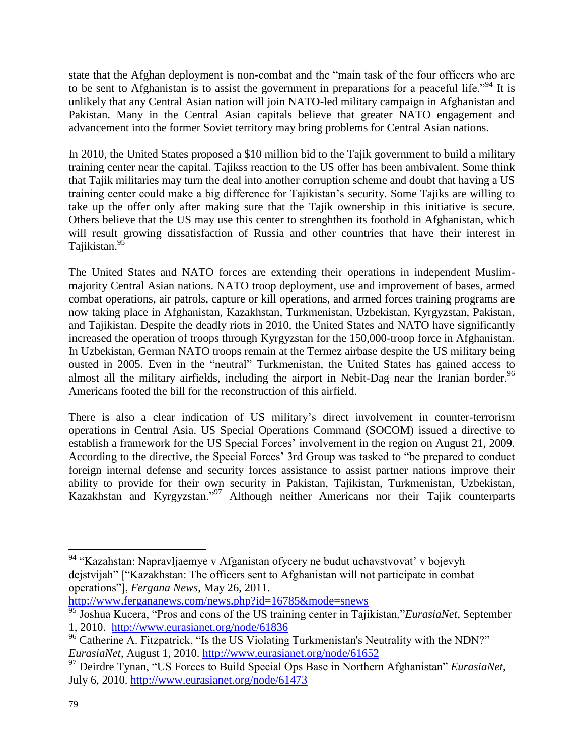state that the Afghan deployment is non-combat and the "main task of the four officers who are to be sent to Afghanistan is to assist the government in preparations for a peaceful life.<sup> $34$ </sup> It is unlikely that any Central Asian nation will join NATO-led military campaign in Afghanistan and Pakistan. Many in the Central Asian capitals believe that greater NATO engagement and advancement into the former Soviet territory may bring problems for Central Asian nations.

In 2010, the United States proposed a \$10 million bid to the Tajik government to build a military training center near the capital. Tajikss reaction to the US offer has been ambivalent. Some think that Tajik militaries may turn the deal into another corruption scheme and doubt that having a US training center could make a big difference for Tajikistan's security. Some Tajiks are willing to take up the offer only after making sure that the Tajik ownership in this initiative is secure. Others believe that the US may use this center to strenghthen its foothold in Afghanistan, which will result growing dissatisfaction of Russia and other countries that have their interest in Tajikistan.<sup>95</sup>

The United States and NATO forces are extending their operations in independent Muslimmajority Central Asian nations. NATO troop deployment, use and improvement of bases, armed combat operations, air patrols, capture or kill operations, and armed forces training programs are now taking place in Afghanistan, Kazakhstan, Turkmenistan, Uzbekistan, Kyrgyzstan, Pakistan, and Tajikistan. Despite the deadly riots in 2010, the United States and NATO have significantly increased the operation of troops through Kyrgyzstan for the 150,000-troop force in Afghanistan. In Uzbekistan, German NATO troops remain at the Termez airbase despite the US military being ousted in 2005. Even in the "neutral" Turkmenistan, the United States has gained access to almost all the military airfields, including the airport in Nebit-Dag near the Iranian border.<sup>96</sup> Americans footed the bill for the reconstruction of this airfield.

There is also a clear indication of US military's direct involvement in counter-terrorism operations in Central Asia. US Special Operations Command (SOCOM) issued a directive to establish a framework for the US Special Forces' involvement in the region on August 21, 2009. According to the directive, the Special Forces' 3rd Group was tasked to "be prepared to conduct foreign internal defense and security forces assistance to assist partner nations improve their ability to provide for their own security in Pakistan, Tajikistan, Turkmenistan, Uzbekistan, Kazakhstan and Kyrgyzstan."<sup>97</sup> Although neither Americans nor their Tajik counterparts

<http://www.fergananews.com/news.php?id=16785&mode=snews>

<sup>&</sup>lt;sup>94</sup> "Kazahstan: Napravljaemye v Afganistan ofycery ne budut uchavstvovat' v bojevyh dejstvijah" ["Kazakhstan: The officers sent to Afghanistan will not participate in combat operations"], *Fergana News*, May 26, 2011.

<sup>95</sup> Joshua Kucera, "Pros and cons of the US training center in Tajikistan,"*EurasiaNet*, September 1, 2010. <http://www.eurasianet.org/node/61836>

<sup>&</sup>lt;sup>96</sup> Catherine A. Fitzpatrick, "Is the US Violating Turkmenistan's Neutrality with the NDN?" *EurasiaNet*, August 1, 2010.<http://www.eurasianet.org/node/61652>

<sup>97</sup> [Deirdre Tynan,](http://www.eurasianet.org/taxonomy/term/2605) "US Forces to Build Special Ops Base in Northern Afghanistan" *EurasiaNet*, July 6, 2010.<http://www.eurasianet.org/node/61473>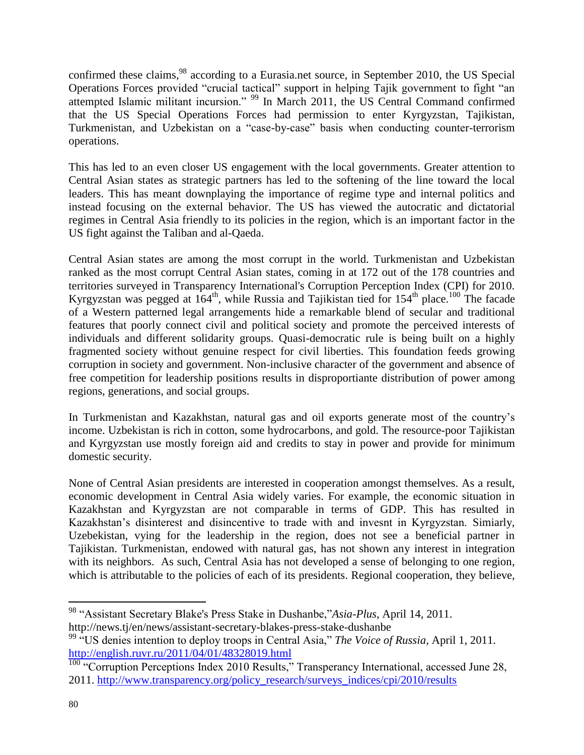confirmed these claims, <sup>98</sup> according to a Eurasia.net source, in September 2010, the US Special Operations Forces provided "crucial tactical" support in helping Tajik government to fight "an attempted Islamic militant incursion." <sup>99</sup> In March 2011, the US Central Command confirmed that the US Special Operations Forces had permission to enter Kyrgyzstan, Tajikistan, Turkmenistan, and Uzbekistan on a "case-by-case" basis when conducting counter-terrorism operations.

This has led to an even closer US engagement with the local governments. Greater attention to Central Asian states as strategic partners has led to the softening of the line toward the local leaders. This has meant downplaying the importance of regime type and internal politics and instead focusing on the external behavior. The US has viewed the autocratic and dictatorial regimes in Central Asia friendly to its policies in the region, which is an important factor in the US fight against the Taliban and al-Qaeda.

Central Asian states are among the most corrupt in the world. Turkmenistan and Uzbekistan ranked as the most corrupt Central Asian states, coming in at 172 out of the 178 countries and territories surveyed in Transparency International's Corruption Perception Index (CPI) for 2010. Kyrgyzstan was pegged at  $164<sup>th</sup>$ , while Russia and Tajikistan tied for  $154<sup>th</sup>$  place.<sup>100</sup> The facade of a Western patterned legal arrangements hide a remarkable blend of secular and traditional features that poorly connect civil and political society and promote the perceived interests of individuals and different solidarity groups. Quasi-democratic rule is being built on a highly fragmented society without genuine respect for civil liberties. This foundation feeds growing corruption in society and government. Non-inclusive character of the government and absence of free competition for leadership positions results in disproportiante distribution of power among regions, generations, and social groups.

In Turkmenistan and Kazakhstan, natural gas and oil exports generate most of the country's income. Uzbekistan is rich in cotton, some hydrocarbons, and gold. The resource-poor Tajikistan and Kyrgyzstan use mostly foreign aid and credits to stay in power and provide for minimum domestic security.

None of Central Asian presidents are interested in cooperation amongst themselves. As a result, economic development in Central Asia widely varies. For example, the economic situation in Kazakhstan and Kyrgyzstan are not comparable in terms of GDP. This has resulted in Kazakhstan's disinterest and disincentive to trade with and invesnt in Kyrgyzstan. Simiarly, Uzebekistan, vying for the leadership in the region, does not see a beneficial partner in Tajikistan. Turkmenistan, endowed with natural gas, has not shown any interest in integration with its neighbors. As such, Central Asia has not developed a sense of belonging to one region, which is attributable to the policies of each of its presidents. Regional cooperation, they believe,

 $\overline{a}$ <sup>98</sup> "Assistant Secretary Blake's Press Stake in Dushanbe,"*Asia-Plus*, April 14, 2011. <http://news.tj/en/news/assistant-secretary-blakes-press-stake-dushanbe>

<sup>&</sup>lt;sup>99</sup> "US denies intention to deploy troops in Central Asia," *The Voice of Russia*, April 1, 2011. <http://english.ruvr.ru/2011/04/01/48328019.html>

<sup>&</sup>lt;sup>100</sup> "Corruption Perceptions Index 2010 Results," Transperancy International, accessed June 28, 2011. [http://www.transparency.org/policy\\_research/surveys\\_indices/cpi/2010/results](http://www.transparency.org/policy_research/surveys_indices/cpi/2010/results)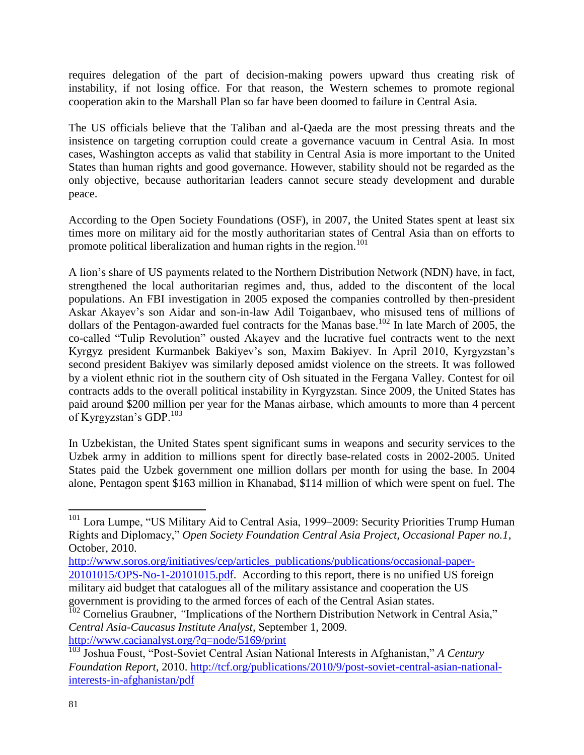requires delegation of the part of decision-making powers upward thus creating risk of instability, if not losing office. For that reason, the Western schemes to promote regional cooperation akin to the Marshall Plan so far have been doomed to failure in Central Asia.

The US officials believe that the Taliban and al-Qaeda are the most pressing threats and the insistence on targeting corruption could create a governance vacuum in Central Asia. In most cases, Washington accepts as valid that stability in Central Asia is more important to the United States than human rights and good governance. However, stability should not be regarded as the only objective, because authoritarian leaders cannot secure steady development and durable peace.

According to the Open Society Foundations (OSF), in 2007, the United States spent at least six times more on military aid for the mostly authoritarian states of Central Asia than on efforts to promote political liberalization and human rights in the region.<sup>101</sup>

A lion's share of US payments related to the Northern Distribution Network (NDN) have, in fact, strengthened the local authoritarian regimes and, thus, added to the discontent of the local populations. An FBI investigation in 2005 exposed the companies controlled by then-president Askar Akayev's son Aidar and son-in-law Adil Toiganbaev, who misused tens of millions of dollars of the Pentagon-awarded fuel contracts for the Manas base.<sup>102</sup> In late March of 2005, the co-called "Tulip Revolution" ousted Akayev and the lucrative fuel contracts went to the next Kyrgyz president Kurmanbek Bakiyev's son, Maxim Bakiyev. In April 2010, Kyrgyzstan's second president Bakiyev was similarly deposed amidst violence on the streets. It was followed by a violent ethnic riot in the southern city of Osh situated in the Fergana Valley. Contest for oil contracts adds to the overall political instability in Kyrgyzstan. Since 2009, the United States has paid around \$200 million per year for the Manas airbase, which amounts to more than 4 percent of Kyrgyzstan's GDP. $^{103}$ 

In Uzbekistan, the United States spent significant sums in weapons and security services to the Uzbek army in addition to millions spent for directly base-related costs in 2002-2005. United States paid the Uzbek government one million dollars per month for using the base. In 2004 alone, Pentagon spent \$163 million in Khanabad, \$114 million of which were spent on fuel. The

<sup>&</sup>lt;sup>101</sup> Lora Lumpe, "US Military Aid to Central Asia, 1999–2009: Security Priorities Trump Human Rights and Diplomacy," *Open Society Foundation Central Asia Project, Occasional Paper no.1*, October, 2010.

[http://www.soros.org/initiatives/cep/articles\\_publications/publications/occasional-paper-](http://www.soros.org/initiatives/cep/articles_publications/publications/occasional-paper-20101015/OPS-No-1-20101015.pdf)[20101015/OPS-No-1-20101015.pdf.](http://www.soros.org/initiatives/cep/articles_publications/publications/occasional-paper-20101015/OPS-No-1-20101015.pdf) According to this report, there is no unified US foreign military aid budget that catalogues all of the military assistance and cooperation the US government is providing to the armed forces of each of the Central Asian states.

<sup>&</sup>lt;sup>102</sup> Cornelius Graubner, "Implications of the Northern Distribution Network in Central Asia," *Central Asia-Caucasus Institute Analyst*, September 1, 2009. <http://www.cacianalyst.org/?q=node/5169/print>

<sup>103</sup> Joshua Foust, "Post-Soviet Central Asian National Interests in Afghanistan," *A Century Foundation Report*, 2010. [http://tcf.org/publications/2010/9/post-soviet-central-asian-national](http://tcf.org/publications/2010/9/post-soviet-central-asian-national-interests-in-afghanistan/pdf)[interests-in-afghanistan/pdf](http://tcf.org/publications/2010/9/post-soviet-central-asian-national-interests-in-afghanistan/pdf)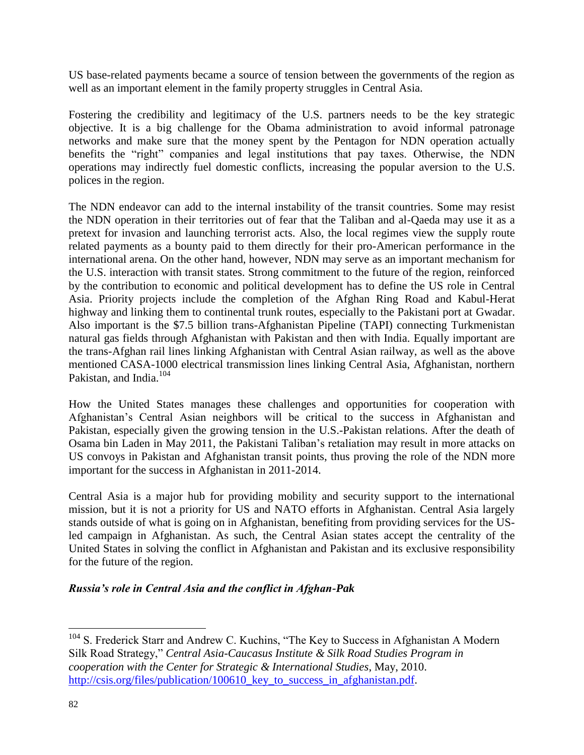US base-related payments became a source of tension between the governments of the region as well as an important element in the family property struggles in Central Asia.

Fostering the credibility and legitimacy of the U.S. partners needs to be the key strategic objective. It is a big challenge for the Obama administration to avoid informal patronage networks and make sure that the money spent by the Pentagon for NDN operation actually benefits the "right" companies and legal institutions that pay taxes. Otherwise, the NDN operations may indirectly fuel domestic conflicts, increasing the popular aversion to the U.S. polices in the region.

The NDN endeavor can add to the internal instability of the transit countries. Some may resist the NDN operation in their territories out of fear that the Taliban and al-Qaeda may use it as a pretext for invasion and launching terrorist acts. Also, the local regimes view the supply route related payments as a bounty paid to them directly for their pro-American performance in the international arena. On the other hand, however, NDN may serve as an important mechanism for the U.S. interaction with transit states. Strong commitment to the future of the region, reinforced by the contribution to economic and political development has to define the US role in Central Asia. Priority projects include the completion of the Afghan Ring Road and Kabul-Herat highway and linking them to continental trunk routes, especially to the Pakistani port at Gwadar. Also important is the \$7.5 billion trans-Afghanistan Pipeline (TAPI) connecting Turkmenistan natural gas fields through Afghanistan with Pakistan and then with India. Equally important are the trans-Afghan rail lines linking Afghanistan with Central Asian railway, as well as the above mentioned CASA-1000 electrical transmission lines linking Central Asia, Afghanistan, northern Pakistan, and India.<sup>104</sup>

How the United States manages these challenges and opportunities for cooperation with Afghanistan's Central Asian neighbors will be critical to the success in Afghanistan and Pakistan, especially given the growing tension in the U.S.-Pakistan relations. After the death of Osama bin Laden in May 2011, the Pakistani Taliban's retaliation may result in more attacks on US convoys in Pakistan and Afghanistan transit points, thus proving the role of the NDN more important for the success in Afghanistan in 2011-2014.

Central Asia is a major hub for providing mobility and security support to the international mission, but it is not a priority for US and NATO efforts in Afghanistan. Central Asia largely stands outside of what is going on in Afghanistan, benefiting from providing services for the USled campaign in Afghanistan. As such, the Central Asian states accept the centrality of the United States in solving the conflict in Afghanistan and Pakistan and its exclusive responsibility for the future of the region.

## *Russia's role in Central Asia and the conflict in Afghan-Pak*

<sup>104</sup> S. Frederick Starr and Andrew C. Kuchins, "The Key to Success in Afghanistan A Modern Silk Road Strategy," *Central Asia-Caucasus Institute & Silk Road Studies Program in cooperation with the Center for Strategic & International Studies*, May, 2010. http://csis.org/files/publication/100610 key to success in afghanistan.pdf.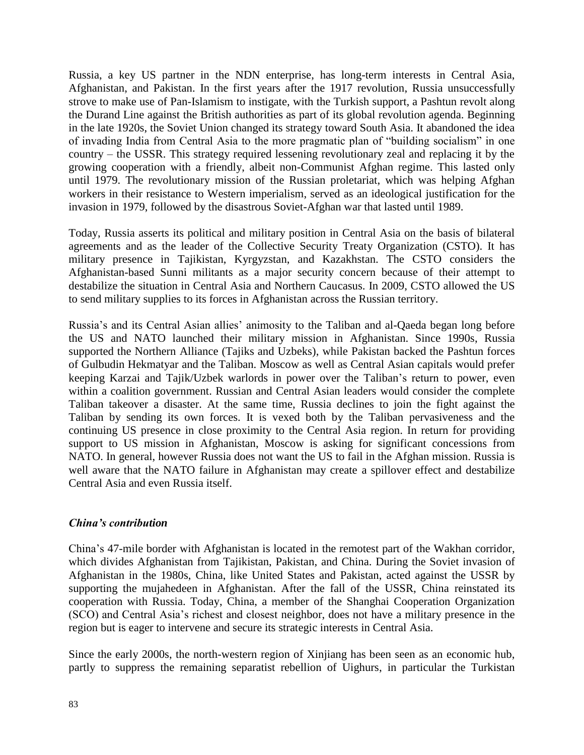Russia, a key US partner in the NDN enterprise, has long-term interests in Central Asia, Afghanistan, and Pakistan. In the first years after the 1917 revolution, Russia unsuccessfully strove to make use of Pan-Islamism to instigate, with the Turkish support, a Pashtun revolt along the Durand Line against the British authorities as part of its global revolution agenda. Beginning in the late 1920s, the Soviet Union changed its strategy toward South Asia. It abandoned the idea of invading India from Central Asia to the more pragmatic plan of "building socialism" in one country – the USSR. This strategy required lessening revolutionary zeal and replacing it by the growing cooperation with a friendly, albeit non-Communist Afghan regime. This lasted only until 1979. The revolutionary mission of the Russian proletariat, which was helping Afghan workers in their resistance to Western imperialism, served as an ideological justification for the invasion in 1979, followed by the disastrous Soviet-Afghan war that lasted until 1989.

Today, Russia asserts its political and military position in Central Asia on the basis of bilateral agreements and as the leader of the Collective Security Treaty Organization (CSTO). It has military presence in Tajikistan, Kyrgyzstan, and Kazakhstan. The CSTO considers the Afghanistan-based Sunni militants as a major security concern because of their attempt to destabilize the situation in Central Asia and Northern Caucasus. In 2009, CSTO allowed the US to send military supplies to its forces in Afghanistan across the Russian territory.

Russia's and its Central Asian allies' animosity to the Taliban and al-Qaeda began long before the US and NATO launched their military mission in Afghanistan. Since 1990s, Russia supported the Northern Alliance (Tajiks and Uzbeks), while Pakistan backed the Pashtun forces of Gulbudin Hekmatyar and the Taliban. Moscow as well as Central Asian capitals would prefer keeping Karzai and Tajik/Uzbek warlords in power over the Taliban's return to power, even within a coalition government. Russian and Central Asian leaders would consider the complete Taliban takeover a disaster. At the same time, Russia declines to join the fight against the Taliban by sending its own forces. It is vexed both by the Taliban pervasiveness and the continuing US presence in close proximity to the Central Asia region. In return for providing support to US mission in Afghanistan, Moscow is asking for significant concessions from NATO. In general, however Russia does not want the US to fail in the Afghan mission. Russia is well aware that the NATO failure in Afghanistan may create a spillover effect and destabilize Central Asia and even Russia itself.

## *China's contribution*

China's 47-mile border with Afghanistan is located in the remotest part of the Wakhan corridor, which divides Afghanistan from Tajikistan, Pakistan, and China. During the Soviet invasion of Afghanistan in the 1980s, China, like United States and Pakistan, acted against the USSR by supporting the mujahedeen in Afghanistan. After the fall of the USSR, China reinstated its cooperation with Russia. Today, China, a member of the Shanghai Cooperation Organization (SCO) and Central Asia's richest and closest neighbor, does not have a military presence in the region but is eager to intervene and secure its strategic interests in Central Asia.

Since the early 2000s, the north-western region of Xinjiang has been seen as an economic hub, partly to suppress the remaining separatist rebellion of Uighurs, in particular the Turkistan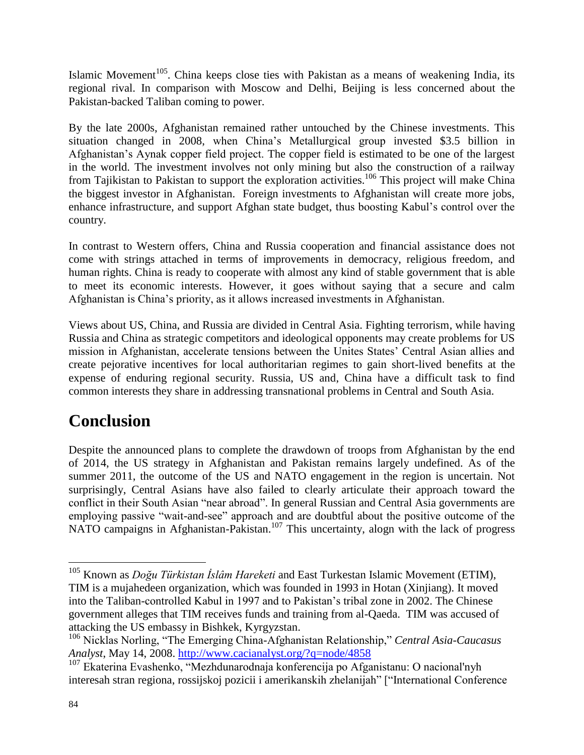Islamic Movement<sup>105</sup>. China keeps close ties with Pakistan as a means of weakening India, its regional rival. In comparison with Moscow and Delhi, Beijing is less concerned about the Pakistan-backed Taliban coming to power.

By the late 2000s, Afghanistan remained rather untouched by the Chinese investments. This situation changed in 2008, when China's Metallurgical group invested \$3.5 billion in Afghanistan's Aynak copper field project. The copper field is estimated to be one of the largest in the world. The investment involves not only mining but also the construction of a railway from Tajikistan to Pakistan to support the exploration activities.<sup>106</sup> This project will make China the biggest investor in Afghanistan. Foreign investments to Afghanistan will create more jobs, enhance infrastructure, and support Afghan state budget, thus boosting Kabul's control over the country.

In contrast to Western offers, China and Russia cooperation and financial assistance does not come with strings attached in terms of improvements in democracy, religious freedom, and human rights. China is ready to cooperate with almost any kind of stable government that is able to meet its economic interests. However, it goes without saying that a secure and calm Afghanistan is China's priority, as it allows increased investments in Afghanistan.

Views about US, China, and Russia are divided in Central Asia. Fighting terrorism, while having Russia and China as strategic competitors and ideological opponents may create problems for US mission in Afghanistan, accelerate tensions between the Unites States' Central Asian allies and create pejorative incentives for local authoritarian regimes to gain short-lived benefits at the expense of enduring regional security. Russia, US and, China have a difficult task to find common interests they share in addressing transnational problems in Central and South Asia.

## **Conclusion**

Despite the announced plans to complete the drawdown of troops from Afghanistan by the end of 2014, the US strategy in Afghanistan and Pakistan remains largely undefined. As of the summer 2011, the outcome of the US and NATO engagement in the region is uncertain. Not surprisingly, Central Asians have also failed to clearly articulate their approach toward the conflict in their South Asian "near abroad". In general Russian and Central Asia governments are employing passive "wait-and-see" approach and are doubtful about the positive outcome of the NATO campaigns in Afghanistan-Pakistan.<sup>107</sup> This uncertainty, alogn with the lack of progress

<sup>105</sup> Known as *Doğu Türkistan İslâm Hareketi* and East Turkestan Islamic Movement (ETIM), TIM is a mujahedeen organization, which was founded in 1993 in Hotan (Xinjiang). It moved into the Taliban-controlled Kabul in 1997 and to Pakistan's tribal zone in 2002. The Chinese government alleges that TIM receives funds and training from al-Qaeda. TIM was accused of attacking the US embassy in Bishkek, Kyrgyzstan.

<sup>106</sup> Nicklas Norling, "The Emerging China-Afghanistan Relationship," *Central Asia-Caucasus Analyst*, May 14, 2008.<http://www.cacianalyst.org/?q=node/4858>

<sup>107</sup> Ekaterina Evashenko, "Mezhdunarodnaja konferencija po Afganistanu: O nacional'nyh interesah stran regiona, rossijskoj pozicii i amerikanskih zhelanijah" ["International Conference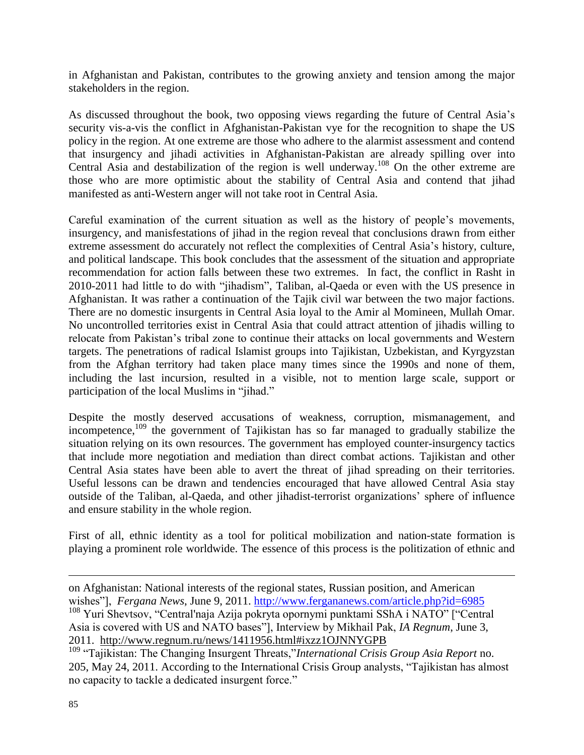in Afghanistan and Pakistan, contributes to the growing anxiety and tension among the major stakeholders in the region.

As discussed throughout the book, two opposing views regarding the future of Central Asia's security vis-a-vis the conflict in Afghanistan-Pakistan vye for the recognition to shape the US policy in the region. At one extreme are those who adhere to the alarmist assessment and contend that insurgency and jihadi activities in Afghanistan-Pakistan are already spilling over into Central Asia and destabilization of the region is well underway.<sup>108</sup> On the other extreme are those who are more optimistic about the stability of Central Asia and contend that jihad manifested as anti-Western anger will not take root in Central Asia.

Careful examination of the current situation as well as the history of people's movements, insurgency, and manisfestations of jihad in the region reveal that conclusions drawn from either extreme assessment do accurately not reflect the complexities of Central Asia's history, culture, and political landscape. This book concludes that the assessment of the situation and appropriate recommendation for action falls between these two extremes. In fact, the conflict in Rasht in 2010-2011 had little to do with "jihadism", Taliban, al-Qaeda or even with the US presence in Afghanistan. It was rather a continuation of the Tajik civil war between the two major factions. There are no domestic insurgents in Central Asia loyal to the Amir al Momineen, Mullah Omar. No uncontrolled territories exist in Central Asia that could attract attention of jihadis willing to relocate from Pakistan's tribal zone to continue their attacks on local governments and Western targets. The penetrations of radical Islamist groups into Tajikistan, Uzbekistan, and Kyrgyzstan from the Afghan territory had taken place many times since the 1990s and none of them, including the last incursion, resulted in a visible, not to mention large scale, support or participation of the local Muslims in "jihad."

Despite the mostly deserved accusations of weakness, corruption, mismanagement, and incompetence,<sup>109</sup> the government of Tajikistan has so far managed to gradually stabilize the situation relying on its own resources. The government has employed counter-insurgency tactics that include more negotiation and mediation than direct combat actions. Tajikistan and other Central Asia states have been able to avert the threat of jihad spreading on their territories. Useful lessons can be drawn and tendencies encouraged that have allowed Central Asia stay outside of the Taliban, al-Qaeda, and other jihadist-terrorist organizations' sphere of influence and ensure stability in the whole region.

First of all, ethnic identity as a tool for political mobilization and nation-state formation is playing a prominent role worldwide. The essence of this process is the politization of ethnic and

on Afghanistan: National interests of the regional states, Russian position, and American wishes"], *Fergana News*, June 9, 2011.<http://www.fergananews.com/article.php?id=6985>

<sup>108</sup> Yuri Shevtsov, "Central'naja Azija pokryta opornymi punktami SShA i NATO" ["Central Asia is covered with US and NATO bases"], Interview by Mikhail Pak, *IA Regnum*, June 3, 2011. <http://www.regnum.ru/news/1411956.html#ixzz1OJNNYGPB>

<sup>109</sup> "Tajikistan: The Changing Insurgent Threats,"*International Crisis Group Asia Report* no. 205, May 24, 2011. According to the International Crisis Group analysts, "Tajikistan has almost no capacity to tackle a dedicated insurgent force."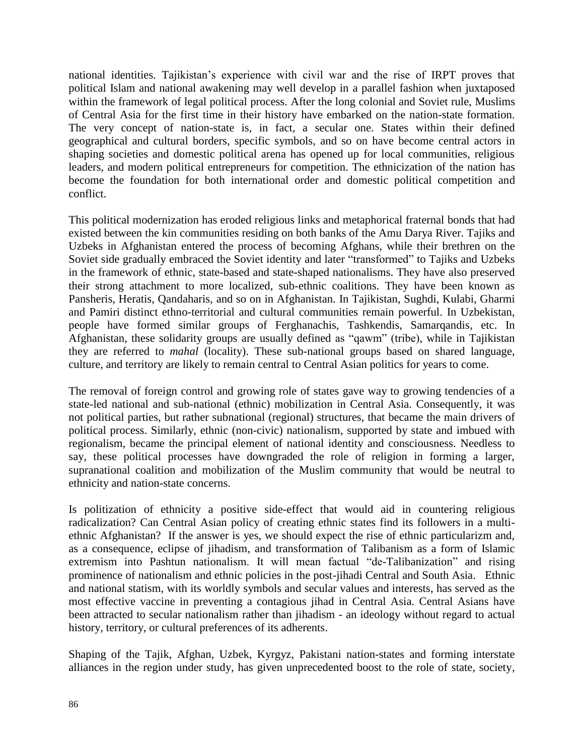national identities. Tajikistan's experience with civil war and the rise of IRPT proves that political Islam and national awakening may well develop in a parallel fashion when juxtaposed within the framework of legal political process. After the long colonial and Soviet rule, Muslims of Central Asia for the first time in their history have embarked on the nation-state formation. The very concept of nation-state is, in fact, a secular one. States within their defined geographical and cultural borders, specific symbols, and so on have become central actors in shaping societies and domestic political arena has opened up for local communities, religious leaders, and modern political entrepreneurs for competition. The ethnicization of the nation has become the foundation for both international order and domestic political competition and conflict.

This political modernization has eroded religious links and metaphorical fraternal bonds that had existed between the kin communities residing on both banks of the Amu Darya River. Tajiks and Uzbeks in Afghanistan entered the process of becoming Afghans, while their brethren on the Soviet side gradually embraced the Soviet identity and later "transformed" to Tajiks and Uzbeks in the framework of ethnic, state-based and state-shaped nationalisms. They have also preserved their strong attachment to more localized, sub-ethnic coalitions. They have been known as Pansheris, Heratis, Qandaharis, and so on in Afghanistan. In Tajikistan, Sughdi, Kulabi, Gharmi and Pamiri distinct ethno-territorial and cultural communities remain powerful. In Uzbekistan, people have formed similar groups of Ferghanachis, Tashkendis, Samarqandis, etc. In Afghanistan, these solidarity groups are usually defined as "qawm" (tribe), while in Tajikistan they are referred to *mahal* (locality). These sub-national groups based on shared language, culture, and territory are likely to remain central to Central Asian politics for years to come.

The removal of foreign control and growing role of states gave way to growing tendencies of a state-led national and sub-national (ethnic) mobilization in Central Asia. Consequently, it was not political parties, but rather subnational (regional) structures, that became the main drivers of political process. Similarly, ethnic (non-civic) nationalism, supported by state and imbued with regionalism, became the principal element of national identity and consciousness. Needless to say, these political processes have downgraded the role of religion in forming a larger, supranational coalition and mobilization of the Muslim community that would be neutral to ethnicity and nation-state concerns.

Is politization of ethnicity a positive side-effect that would aid in countering religious radicalization? Can Central Asian policy of creating ethnic states find its followers in a multiethnic Afghanistan? If the answer is yes, we should expect the rise of ethnic particularizm and, as a consequence, eclipse of jihadism, and transformation of Talibanism as a form of Islamic extremism into Pashtun nationalism. It will mean factual "de-Talibanization" and rising prominence of nationalism and ethnic policies in the post-jihadi Central and South Asia. Ethnic and national statism, with its worldly symbols and secular values and interests, has served as the most effective vaccine in preventing a contagious jihad in Central Asia. Central Asians have been attracted to secular nationalism rather than jihadism - an ideology without regard to actual history, territory, or cultural preferences of its adherents.

Shaping of the Tajik, Afghan, Uzbek, Kyrgyz, Pakistani nation-states and forming interstate alliances in the region under study, has given unprecedented boost to the role of state, society,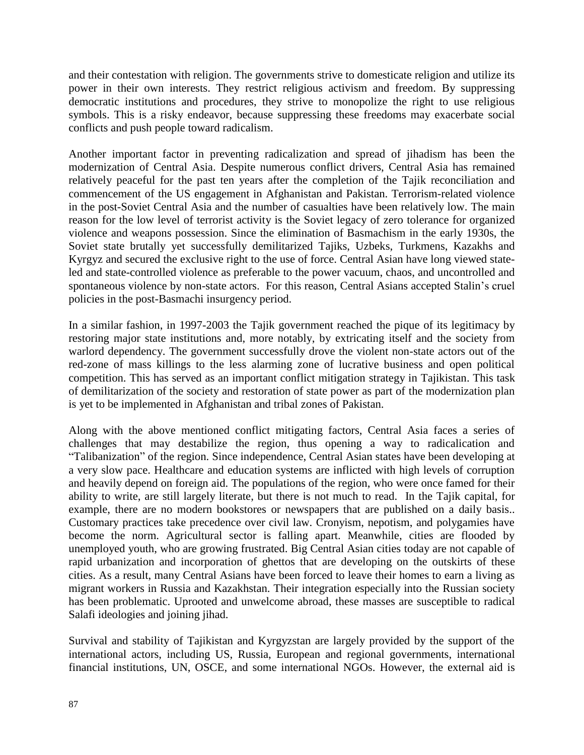and their contestation with religion. The governments strive to domesticate religion and utilize its power in their own interests. They restrict religious activism and freedom. By suppressing democratic institutions and procedures, they strive to monopolize the right to use religious symbols. This is a risky endeavor, because suppressing these freedoms may exacerbate social conflicts and push people toward radicalism.

Another important factor in preventing radicalization and spread of jihadism has been the modernization of Central Asia. Despite numerous conflict drivers, Central Asia has remained relatively peaceful for the past ten years after the completion of the Tajik reconciliation and commencement of the US engagement in Afghanistan and Pakistan. Terrorism-related violence in the post-Soviet Central Asia and the number of casualties have been relatively low. The main reason for the low level of terrorist activity is the Soviet legacy of zero tolerance for organized violence and weapons possession. Since the elimination of Basmachism in the early 1930s, the Soviet state brutally yet successfully demilitarized Tajiks, Uzbeks, Turkmens, Kazakhs and Kyrgyz and secured the exclusive right to the use of force. Central Asian have long viewed stateled and state-controlled violence as preferable to the power vacuum, chaos, and uncontrolled and spontaneous violence by non-state actors. For this reason, Central Asians accepted Stalin's cruel policies in the post-Basmachi insurgency period.

In a similar fashion, in 1997-2003 the Tajik government reached the pique of its legitimacy by restoring major state institutions and, more notably, by extricating itself and the society from warlord dependency. The government successfully drove the violent non-state actors out of the red-zone of mass killings to the less alarming zone of lucrative business and open political competition. This has served as an important conflict mitigation strategy in Tajikistan. This task of demilitarization of the society and restoration of state power as part of the modernization plan is yet to be implemented in Afghanistan and tribal zones of Pakistan.

Along with the above mentioned conflict mitigating factors, Central Asia faces a series of challenges that may destabilize the region, thus opening a way to radicalication and "Talibanization" of the region. Since independence, Central Asian states have been developing at a very slow pace. Healthcare and education systems are inflicted with high levels of corruption and heavily depend on foreign aid. The populations of the region, who were once famed for their ability to write, are still largely literate, but there is not much to read. In the Tajik capital, for example, there are no modern bookstores or newspapers that are published on a daily basis.. Customary practices take precedence over civil law. Cronyism, nepotism, and polygamies have become the norm. Agricultural sector is falling apart. Meanwhile, cities are flooded by unemployed youth, who are growing frustrated. Big Central Asian cities today are not capable of rapid urbanization and incorporation of ghettos that are developing on the outskirts of these cities. As a result, many Central Asians have been forced to leave their homes to earn a living as migrant workers in Russia and Kazakhstan. Their integration especially into the Russian society has been problematic. Uprooted and unwelcome abroad, these masses are susceptible to radical Salafi ideologies and joining jihad.

Survival and stability of Tajikistan and Kyrgyzstan are largely provided by the support of the international actors, including US, Russia, European and regional governments, international financial institutions, UN, OSCE, and some international NGOs. However, the external aid is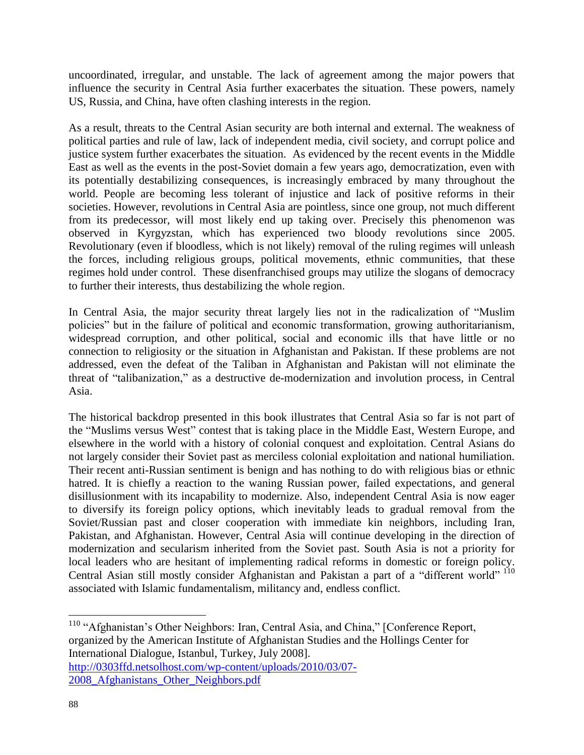uncoordinated, irregular, and unstable. The lack of agreement among the major powers that influence the security in Central Asia further exacerbates the situation. These powers, namely US, Russia, and China, have often clashing interests in the region.

As a result, threats to the Central Asian security are both internal and external. The weakness of political parties and rule of law, lack of independent media, civil society, and corrupt police and justice system further exacerbates the situation. As evidenced by the recent events in the Middle East as well as the events in the post-Soviet domain a few years ago, democratization, even with its potentially destabilizing consequences, is increasingly embraced by many throughout the world. People are becoming less tolerant of injustice and lack of positive reforms in their societies. However, revolutions in Central Asia are pointless, since one group, not much different from its predecessor, will most likely end up taking over. Precisely this phenomenon was observed in Kyrgyzstan, which has experienced two bloody revolutions since 2005. Revolutionary (even if bloodless, which is not likely) removal of the ruling regimes will unleash the forces, including religious groups, political movements, ethnic communities, that these regimes hold under control. These disenfranchised groups may utilize the slogans of democracy to further their interests, thus destabilizing the whole region.

In Central Asia, the major security threat largely lies not in the radicalization of "Muslim policies" but in the failure of political and economic transformation, growing authoritarianism, widespread corruption, and other political, social and economic ills that have little or no connection to religiosity or the situation in Afghanistan and Pakistan. If these problems are not addressed, even the defeat of the Taliban in Afghanistan and Pakistan will not eliminate the threat of "talibanization," as a destructive de-modernization and involution process, in Central Asia.

The historical backdrop presented in this book illustrates that Central Asia so far is not part of the "Muslims versus West" contest that is taking place in the Middle East, Western Europe, and elsewhere in the world with a history of colonial conquest and exploitation. Central Asians do not largely consider their Soviet past as merciless colonial exploitation and national humiliation. Their recent anti-Russian sentiment is benign and has nothing to do with religious bias or ethnic hatred. It is chiefly a reaction to the waning Russian power, failed expectations, and general disillusionment with its incapability to modernize. Also, independent Central Asia is now eager to diversify its foreign policy options, which inevitably leads to gradual removal from the Soviet/Russian past and closer cooperation with immediate kin neighbors, including Iran, Pakistan, and Afghanistan. However, Central Asia will continue developing in the direction of modernization and secularism inherited from the Soviet past. South Asia is not a priority for local leaders who are hesitant of implementing radical reforms in domestic or foreign policy. Central Asian still mostly consider Afghanistan and Pakistan a part of a "different world" 110 associated with Islamic fundamentalism, militancy and, endless conflict.

<sup>110</sup> "Afghanistan's Other Neighbors: Iran, Central Asia, and China," [Conference Report, organized by the American Institute of Afghanistan Studies and the Hollings Center for International Dialogue, Istanbul, Turkey, July 2008].

[http://0303ffd.netsolhost.com/wp-content/uploads/2010/03/07-](http://0303ffd.netsolhost.com/wp-content/uploads/2010/03/07-2008_Afghanistans_Other_Neighbors.pdf) [2008\\_Afghanistans\\_Other\\_Neighbors.pdf](http://0303ffd.netsolhost.com/wp-content/uploads/2010/03/07-2008_Afghanistans_Other_Neighbors.pdf)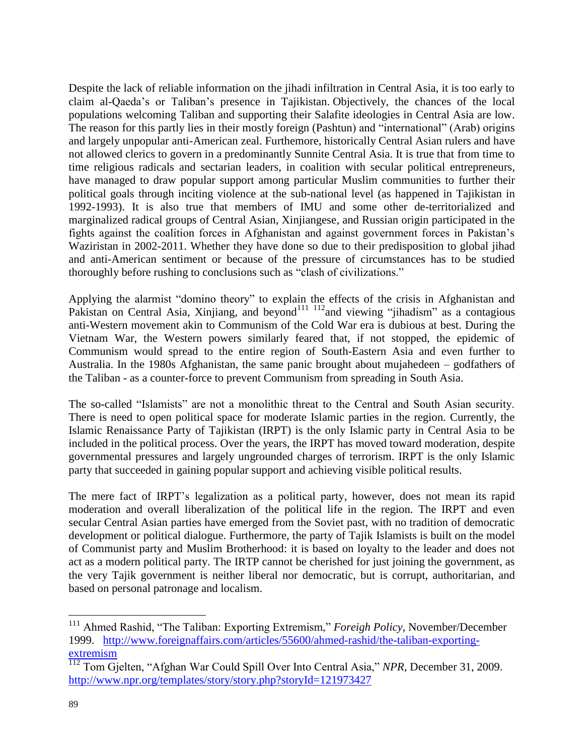Despite the lack of reliable information on the jihadi infiltration in Central Asia, it is too early to claim al-Qaeda's or Taliban's presence in Tajikistan. Objectively, the chances of the local populations welcoming Taliban and supporting their Salafite ideologies in Central Asia are low. The reason for this partly lies in their mostly foreign (Pashtun) and "international" (Arab) origins and largely unpopular anti-American zeal. Furthemore, historically Central Asian rulers and have not allowed clerics to govern in a predominantly Sunnite Central Asia. It is true that from time to time religious radicals and sectarian leaders, in coalition with secular political entrepreneurs, have managed to draw popular support among particular Muslim communities to further their political goals through inciting violence at the sub-national level (as happened in Tajikistan in 1992-1993). It is also true that members of IMU and some other de-territorialized and marginalized radical groups of Central Asian, Xinjiangese, and Russian origin participated in the fights against the coalition forces in Afghanistan and against government forces in Pakistan's Waziristan in 2002-2011. Whether they have done so due to their predisposition to global jihad and anti-American sentiment or because of the pressure of circumstances has to be studied thoroughly before rushing to conclusions such as "clash of civilizations."

Applying the alarmist "domino theory" to explain the effects of the crisis in Afghanistan and Pakistan on Central Asia, Xinjiang, and beyond<sup>111 112</sup>and viewing "jihadism" as a contagious anti-Western movement akin to Communism of the Cold War era is dubious at best. During the Vietnam War, the Western powers similarly feared that, if not stopped, the epidemic of Communism would spread to the entire region of South-Eastern Asia and even further to Australia. In the 1980s Afghanistan, the same panic brought about mujahedeen – godfathers of the Taliban - as a counter-force to prevent Communism from spreading in South Asia.

The so-called "Islamists" are not a monolithic threat to the Central and South Asian security. There is need to open political space for moderate Islamic parties in the region. Currently, the Islamic Renaissance Party of Tajikistan (IRPT) is the only Islamic party in Central Asia to be included in the political process. Over the years, the IRPT has moved toward moderation, despite governmental pressures and largely ungrounded charges of terrorism. IRPT is the only Islamic party that succeeded in gaining popular support and achieving visible political results.

The mere fact of IRPT's legalization as a political party, however, does not mean its rapid moderation and overall liberalization of the political life in the region. The IRPT and even secular Central Asian parties have emerged from the Soviet past, with no tradition of democratic development or political dialogue. Furthermore, the party of Tajik Islamists is built on the model of Communist party and Muslim Brotherhood: it is based on loyalty to the leader and does not act as a modern political party. The IRTP cannot be cherished for just joining the government, as the very Tajik government is neither liberal nor democratic, but is corrupt, authoritarian, and based on personal patronage and localism.

<sup>&</sup>lt;sup>111</sup> Ahmed Rashid, "The Taliban: Exporting Extremism," *Foreigh Policy*, November/December 1999. [http://www.foreignaffairs.com/articles/55600/ahmed-rashid/the-taliban-exporting](http://www.foreignaffairs.com/articles/55600/ahmed-rashid/the-taliban-exporting-extremism)[extremism](http://www.foreignaffairs.com/articles/55600/ahmed-rashid/the-taliban-exporting-extremism)

<sup>112</sup> Tom Gjelten, "Afghan War Could Spill Over Into Central Asia," *NPR*, December 31, 2009. <http://www.npr.org/templates/story/story.php?storyId=121973427>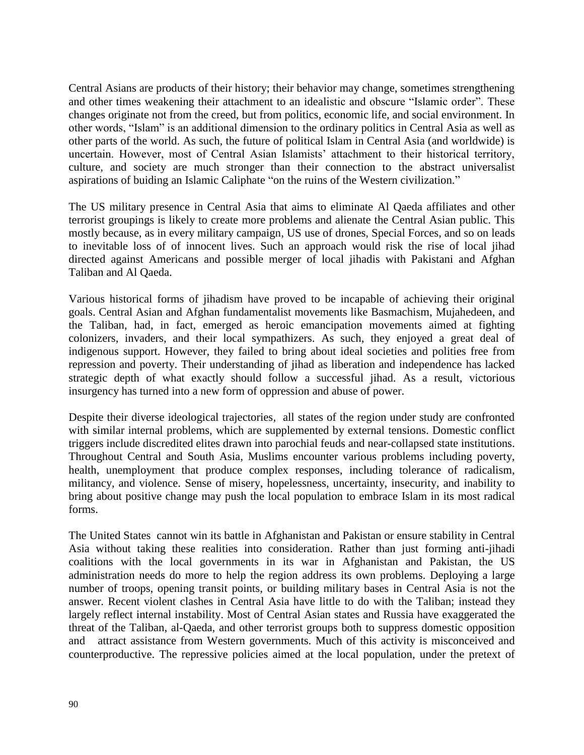Central Asians are products of their history; their behavior may change, sometimes strengthening and other times weakening their attachment to an idealistic and obscure "Islamic order". These changes originate not from the creed, but from politics, economic life, and social environment. In other words, "Islam" is an additional dimension to the ordinary politics in Central Asia as well as other parts of the world. As such, the future of political Islam in Central Asia (and worldwide) is uncertain. However, most of Central Asian Islamists' attachment to their historical territory, culture, and society are much stronger than their connection to the abstract universalist aspirations of buiding an Islamic Caliphate "on the ruins of the Western civilization."

The US military presence in Central Asia that aims to eliminate Al Qaeda affiliates and other terrorist groupings is likely to create more problems and alienate the Central Asian public. This mostly because, as in every military campaign, US use of drones, Special Forces, and so on leads to inevitable loss of of innocent lives. Such an approach would risk the rise of local jihad directed against Americans and possible merger of local jihadis with Pakistani and Afghan Taliban and Al Qaeda.

Various historical forms of jihadism have proved to be incapable of achieving their original goals. Central Asian and Afghan fundamentalist movements like Basmachism, Mujahedeen, and the Taliban, had, in fact, emerged as heroic emancipation movements aimed at fighting colonizers, invaders, and their local sympathizers. As such, they enjoyed a great deal of indigenous support. However, they failed to bring about ideal societies and polities free from repression and poverty. Their understanding of jihad as liberation and independence has lacked strategic depth of what exactly should follow a successful jihad. As a result, victorious insurgency has turned into a new form of oppression and abuse of power.

Despite their diverse ideological trajectories, all states of the region under study are confronted with similar internal problems, which are supplemented by external tensions. Domestic conflict triggers include discredited elites drawn into parochial feuds and near-collapsed state institutions. Throughout Central and South Asia, Muslims encounter various problems including poverty, health, unemployment that produce complex responses, including tolerance of radicalism, militancy, and violence. Sense of misery, hopelessness, uncertainty, insecurity, and inability to bring about positive change may push the local population to embrace Islam in its most radical forms.

The United States cannot win its battle in Afghanistan and Pakistan or ensure stability in Central Asia without taking these realities into consideration. Rather than just forming anti-jihadi coalitions with the local governments in its war in Afghanistan and Pakistan, the US administration needs do more to help the region address its own problems. Deploying a large number of troops, opening transit points, or building military bases in Central Asia is not the answer. Recent violent clashes in Central Asia have little to do with the Taliban; instead they largely reflect internal instability. Most of Central Asian states and Russia have exaggerated the threat of the Taliban, al-Qaeda, and other terrorist groups both to suppress domestic opposition and attract assistance from Western governments. Much of this activity is misconceived and counterproductive. The repressive policies aimed at the local population, under the pretext of